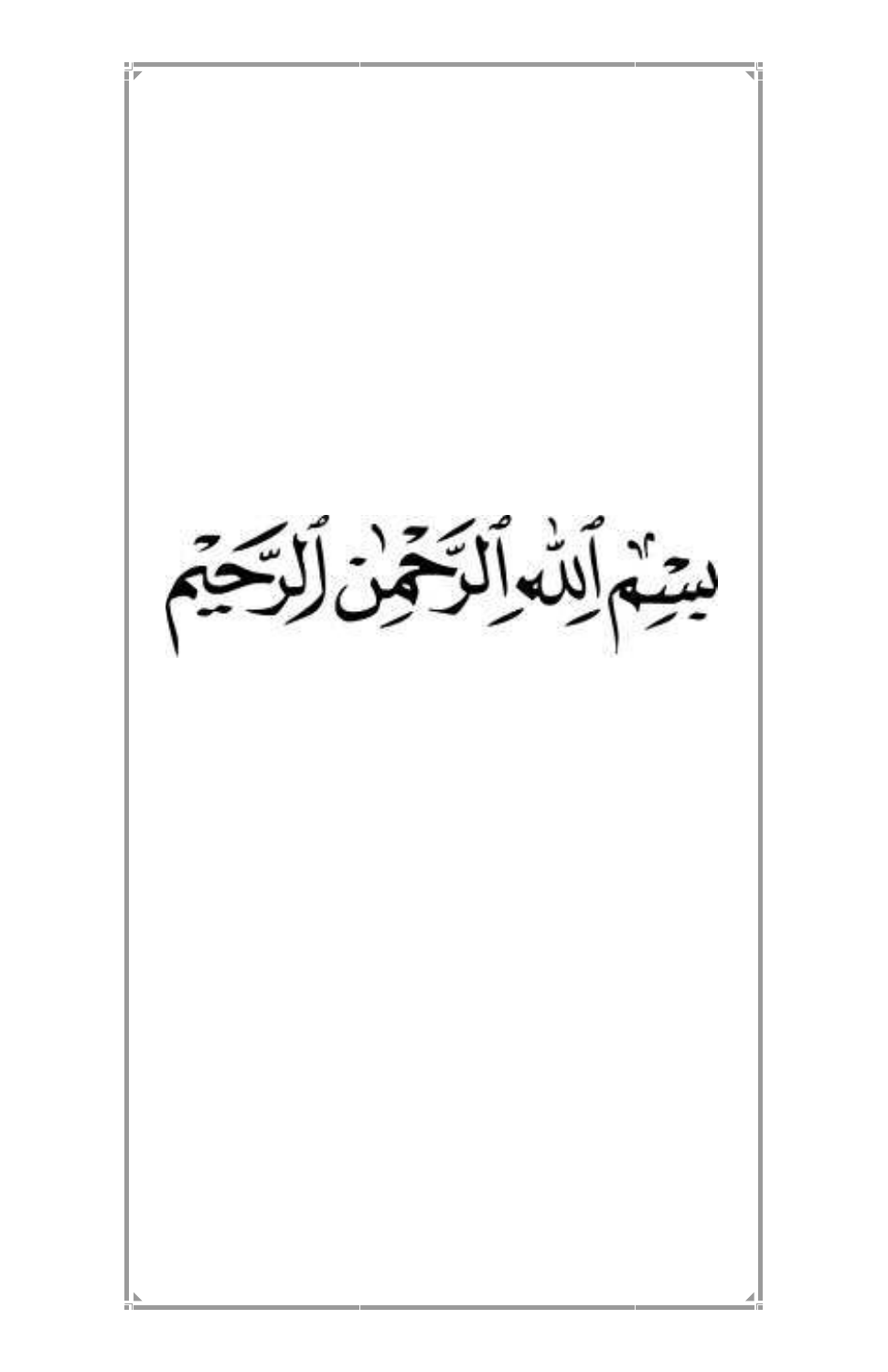

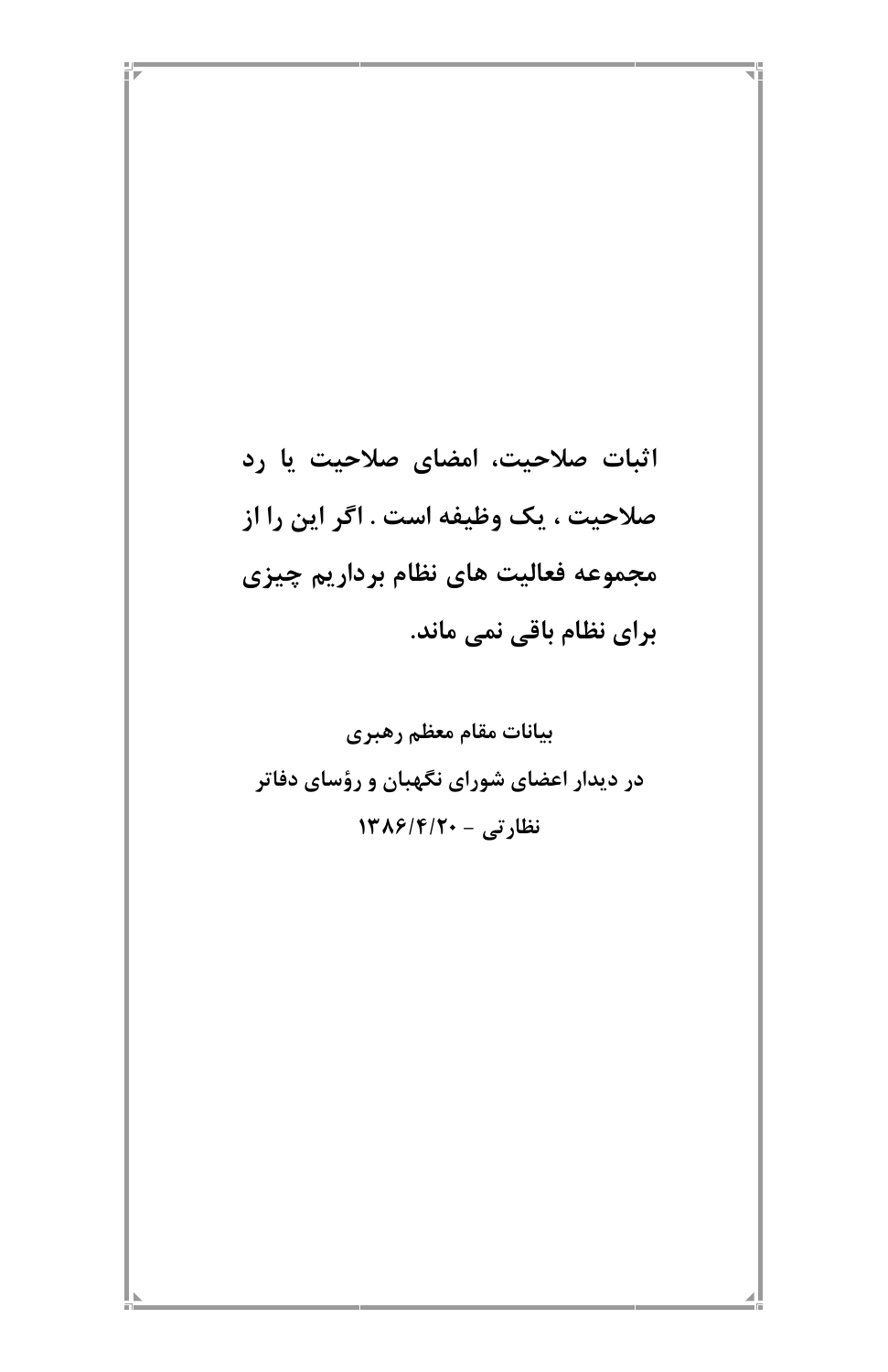اثبات صلاحیت، امضای صلاحیت یا رد صلاحيت ، يك وظيفه است . اگر اين را از مجموعه فعاليت هاي نظام برداريم چيزي برای نظام باقی نمی ماند.

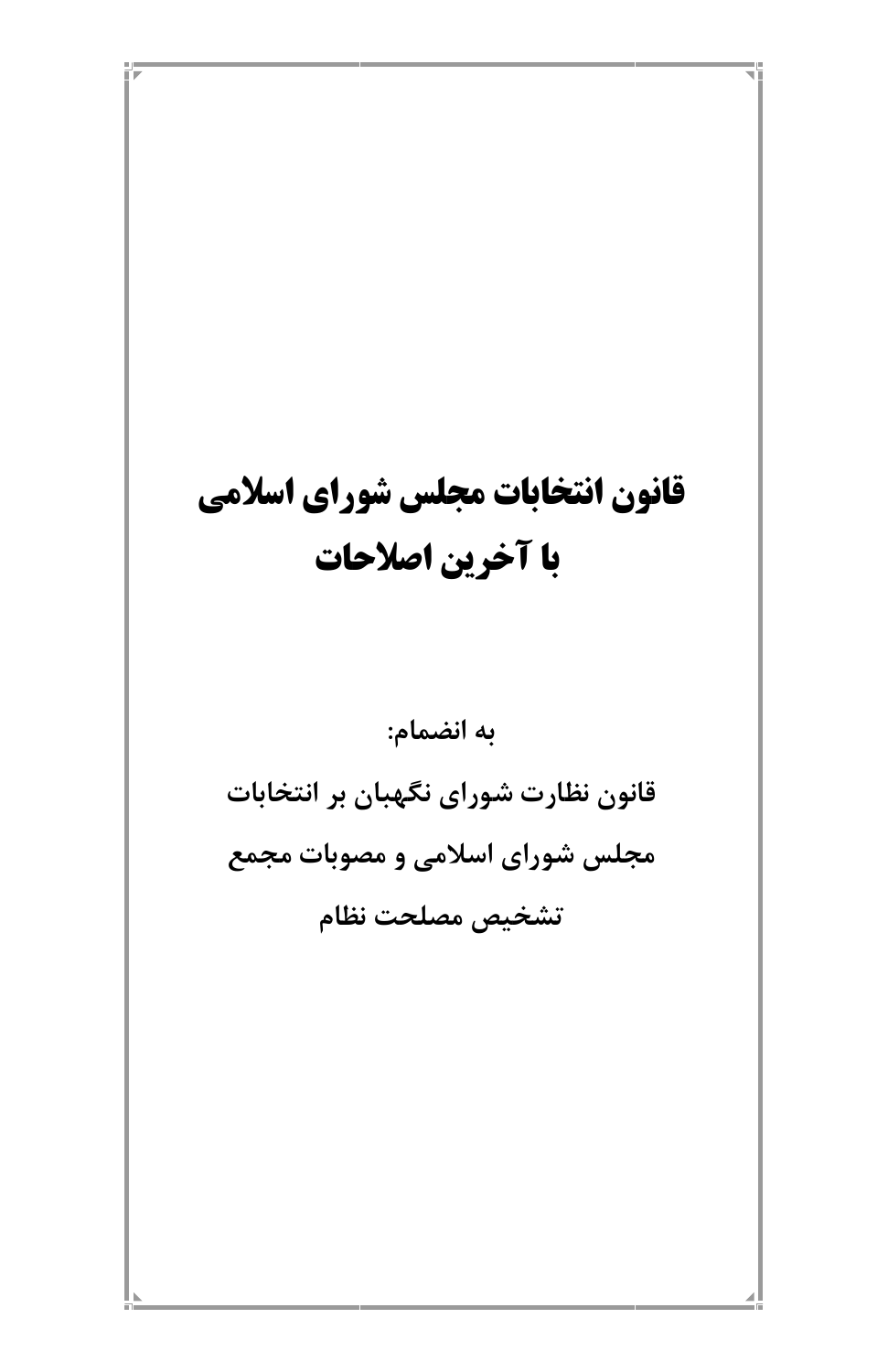# قانون انتخابات مجلس شوراي اسلامي با آخرین اصلاحات

به انضمام:

قانون نظارت شورای نگهبان بر انتخابات مجلس شورای اسلامی و مصوبات مجمع تشخيص مصلحت نظام

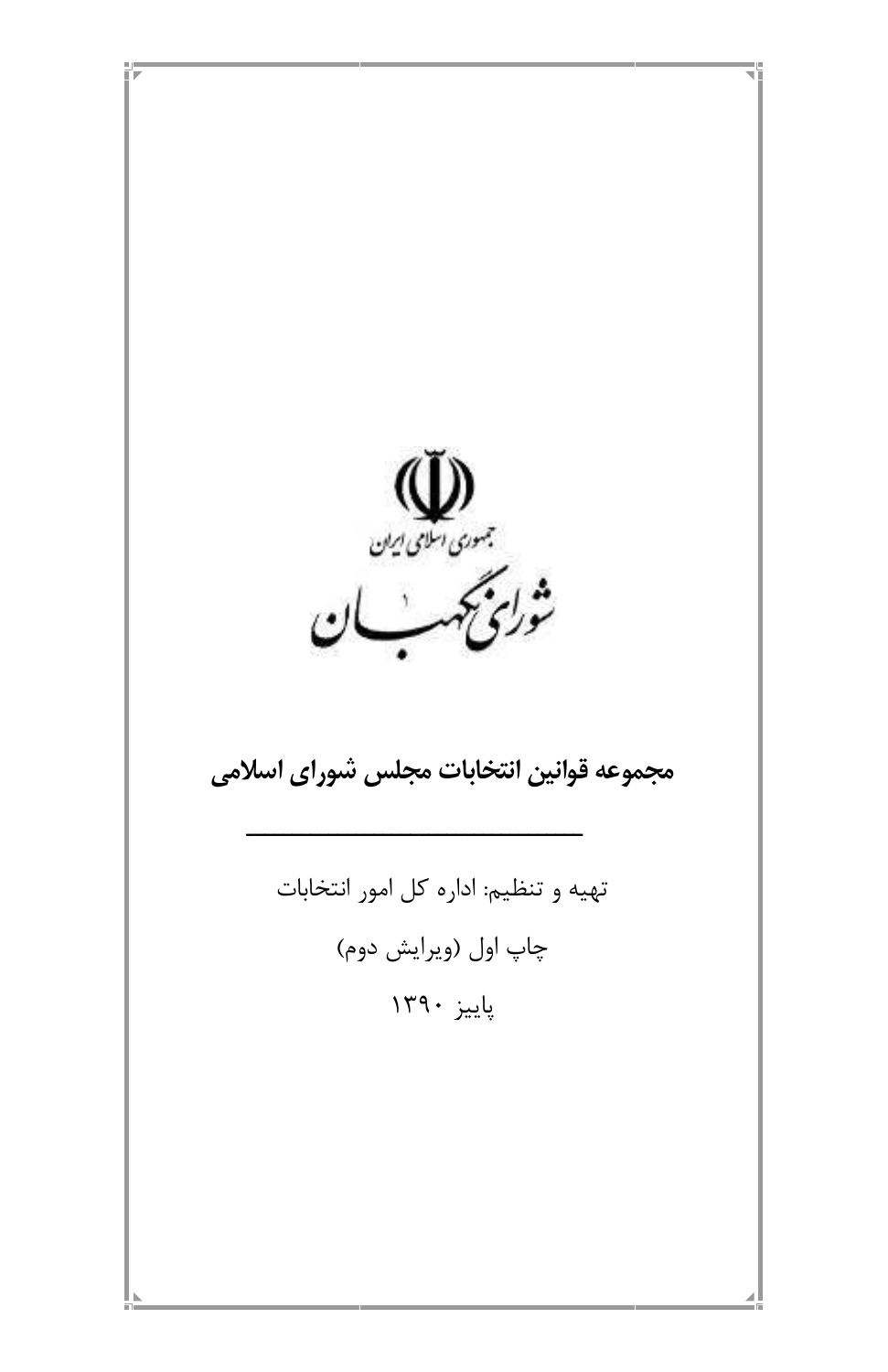

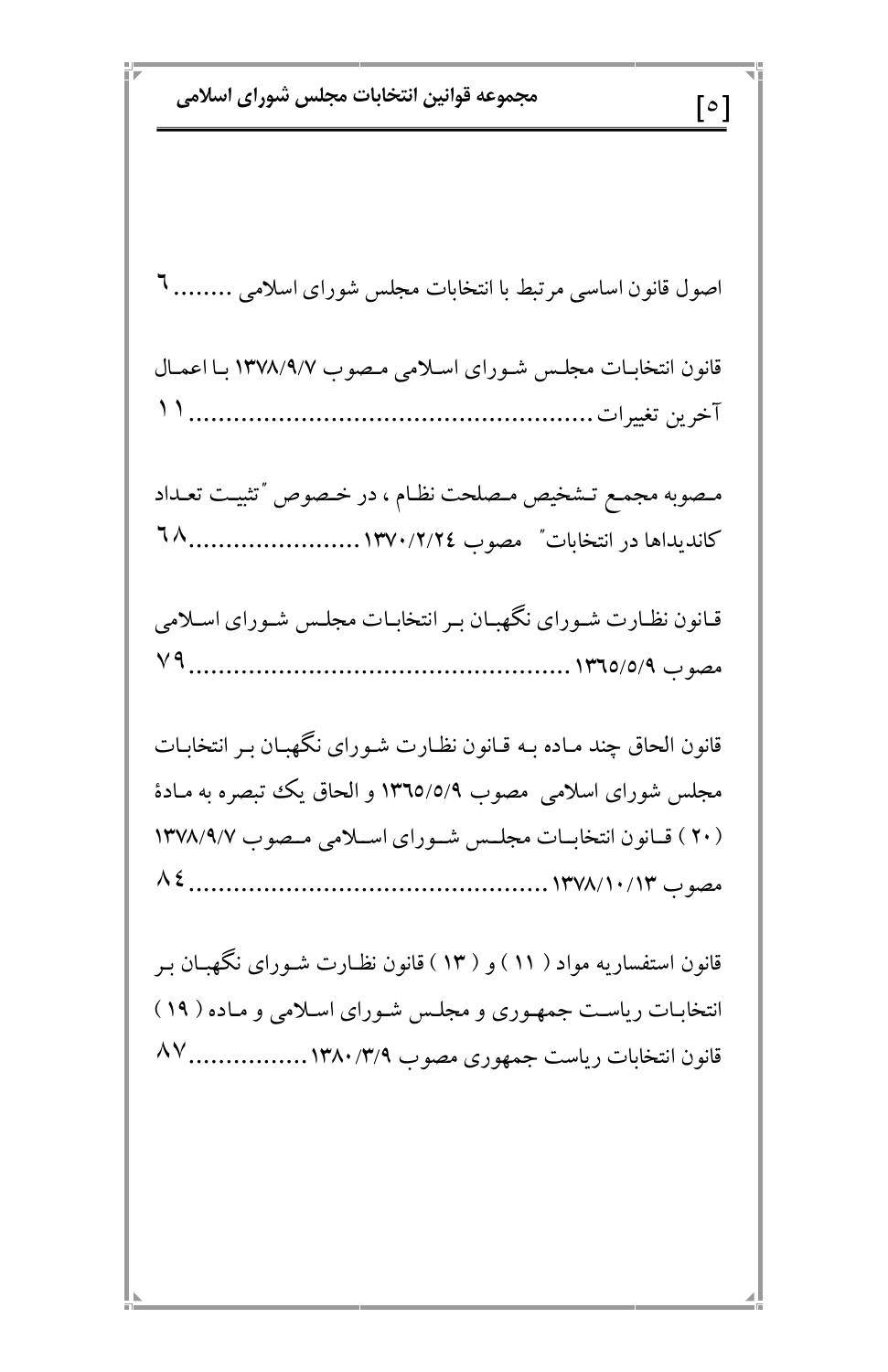مجموعه قوانين انتخابات مجلس شوراي اسلامي  $\lceil \, \circ \, \rceil$ اصول قانون اساسی مرتبط با انتخابات مجلس شورای اسلامی ........ ٦ قانون انتخابـات مجلـس شـوراي اسـلامي مـصوب ١٣٧٨/٩/٧ بـا اعمـال مصوبه مجمع تشخيص مصلحت نظام ، در خصوص "تثبيت تعداد قـانون نظـارت شـوراي نگـهبـان بـر انتخابـات مجلـس شـوراي اسـلامي قانون الحاق چند مـاده بـه قـانون نظـارت شـورای نگـهبـان بـر انتخابـات مجلس شورای اسلامی ً مصوب ١٣٦٥/٥/٩ و الحاق یک تبصره به مـادهٔ (۲۰) قبانون انتخابــات مجلــس شــوراي اســلامي مــصوب ۱۳۷۸/۹/۷ قانون استفساریه مواد ( ۱۱ ) و ( ۱۳ ) قانون نظـارت شـورای نگـهبـان بـر انتخابات ریاست جمهوری و مجلس شورای اسلامی و ماده ( ۱۹ ) قانون انتخابات رياست جمهوري مصوب ١٣٨٠/٣/٩..................... ٨٧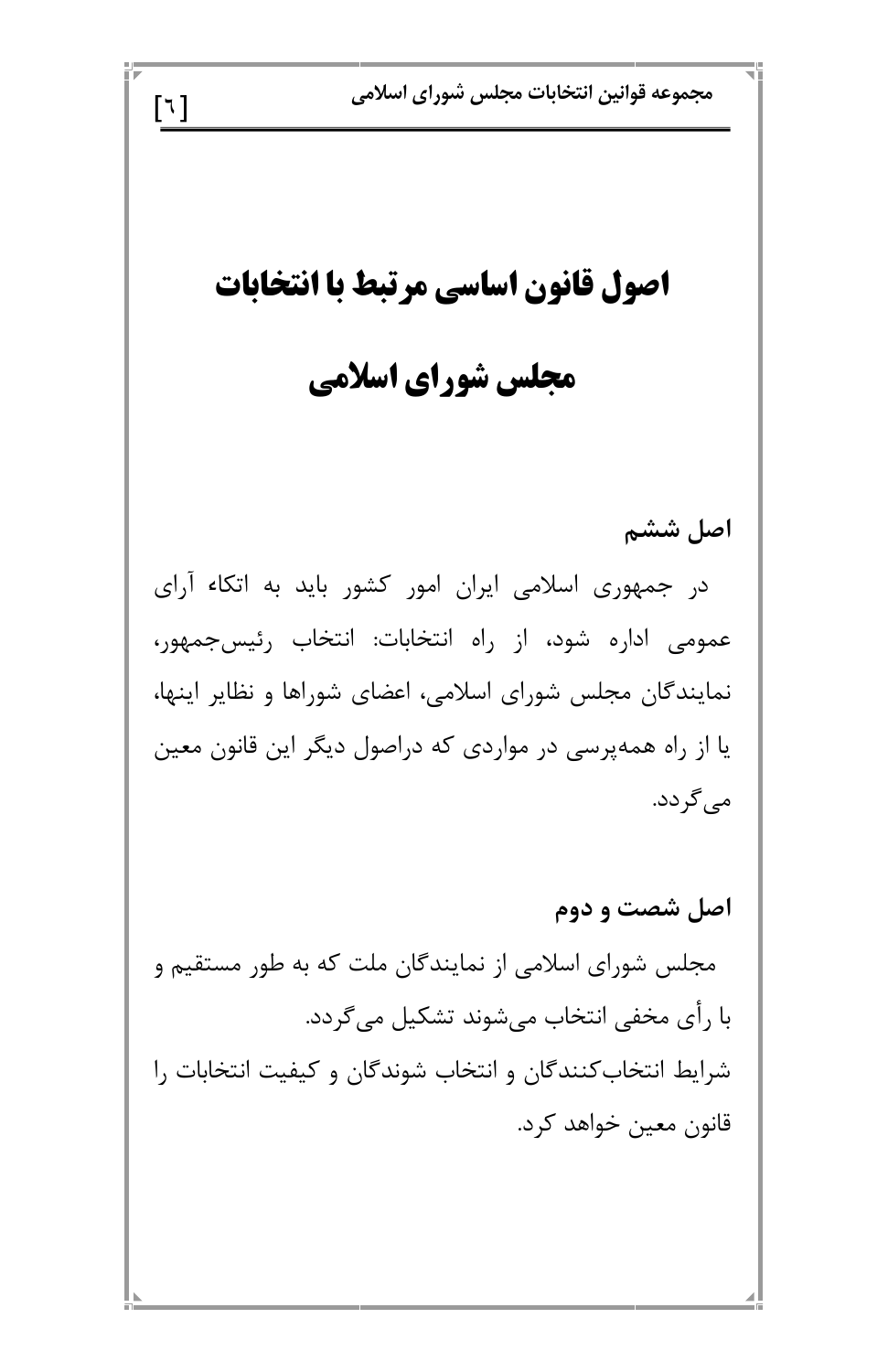مجموعه قوانين انتخابات مجلس شوراي اسلامي  $\lceil 7 \rceil$ اصول قانون اساسي مرتبط با انتخابات مجلس شورای اسلامی اصل ششم در جمهوری اسلامی ایران امور کشور باید به اتکاء آرای عمومی اداره شود، از راه انتخابات: انتخاب رئیسجمهور، نمایندگان مجلس شورای اسلامی، اعضای شوراها و نظایر اینها، یا از راه همهپرسی در مواردی که دراصول دیگر این قانون معین می گردد. اصل شصت و دوم مجلس شورای اسلامی از نمایندگان ملت که به طور مستقیم و با رأى مخفى انتخاب مىشوند تشكيل مى گردد. شرایط انتخاب کنندگان و انتخاب شوندگان و کیفیت انتخابات را قانون معين خواهد كرد.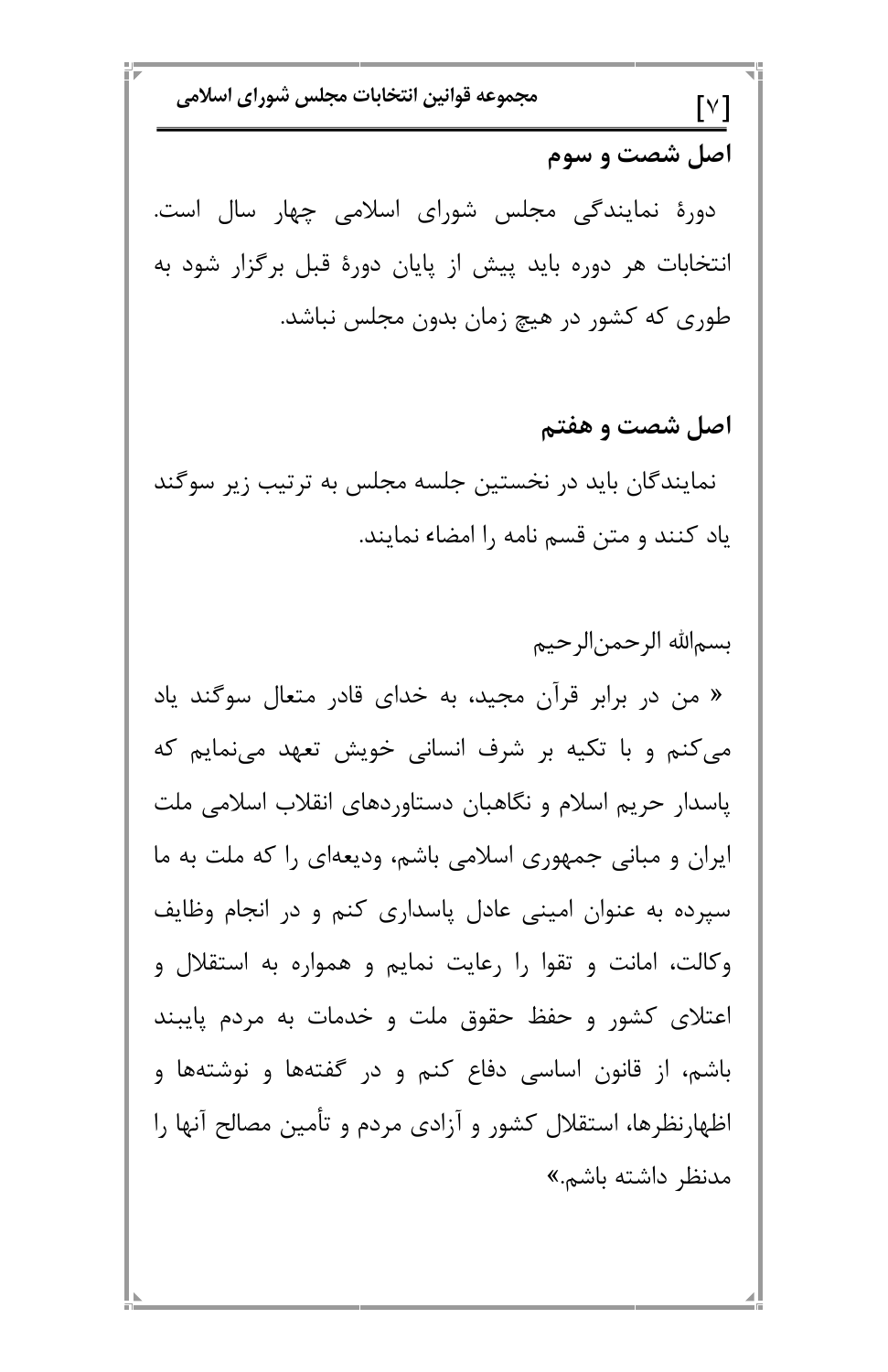مجموعه قوانين انتخابات مجلس شوراي اسلامي  $\lceil \vee \rceil$ اصل شصت و سوم دورهٔ نمایندگی مجلس شورای اسلامی چهار سال است. انتخابات هر دوره باید پیش از پایان دورهٔ قبل برگزار شود به طوری که کشور در هیچ زمان بدون مجلس نباشد. اصل شصت و هفتم نمایندگان باید در نخستین جلسه مجلس به ترتیب زیر سوگند یاد کنند و متن قسم نامه را امضاء نمایند. بسم|لله الرحمن|لرحيم « من در برابر قرآن مجید، به خدای قادر متعال سوگند یاد می کنم و با تکیه بر شرف انسانی خویش تعهد مینمایم که یاسدار حریم اسلام و نگاهبان دستاوردهای انقلاب اسلامی ملت ایران و مبانی جمهوری اسلامی باشم، ودیعهای را که ملت به ما سپرده به عنوان امینی عادل پاسداری کنم و در انجام وظایف وکالت، امانت و تقوا را رعایت نمایم و همواره به استقلال و

اعتلای کشور و حفظ حقوق ملت و خدمات به مردم پایبند باشم، از قانون اساسی دفاع کنم و در گفتهها و نوشتهها و اظهارنظرها، استقلال کشور و آزادی مردم و تأمین مصالح آنها را مدنظر داشته باشم.»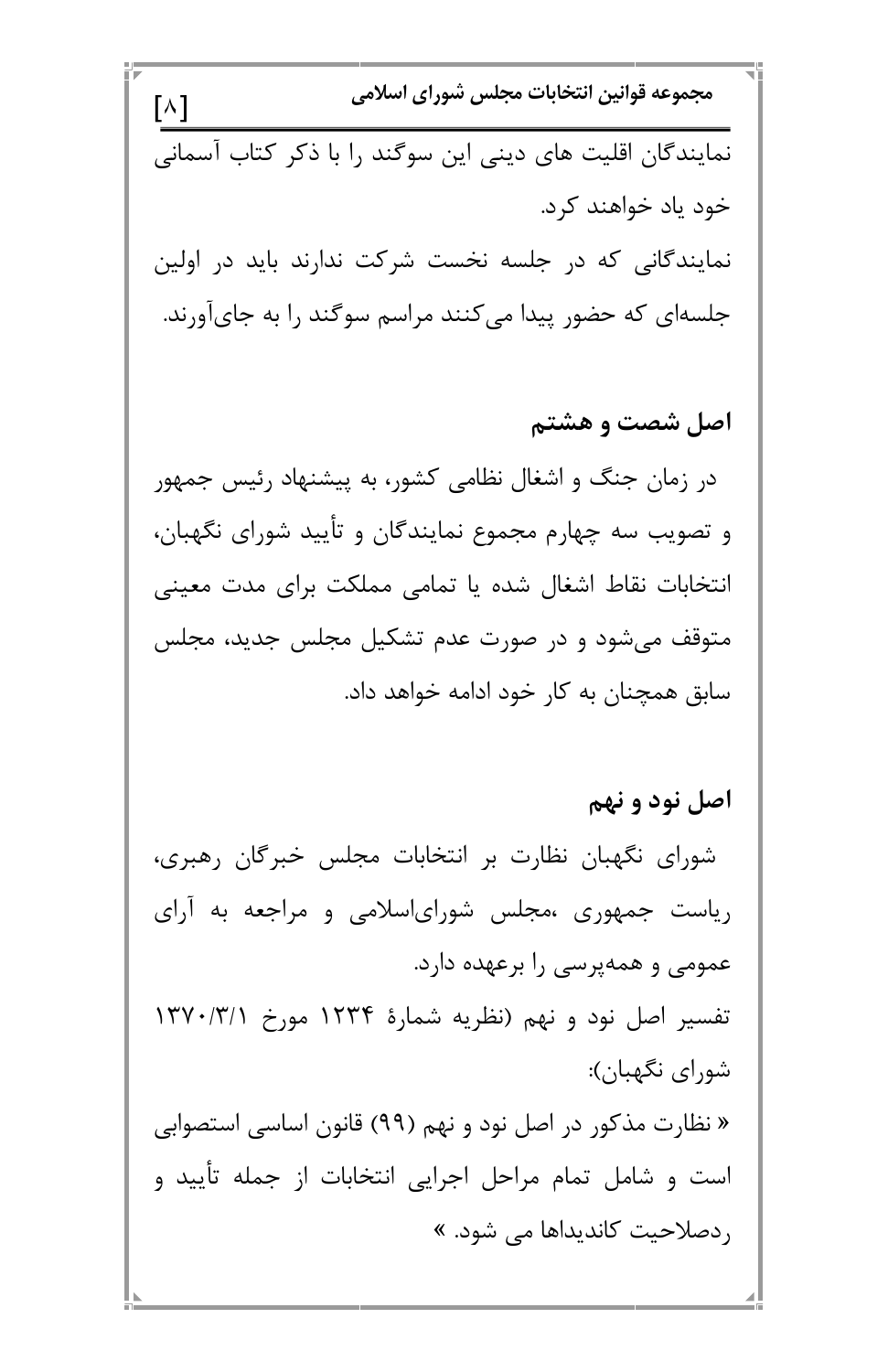مجموعه قوانين انتخابات مجلس شوراي اسلامي  $[\wedge]$ نمایندگان اقلیت های دینی این سوگند را با ذکر کتاب آسمانی خود ياد خواهند كرد. نمایندگانی که در جلسه نخست شرکت ندارند باید در اولین جلسهای که حضور پیدا می کنند مراسم سوگند را به جایآورند. اصل شصت و هشتم در زمان جنگ و اشغال نظامی کشور، به پیشنهاد رئیس جمهور و تصویب سه چهارم مجموع نمایندگان و تأیید شورای نگهبان، انتخابات نقاط اشغال شده یا تمامی مملکت برای مدت معینی متوقف میشود و در صورت عدم تشکیل مجلس جدید، مجلس سابق همچنان به کار خود ادامه خواهد داد. اصل نود و نهم شورای نگهبان نظارت بر انتخابات مجلس خبرگان رهبری،

ریاست جمهوری ،مجلس شورایاسلامی و مراجعه به آرای عمومی و همهپرسی را برعهده دارد.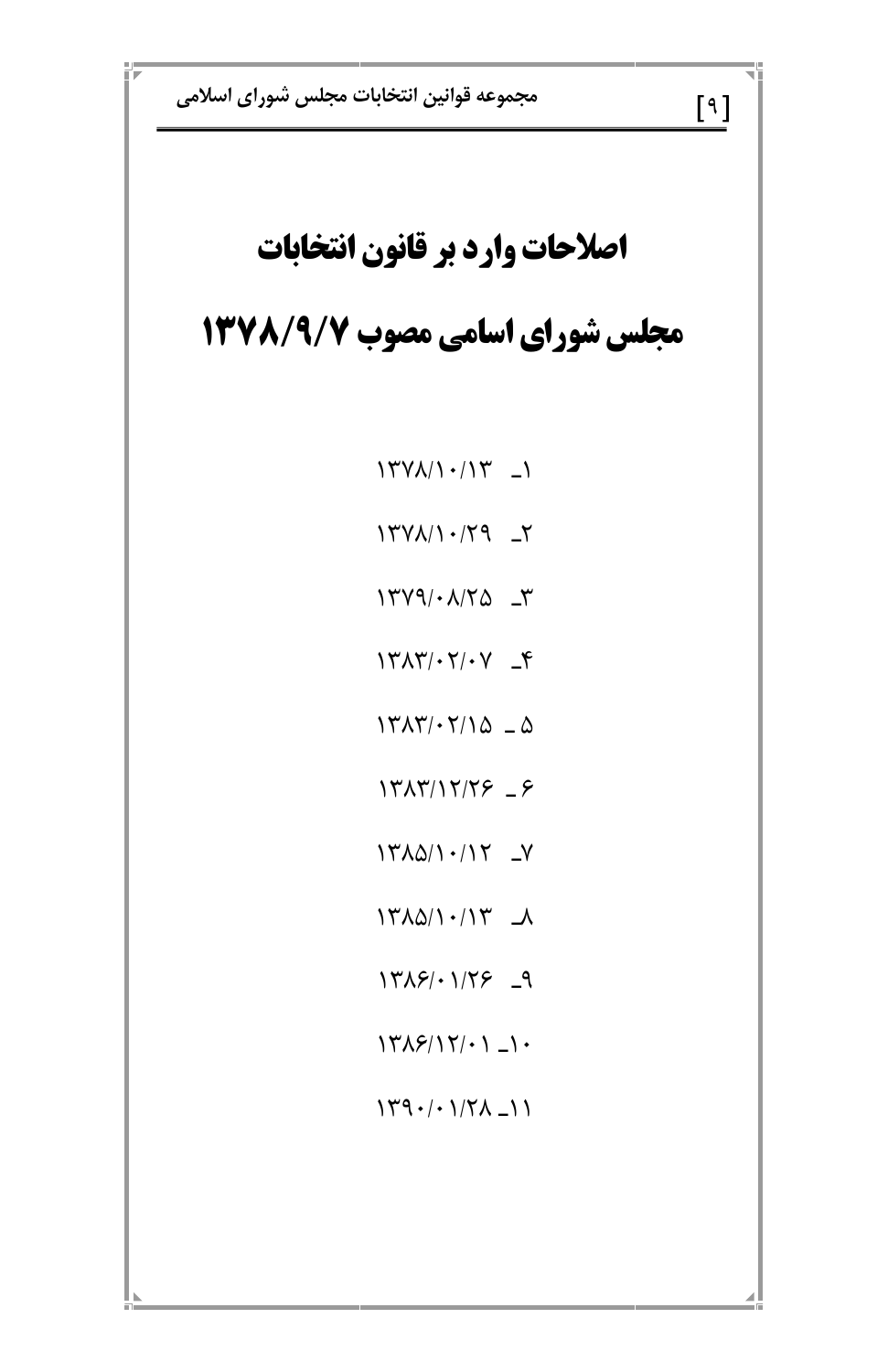مجموعه قوانين انتخابات مجلس شوراي اسلامي

### اصلاحات وارد بر قانون انتخابات

#### مجلس شورای اسامی مصوب ۱۳۷۸/۹/۷

 $14V\lambda/1.14V - 1$ 

 $1449 \cdot \lambda/70$   $\Gamma$ 

 $Y^{\prime\prime} \wedge Y^{\prime} \cdot Y^{\prime} \cdot Y = Y$ 

 $14\pi\Lambda\gamma\cdot\gamma/\Delta = \Delta$ 

 $14717/17/75 = 5$ 

 $Y^*$ 

 $14\lambda\Delta/1.14$ 

 $1419/·179$   $-9$ 

 $[9]$ 

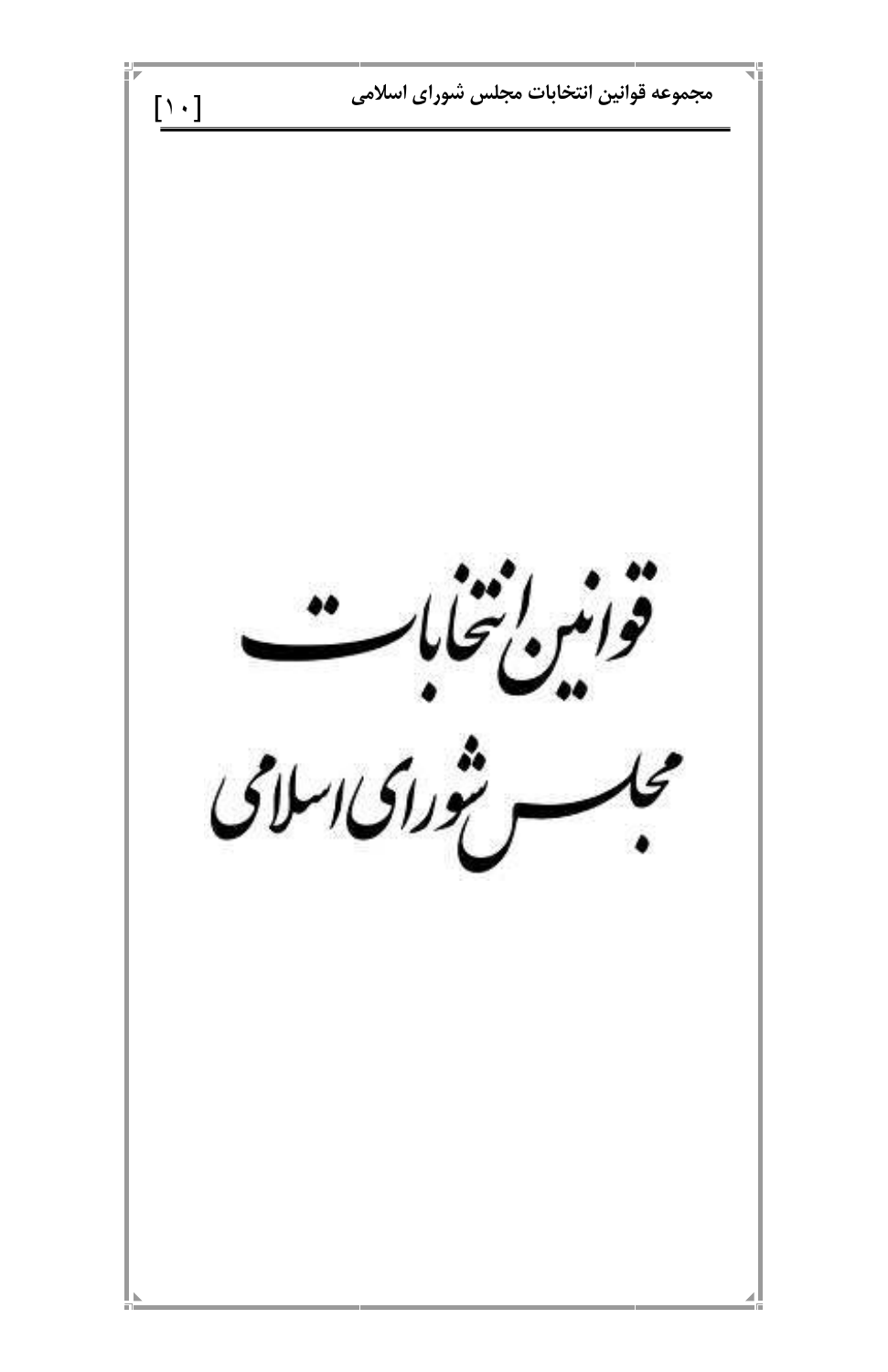مجموعه قوانين انتخابات مجلس شوراى اسلامى  $[\;\rangle\;\cdot\;]$ مورس انتهابر<br>فوامبره بالمحاما وستجورا كالرامحل

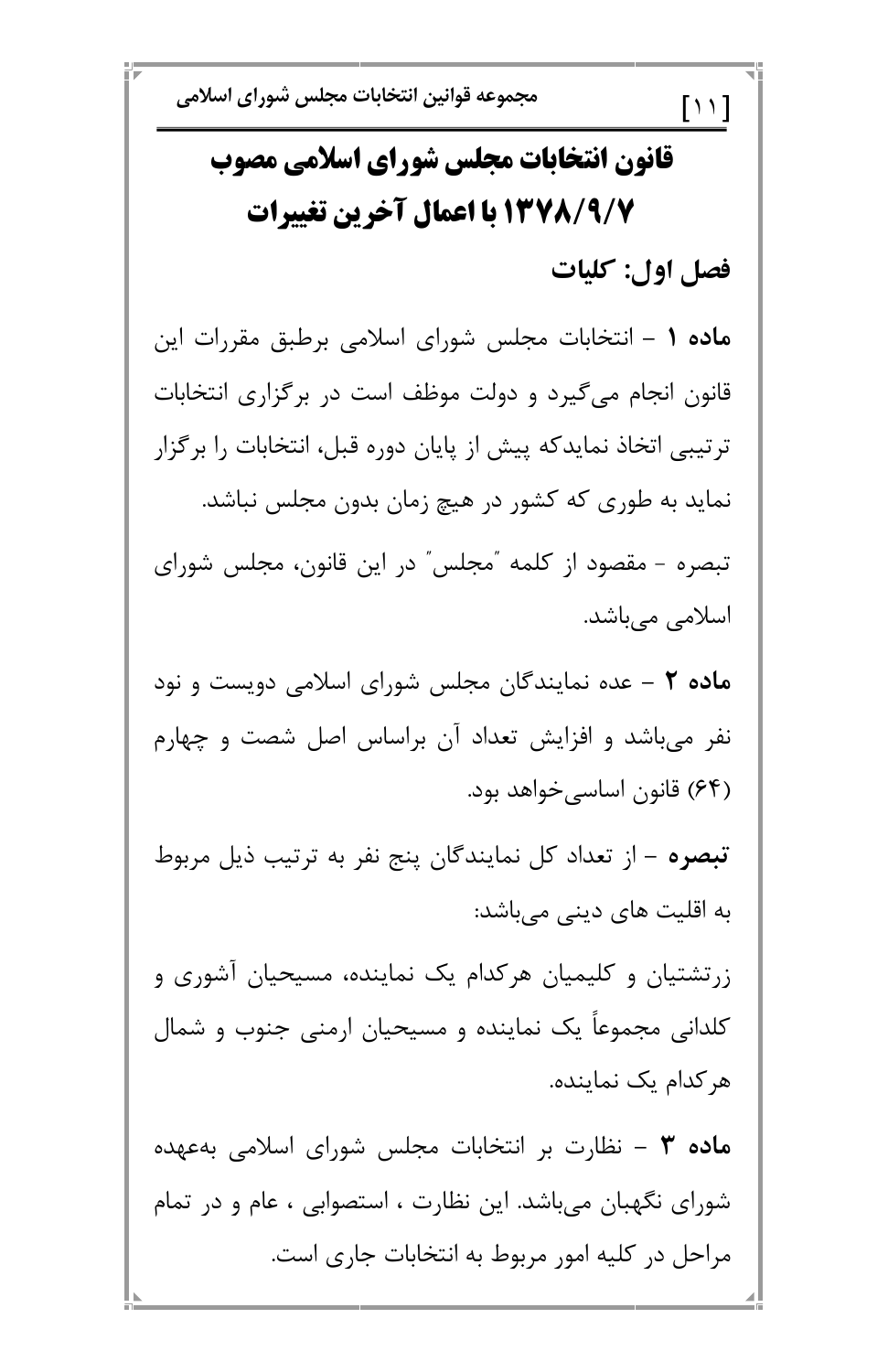## قانون انتخابات مجلس شوراي اسلامي مصوب 13778/4 با اعمال آخرین تغییرات فصل اول: كليات

ماده ۱ – انتخابات مجلس شورای اسلامی برطبق مقررات این قانون انجام میگیرد و دولت موظف است در برگزاری انتخابات ترتیبی اتخاذ نمایدکه پیش از پایان دوره قبل، انتخابات را برگزار نماید به طوری که کشور در هیچ زمان بدون مجلس نباشد. تبصره - مقصود از کلمه "مجلس" در این قانون، مجلس شورای اسلامی میباشد.

ماده ۲ – عده نمایندگان مجلس شورای اسلامی دویست و نود نفر میباشد و افزایش تعداد آن براساس اصل شصت و چهارم (۶۴) قانون اساسیخواهد بود.

تبصره – از تعداد کل نمایندگان پنج نفر به ترتیب ذیل مربوط به اقلیت های دینی میباشد:

زرتشتیان و کلیمیان هرکدام یک نماینده، مسیحیان آشوری و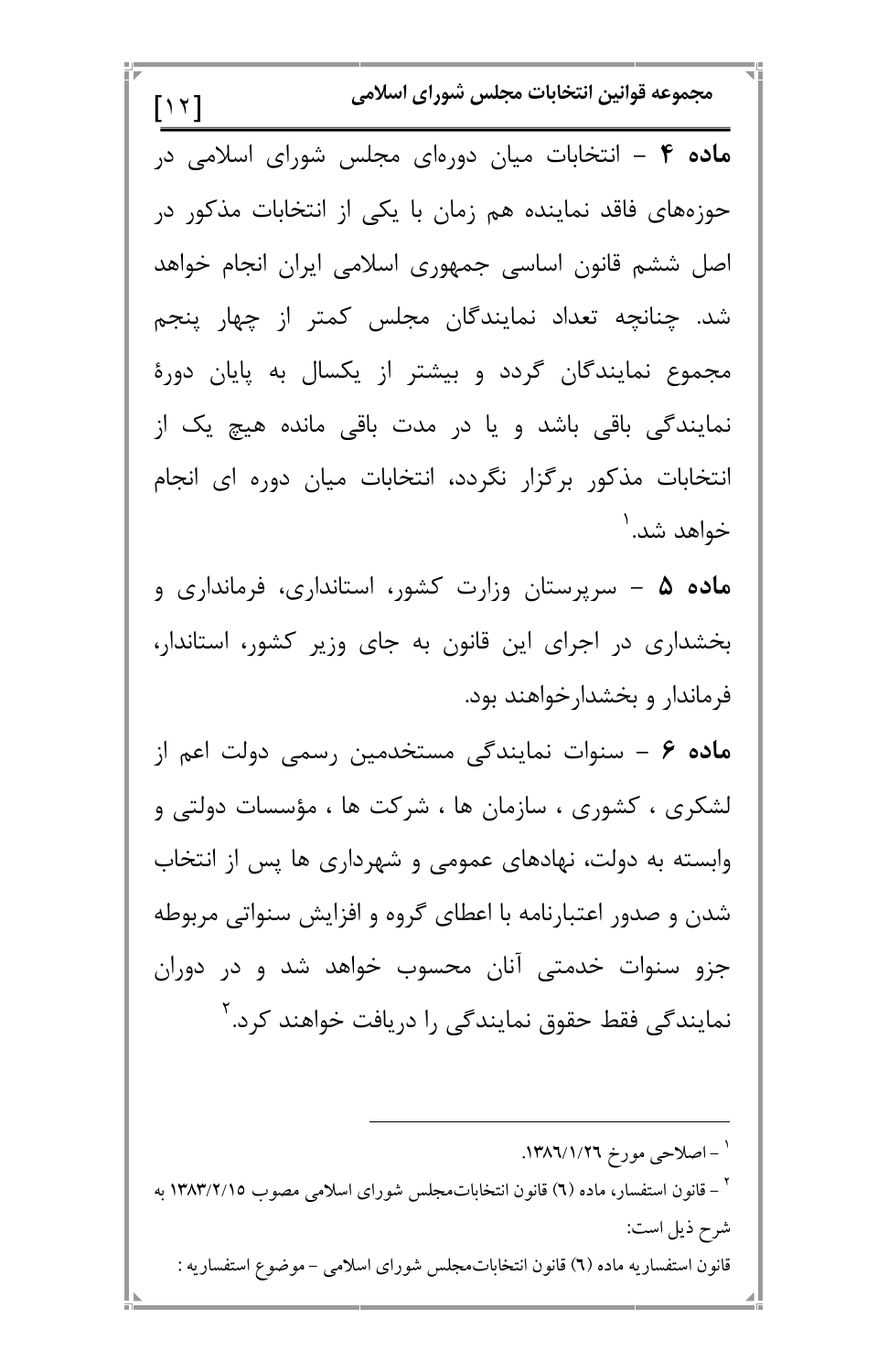مجموعه قوانين انتخابات مجلس شوراي اسلامي  $[\n\prime \n\prime]$ ماده ۴ – انتخابات میان دورهای مجلس شورای اسلامی در حوزههای فاقد نماینده هم زمان با یکی از انتخابات مذکور در اصل ششم قانون اساسی جمهوری اسلامی ایران انجام خواهد شد. چنانچه تعداد نمایندگان مجلس کمتر از چهار پنجم مجموع نمایندگان گردد و بیشتر از یکسال به پایان دورهٔ نمایندگی باقی باشد و یا در مدت باقی مانده هیچ یک از انتخابات مذکور برگزار نگردد، انتخابات میان دوره ای انجام خواهد شد. ۱ م**اده ۵ –** سرپرستان وزارت کشور، استانداری، فرمانداری و بخشداری در اجرای این قانون به جای وزیر کشور، استاندار، فرماندار و بخشدار خواهند بود. ماده ۶ – سنوات نمایندگی مستخدمین رسمی دولت اعم از لشکری ، کشوری ، سازمان ها ، شرکت ها ، مؤسسات دولتی و وابسته به دولت، نهادهای عمومی و شهرداری ها پس از انتخاب شدن و صدور اعتبارنامه با اعطای گروه و افزایش سنواتی مربوطه جزو سنوات خدمتی آنان محسوب خواهد شد و در دوران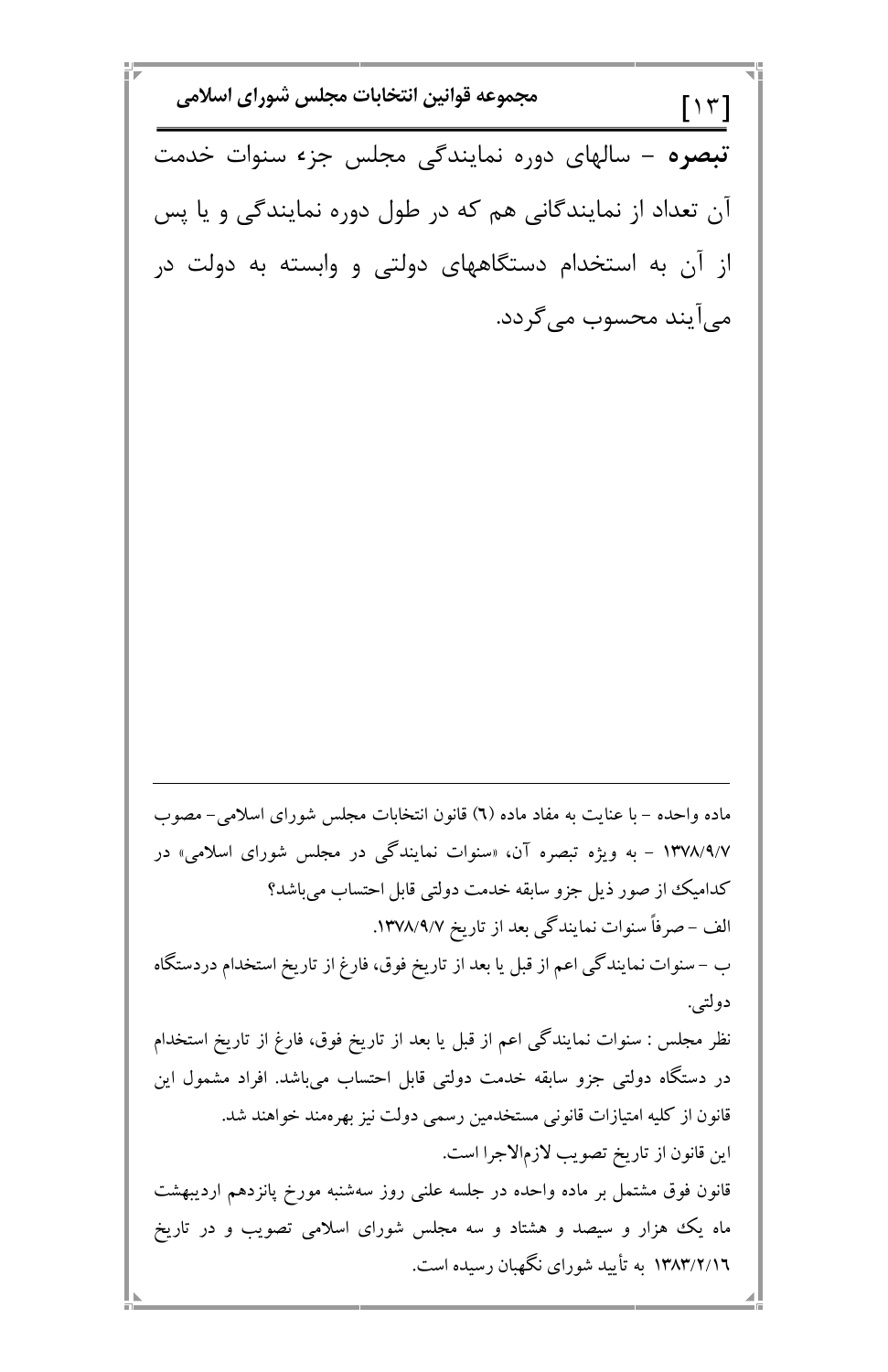مجموعه قوانين انتخابات مجلس شوراي اسلامي  $[\gamma \tau]$ تبصره – سالهای دوره نمایندگی مجلس جزء سنوات خدمت آن تعداد از نمایندگانی هم که در طول دوره نمایندگی و یا پس از آن به استخدام دستگاههای دولتی و وابسته به دولت در می|یند محسوب میگردد. ماده واحده – با عنایت به مفاد ماده (٦) قانون انتخابات مجلس شورای اسلامی– مصوب ۱۳۷۸/۹/۷ – به ویژه تبصره آن، «سنوات نمایندگی در مجلس شورای اسلامی» در كداميك از صور ذيل جزو سابقه خدمت دولتي قابل احتساب ميباشد؟ الف – صرفاً سنوات نمایندگی بعد از تاریخ ۱۳۷۸/۹/۷. ب – سنوات نمایندگی اعم از قبل یا بعد از تاریخ فوق، فارغ از تاریخ استخدام دردستگاه دولتي.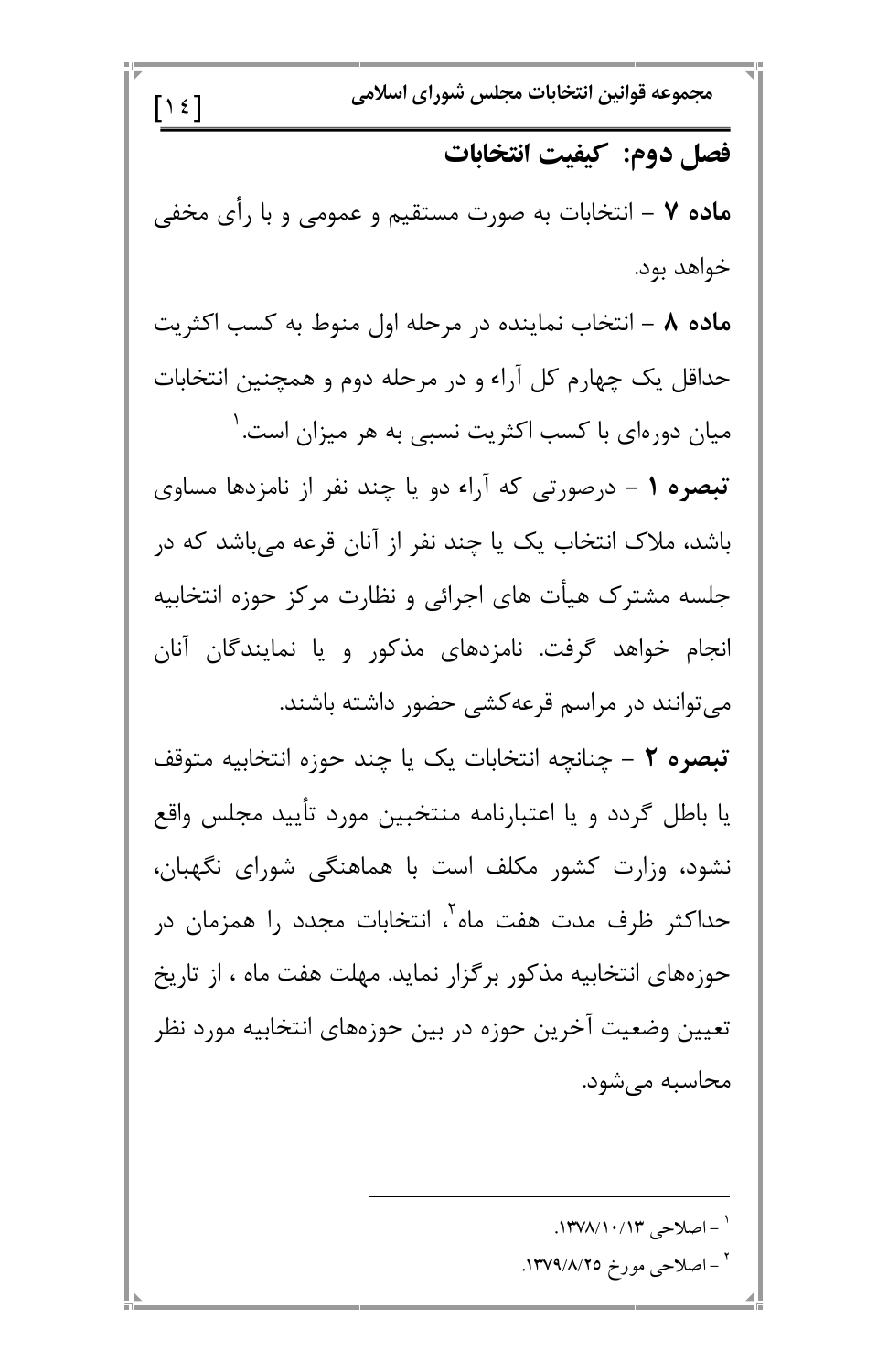$[ \; ]$ مجموعه قوانين انتخابات مجلس شوراى اسلا فصل دوم: کیفیت انتخابات **ماده ۷** – انتخابات به صورت مستقیم و عمومی و با رأی مخفی خواهد بود. ه**اده ۸** – انتخاب نماینده در مرحله اول منوط به کسب اکثریت حداقل یک چهارم کل آراء و در مرحله دوم و همچنین انتخابات میان دورهای با کسب اکثریت نسبی به هر میزان است. ' **تبصره ۱** – درصورتی که آراء دو یا چند نفر از نامزدها مساوی باشد، ملاک انتخاب یک یا چند نفر از آنان قرعه میباشد که در جلسه مشترک هیأت های اجرائی و نظارت مرکز حوزه انتخابیه انجام خواهد گرفت. نامزدهای مذکور و یا نمایندگان آنان میتوانند در مراسم قرعهکشی حضور داشته باشند. **تبصره ٢** – چنانچه انتخابات یک یا چند حوزه انتخابیه متوقف یا باطل گردد و یا اعتبارنامه منتخبین مورد تأیید مجلس واقع نشود، وزارت کشور مکلف است با هماهنگی شورای نگهبان، حداکثر ظرف مدت هفت ماه ، انتخابات مجدد را همزمان در حوزههای انتخابیه مذکور برگزار نماید. مهلت هفت ماه ، از تاریخ

 )@6T B 6T B N2 GE BE .8, P.v " ."#\$/"@/"# S R <sup>&</sup>gt; ."#!/\$/>C T S R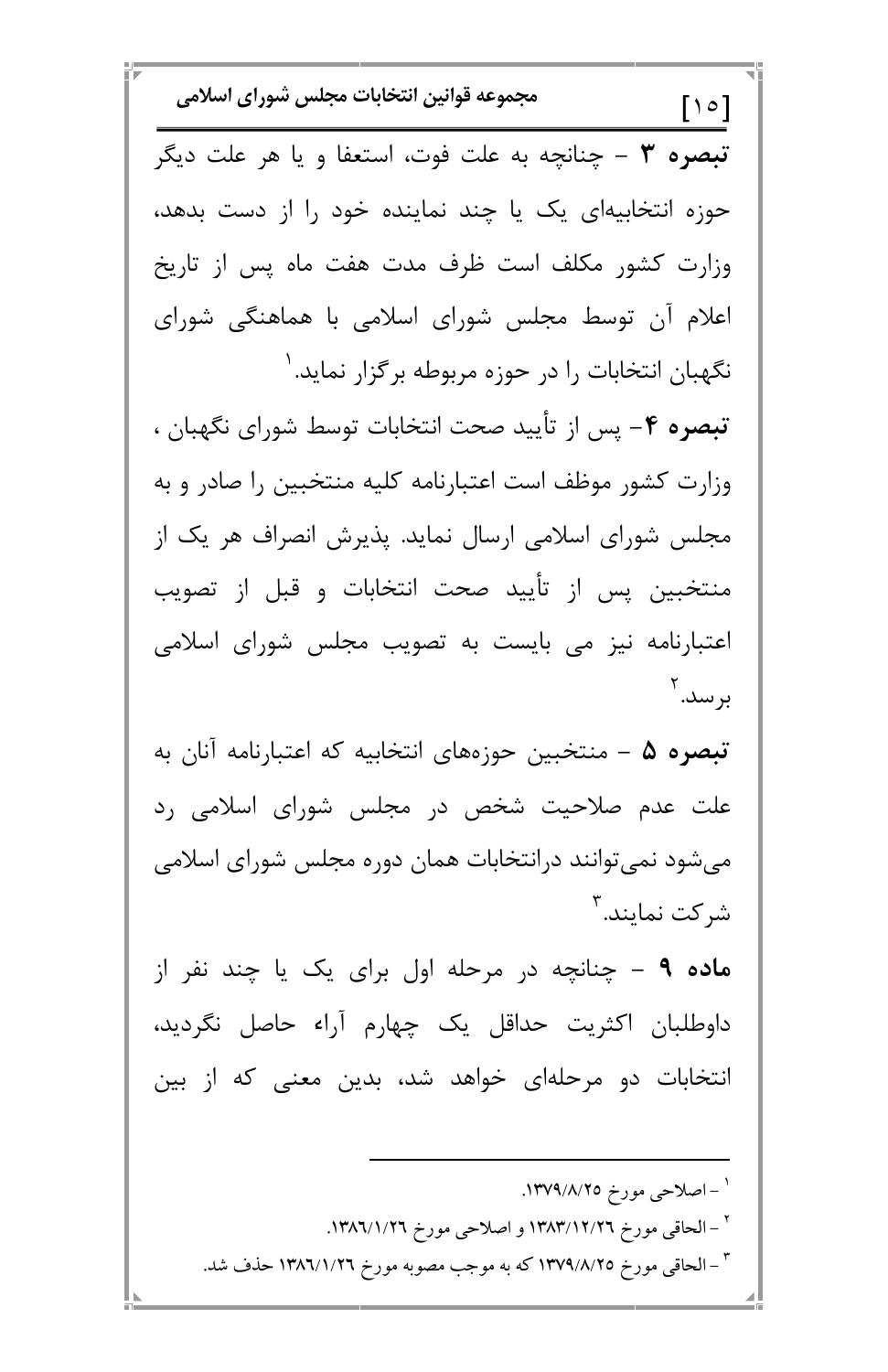مجموعه قوانين انتخابات مجلس شوراي اسلامي  $\lceil \cdot \circ \rceil$ تبصره ٣ - چنانچه به علت فوت، استعفا و يا هر علت ديگر حوزه انتخابیهای یک یا چند نماینده خود را از دست بدهد، وزارت كشور مكلف است ظرف مدت هفت ماه پس از تاريخ اعلام آن توسط مجلس شورای اسلامی با هماهنگی شورای نگهبان انتخابات را در حوزه مربوطه برگزار نماید. ' تبصره ۴- پس از تأييد صحت انتخابات توسط شوراي نگهبان ، وزارت کشور موظف است اعتبارنامه کلیه منتخبین را صادر و به مجلس شورای اسلامی ارسال نماید. پذیرش انصراف هر یک از منتخبین پس از تأیید صحت انتخابات و قبل از تصویب اعتبارنامه نیز می بایست به تصویب مجلس شورای اسلامی برسد.۲ **تبصره ۵** – منتخبین حوزههای انتخابیه که اعتبارنامه آنان به علت عدم صلاحیت شخص در مجلس شورای اسلامی رد می شود نمی توانند درانتخابات همان دوره مجلس شورای اسلامی شركت نمايند.<sup>۳</sup> م**اده ۹** – چنانچه در مرحله اول برای یک یا چند نفر از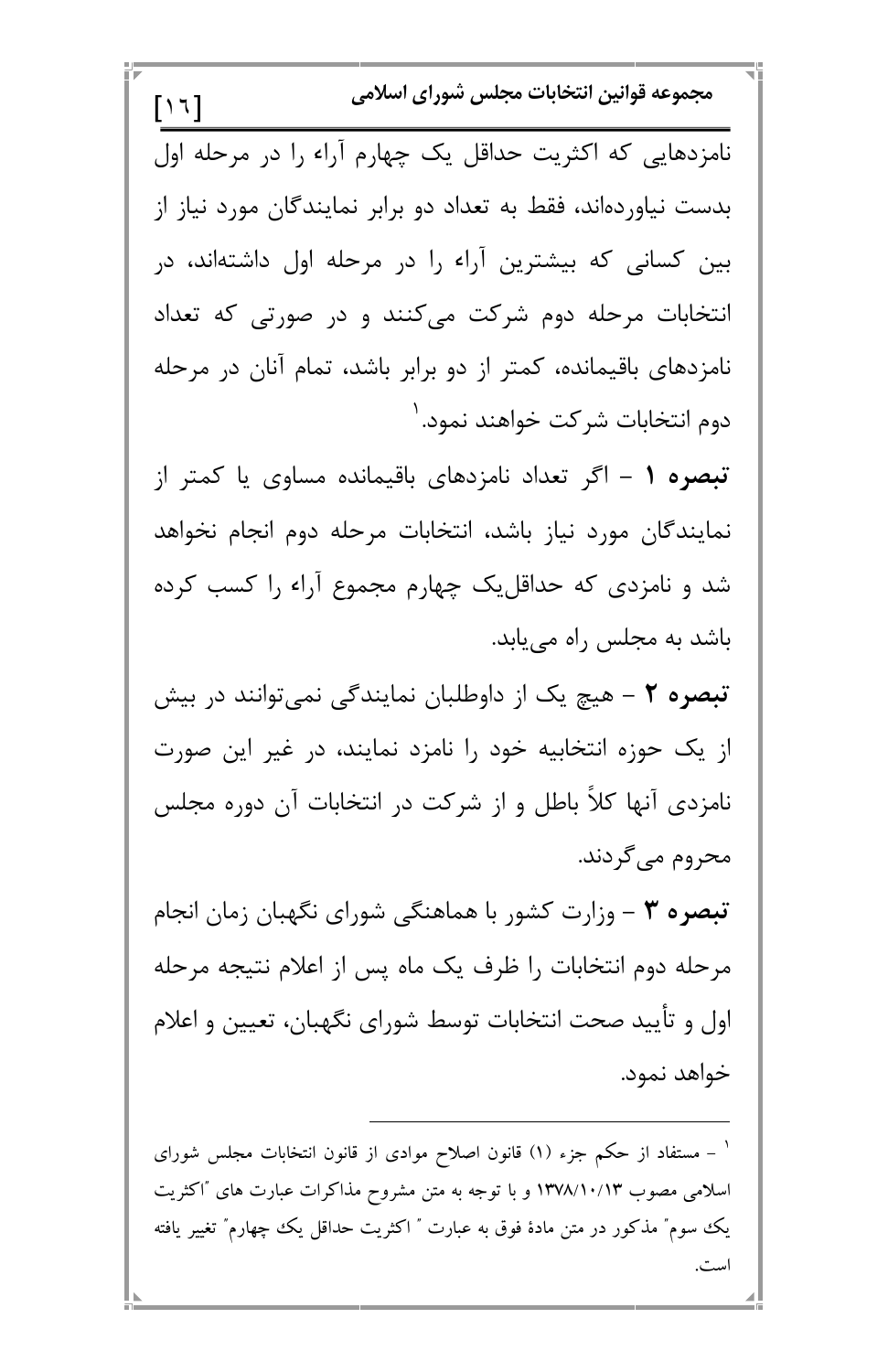مجموعه قوانين انتخابات مجلس شوراي اسلامي  $[\n\backslash \n\backslash]$ نامزدهایی که اکثریت حداقل یک چهارم آراء را در مرحله اول بدست نیاوردهاند، فقط به تعداد دو برابر نمایندگان مورد نیاز از بین کسانی که بیشترین آراء را در مرحله اول داشتهاند، در انتخابات مرحله دوم شرکت میکنند و در صورتی که تعداد نامزدهای باقیمانده، کمتر از دو برابر باشد، تمام آنان در مرحله دوم انتخابات شركت خواهند نمود. ' تبصره ۱ – اگر تعداد نامزدهای باقیمانده مساوی یا کمتر از نمايندگان مورد نياز باشد، انتخابات مرحله دوم انجام نخواهد شد و نامزدی که حداقل یک چهارم مجموع آراء را کسب کرده باشد به مجلس راه می یابد. **تبصره ۲** – هیچ یک از داوطلبان نمایندگی نمیتوانند در بیش از یک حوزه انتخابیه خود را نامزد نمایند، در غیر این صورت نامزدی آنها کلاً باطل و از شرکت در انتخابات آن دوره مجلس محروم میگردند. تبصره ٣ - وزارت كشور با هماهنگي شوراي نگهبان زمان انجام مرحله دوم انتخابات ,ا ظرف یک ماه پس از اعلام نتیجه مرحله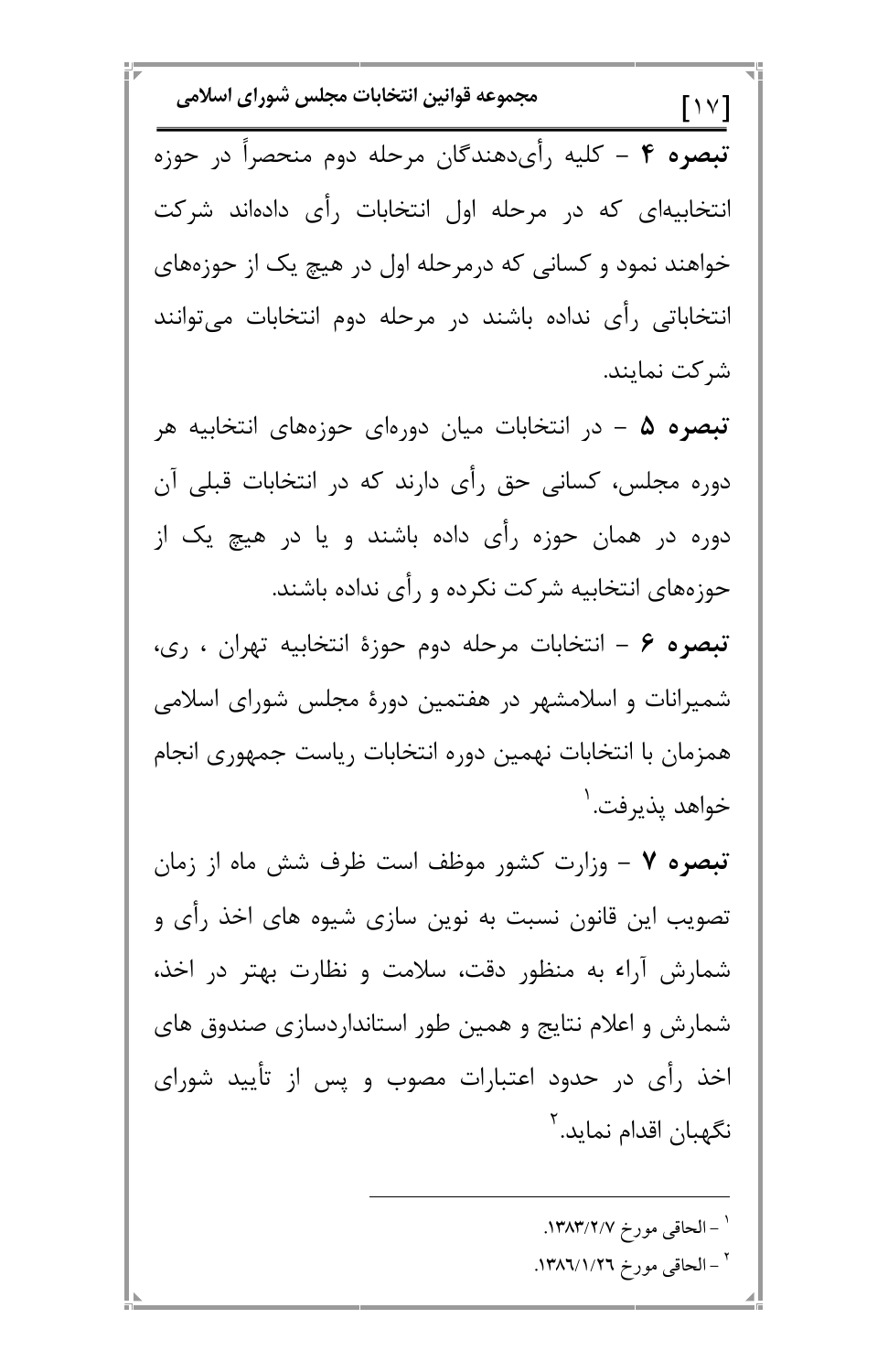مجموعه قوانين انتخابات مجلس شوراي اسلامي  $\lceil \ \vee \ \vee \rceil$ تبصره ۴ – کلیه رأیدهندگان مرحله دوم منحصراً در حوزه انتخابیهای که در مرحله اول انتخابات رأی دادهاند شرکت خواهند نمود و کسانی که درمرحله اول در هیچ یک از حوزههای انتخاباتی رأی نداده باشند در مرحله دوم انتخابات میتوانند شر کت نمایند. **تبصره ۵** – در انتخابات میان دورهای حوزههای انتخابیه هر دوره مجلس، کسانی حق رأی دارند که در انتخابات قبلی آن دوره در همان حوزه رأی داده باشند و یا در هیچ یک از حوزههای انتخابیه شرکت نکرده و رأی نداده باشند. تبصره ۶ – انتخابات مرحله دوم حوزهٔ انتخابیه تهران ، ری، شمیرانات و اسلامشهر در هفتمین دورهٔ مجلس شورای اسلامی همزمان با انتخابات نهمين دوره انتخابات رياست جمهوري انجام خواهد پذيرفت. <sup>'</sup> تبصره ٧ – وزارت كشور موظف است ظرف شش ماه از زمان تصویب این قانون نسبت به نوین سازی شیوه های اخذ رأی و شمارش آراء به منظور دقت، سلامت و نظارت بهتر در اخذ،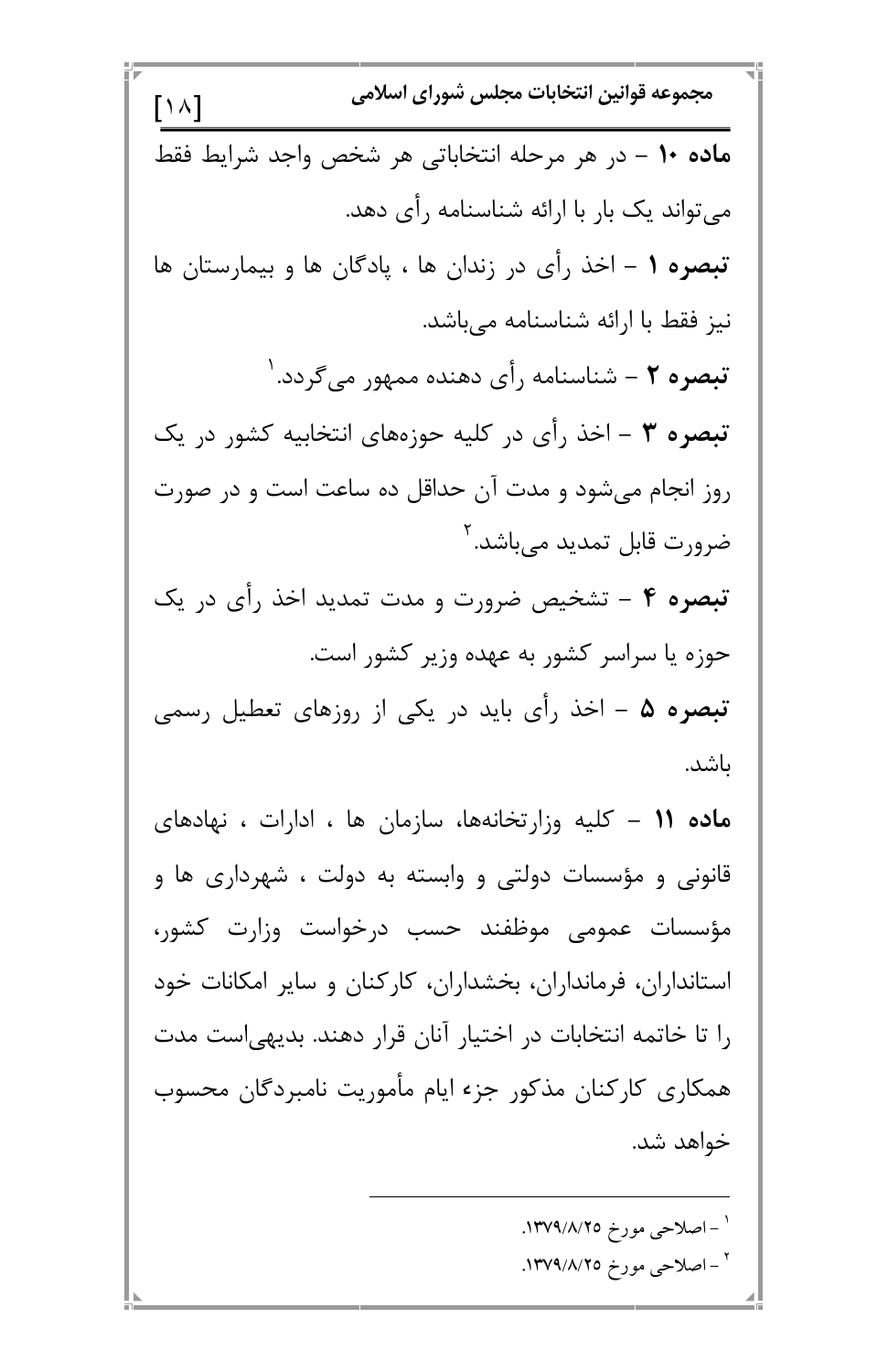$[\wedge \wedge]$ مجموعه قوانين انتخابات مجلس شوراى اسلا **ماده ۱۰ –** در هر مرحله انتخاباتی هر شخص واجد شرایط فقط میتواند یک بار با ارائه شناسنامه رأی دهد. **تبصره ۱** – اخذ رأى در زندان ها ، پادگان ها و بيمارستان ها نیز فقط با ارائه شناسنامه میباشد. **تبصره ۲** – شناسنامه رأى دهنده ممهور مىگردد. ' تبصره ۳ – اخذ رأى در كليه حوزههاى انتخابيه كشور در يك روز انجام میشود و مدت آن حداقل ده ساعت است و در صورت ضرورت قابل تمديد م<sub>ى ب</sub>اشد.<sup>٢</sup> **تبصره ۴** – تشخیص ضرورت و مدت تمدید اخذ رأی در یک حوزه یا سراسر کشور به عهده وزیر کشور است. **تبصره ۵** – اخذ رأى بايد در يكى از روزهاى تعطيل رسمى ىاشد. )@ 7 7 @ /6. 7@
6 = **7 << K**  قانونی و مؤسسات دولتی و وابسته به دولت ، شهرداری ها و مؤسسات عمومی موظفند حسب درخواست وزارت کشور، استانداران، فرمانداران، بخشداران، کارکنان و سایر امکانات خود

0 G.,0 .0 @ D /2 N \*N 9Iv /< P G
\_ ! 3#+ n / )
4\*@ .08 0@N " ."#!/\$/>C T S R <sup>&</sup>gt; ."#!/\$/>C T S R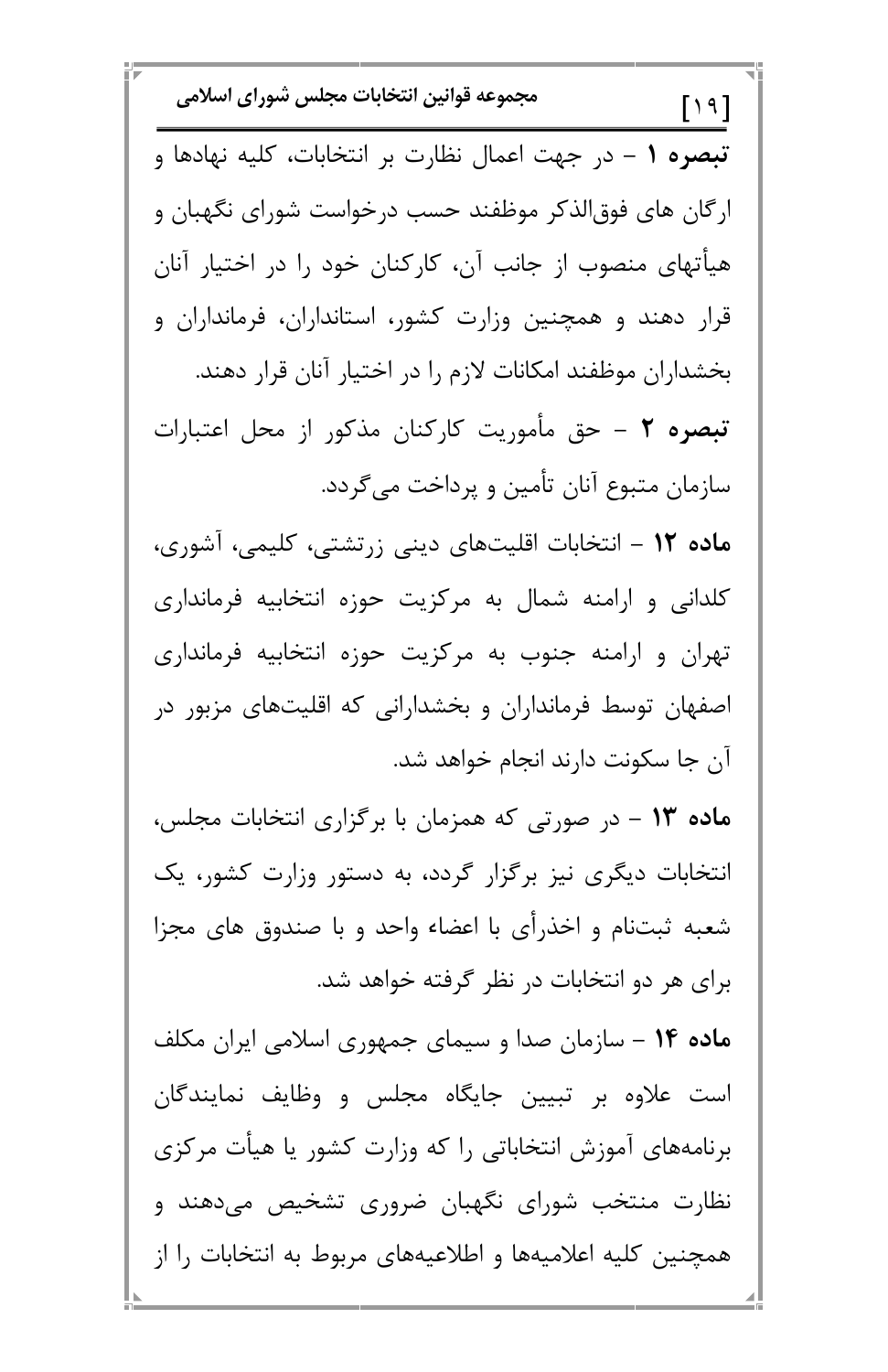مجموعه قوانين انتخابات مجلس شوراي اسلامي  $[19]$ تبصره ١ - در جهت اعمال نظارت بر انتخابات، كليه نهادها و ارگان های فوق|لذکر موظفند حسب درخواست شورای نگهبان و هیأتهای منصوب از جانب آن، کارکنان خود را در اختیار آنان قرار دهند و همچنین وزارت کشور، استانداران، فرمانداران و بخشداران موظفند امكانات لازم را در اختيار آنان قرار دهند. تبصره ٢ - حق مأموريت كاركنان مذكور از محل اعتبارات سازمان متبوع آنان تأمين و پرداخت مي گردد. ماده ۱۲ – انتخابات اقلیتهای دینی زرتشتی، کلیمی، آشوری، کلدانی و ارامنه شمال به مرکزیت حوزه انتخابیه فرمانداری تهران و ارامنه جنوب به مرکزیت حوزه انتخابیه فرمانداری اصفهان توسط فرمانداران و بخشدارانی که اقلیتهای مزبور در آن جا سكونت دارند انجام خواهد شد. ماده ۱۳ – در صورتی که همزمان با برگزاری انتخابات مجلس، انتخابات دیگری نیز برگزار گردد، به دستور وزارت کشور، یک شعبه ثبتنام و اخذرأى با اعضاء واحد و با صندوق هاى مجزا برای هر دو انتخابات در نظر گرفته خواهد شد.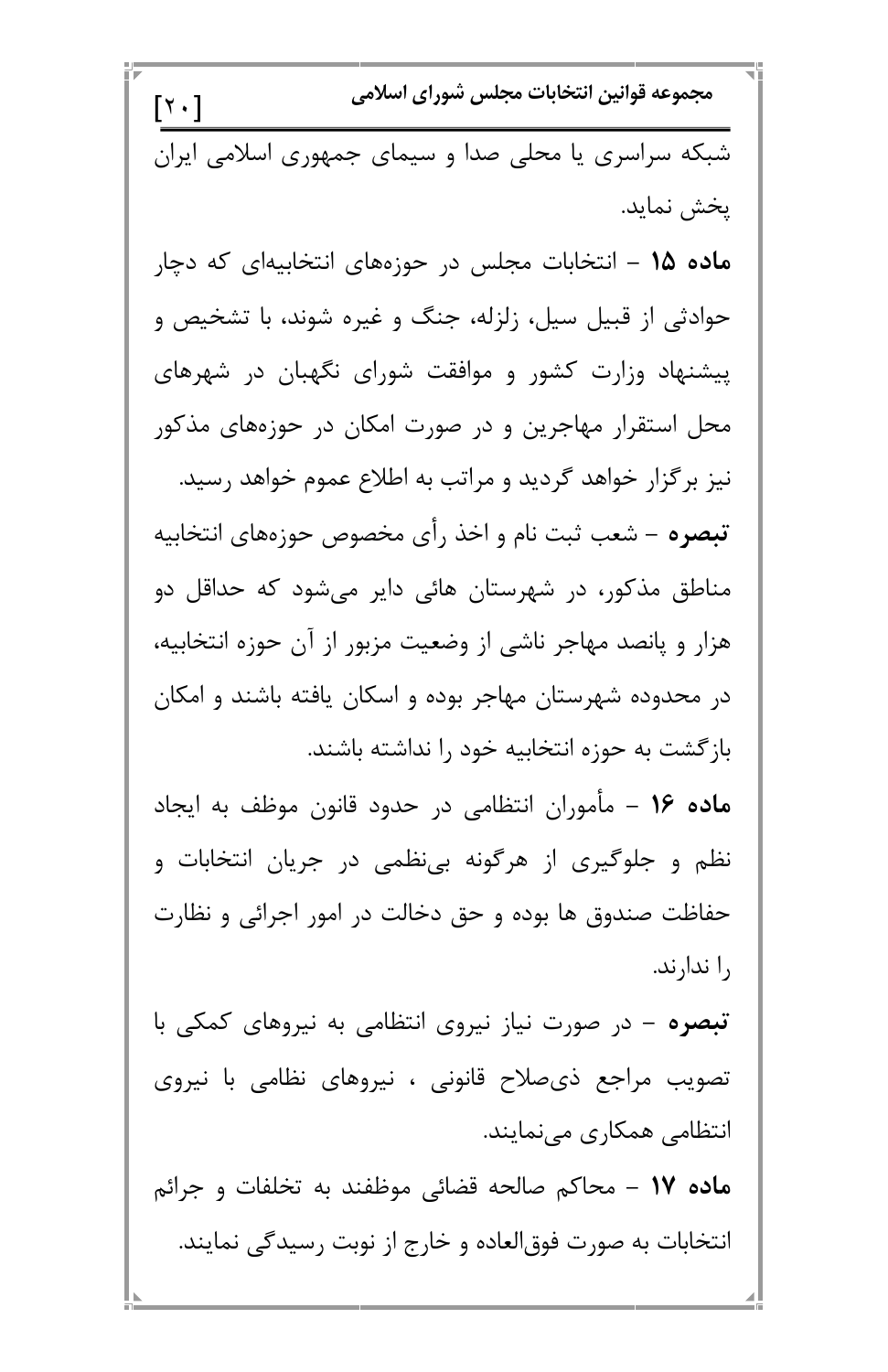مجموعه قوانين انتخابات مجلس شوراي اسلامي  $[\cdot \rangle]$ شبکه سراسری یا محلی صدا و سیمای جمهوری اسلامی ایران يخش نمايد. م**اده ۱۵ –** انتخابات مجلس در حوزههای انتخابیهای که دچار حوادثی از قبیل سیل، زلزله، جنگ و غیره شوند، با تشخیص و ییشنهاد وزارت کشور و موافقت شورای نگهبان در شهرهای محل استقرار مهاجرین و در صورت امکان در حوزههای مذکور نیز بر گزار خواهد گردید و مراتب به اطلاع عموم خواهد رسید. تبصره – شعب ثبت نام و اخذ رأى مخصوص حوزههاى انتخابيه مناطق مذکور، در شهرستان هائی دایر میشود که حداقل دو هزار و پانصد مهاجر ناشی از وضعیت مزبور از آن حوزه انتخابیه، در محدوده شهرستان مهاجر بوده و اسکان یافته باشند و امکان بازگشت به حوزه انتخابیه خود را نداشته باشند. ماده ۱۶ – مأموران انتظامی در حدود قانون موظف به ایجاد نظم و جلوگیری از هرگونه بینظمی در جریان انتخابات و حفاظت صندوق ها بوده و حق دخالت در امور اجرائی و نظارت را ندارند.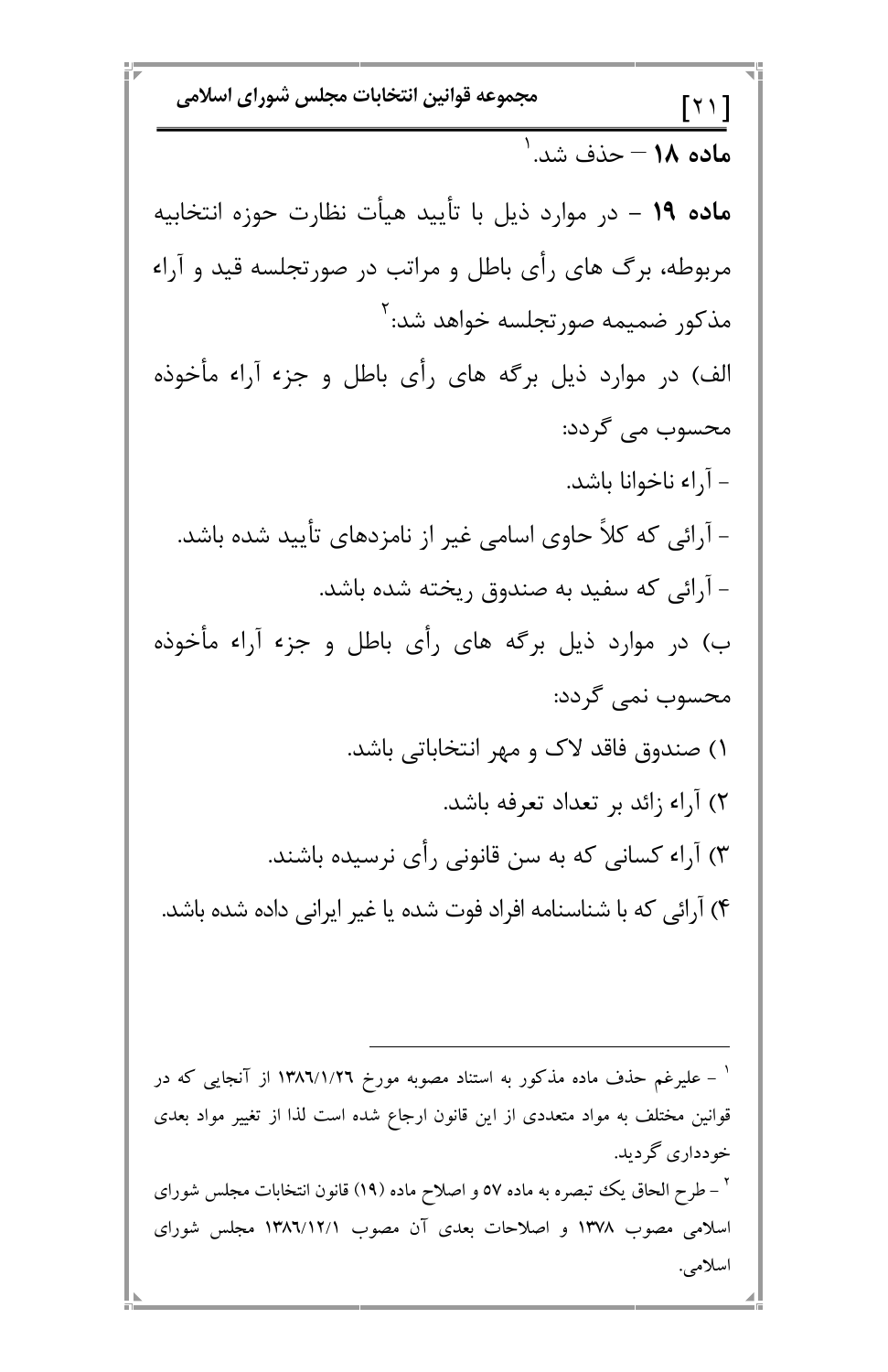مجموعه قوانين انتخابات مجلس شوراي اسلامي  $[\uparrow \uparrow]$ م**اده ۱۸ –** حذف شد.<sup>۱</sup> **ماده ۱۹** – در موارد ذیل با تأیید هیأت نظارت حوزه انتخابیه مربوطه، برگ های رأی باطل و مراتب در صورتجلسه قید و آراء مذكور ضميمه صورتجلسه خواهد شد: `` الف) در موارد ذیل برگه های رأی باطل و جزء آراء مأخوذه محسوب مي گردد: - آراء ناخوانا باشد. - آرائی که کلاً حاوی اسامی غیر از نامزدهای تأیید شده باشد. - آرائی که سفید به صندوق ریخته شده باشد. ب) در موارد ذیل برگه های رأی باطل و جزء آراء مأخوذه محسوب نمي گردد: ۱) صندوق فاقد لاک و مهر انتخاباتی باشد. ٢) آراء زائد بر تعداد تعرفه باشد. ۳) آراء کسانی که به سن قانونی رأی نرسیده باشند. ۴) آرائی که با شناسنامه افراد فوت شده یا غیر ایرانی داده شده باشد.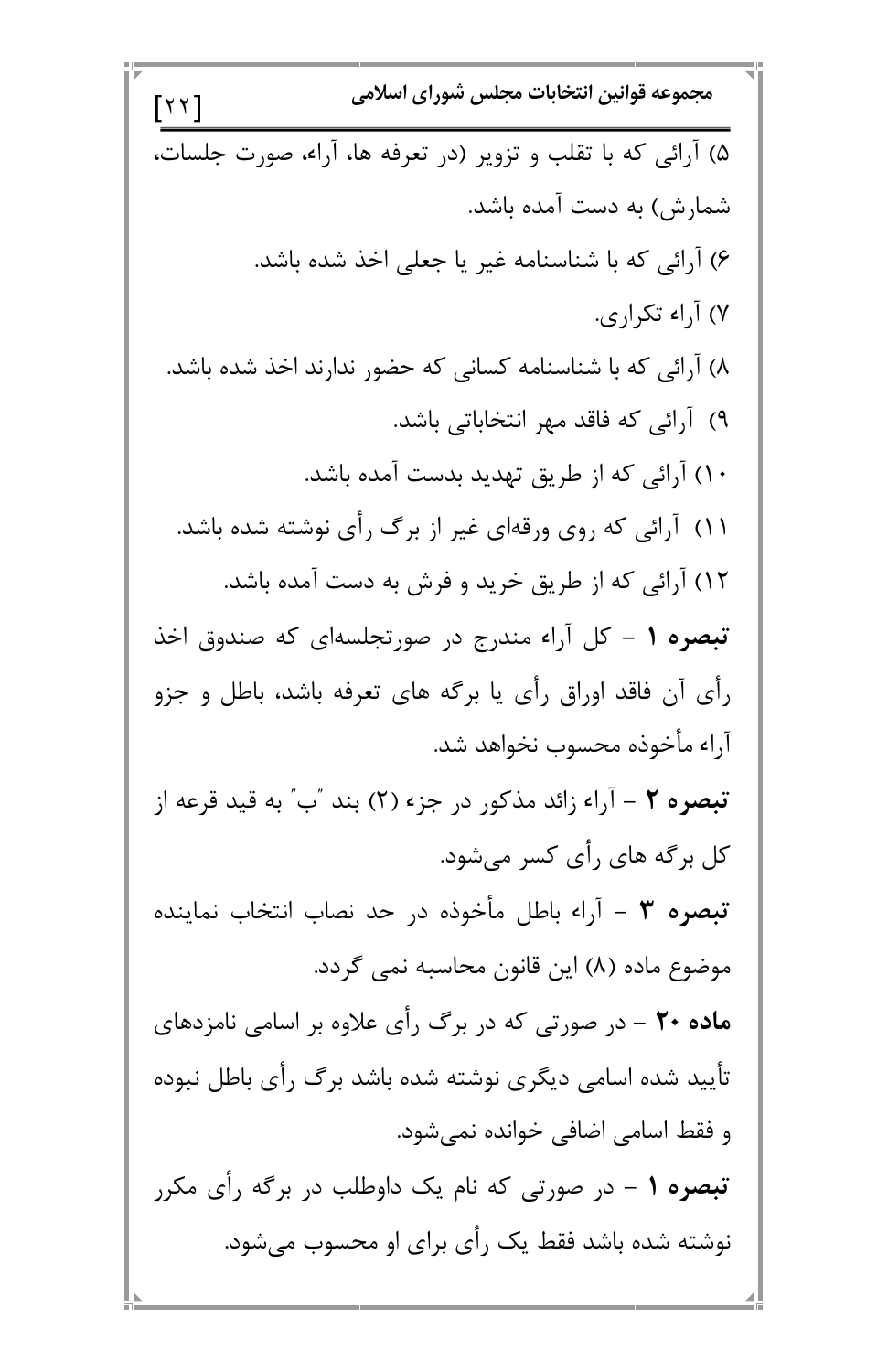مجموعه قوانين انتخابات مجلس شوراي اسلامي  $[\forall \forall]$ ۵) آرائی که با تقلب و تزویر (در تعرفه ها، آراء، صورت جلسات، شمارش) به دست آمده باشد. ۶) آرائی که با شناسنامه غیر یا جعلی اخذ شده باشد. ۷) آ,اء تکراری. ۸) آرائی که با شناسنامه کسانی که حضور ندارند اخذ شده باشد. ۹) آرائی که فاقد مهر انتخاباتی باشد. ۱۰) آرائی که از طریق تهدید بدست آمده باشد. ۱۱) آرائی که روی ورقهای غیر از برگ رأی نوشته شده باشد. ۱۲) آرائی که از طریق خرید و فرش به دست آمده باشد. تبصره ۱ – کل آراء مندرج در صورتجلسهای که صندوق اخذ رأى آن فاقد اوراق رأى يا برگه هاى تعرفه باشد، باطل و جزو آراء مأخوذه محسوب نخواهد شد. تبصره ٢ – آراء زائد مذکور در جزء (٢) بند "ب" به قید قرعه از کل برگه های رأی کسر میشود. تبصره ٣ – آراء باطل مأخوذه در حد نصاب انتخاب نماينده موضوع ماده (٨) این قانون محاسبه نمی گردد.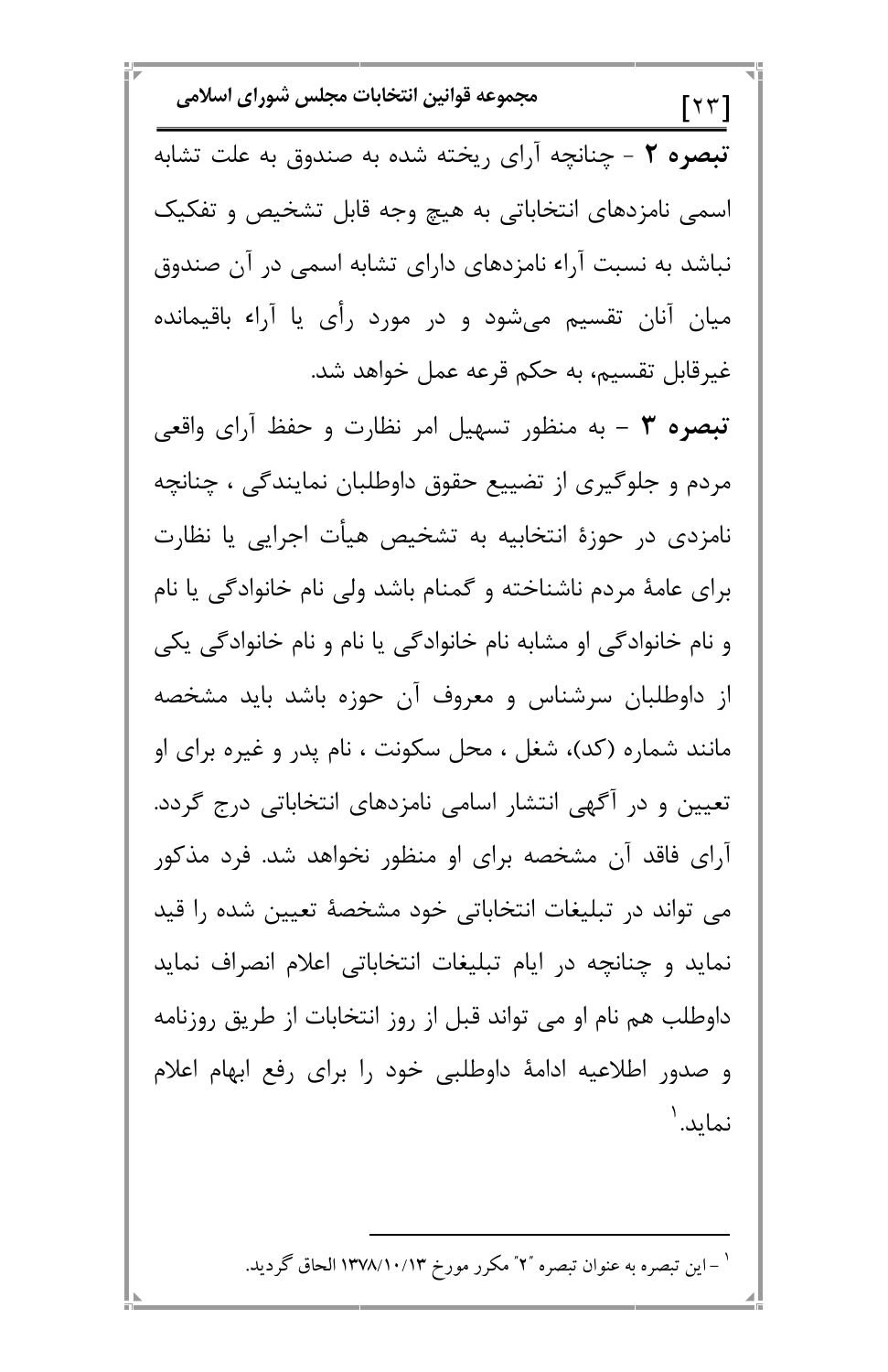مجموعه قوانين انتخابات مجلس شوراي اسلامي  $[\forall \forall]$ تبصره ٢ - چنانچه آرای ریخته شده به صندوق به علت تشابه اسمی نامزدهای انتخاباتی به هیچ وجه قابل تشخیص و تفکیک نباشد به نسبت آراء نامزدهای دارای تشابه اسمی در آن صندوق میان آنان تقسیم میشود و در مورد رأی یا آراء باقیمانده غیرقابل تقسیم، به حکم قرعه عمل خواهد شد. تبصره ۳ – به منظور تسهیل امر نظارت و حفظ آرای واقعی مردم و جلوگیری از تضییع حقوق داوطلبان نمایندگی ، چنانچه نامزدی در حوزهٔ انتخابیه به تشخیص هیأت اجرایی یا نظارت برای عامهٔ مردم ناشناخته و گمنام باشد ولی نام خانوادگی یا نام و نام خانوادگی او مشابه نام خانوادگی یا نام و نام خانوادگی یکی از داوطلبان سرشناس و معروف آن حوزه باشد باید مشخصه مانند شماره (کد)، شغل ، محل سکونت ، نام پدر و غیره برای او تعیین و در آگهی انتشار اسامی نامزدهای انتخاباتی درج گردد. آرای فاقد آن مشخصه برای او منظور نخواهد شد. فرد مذکور می تواند در تبلیغات انتخاباتی خود مشخصهٔ تعیین شده را قید نماید و چنانچه در ایام تبلیغات انتخاباتی اعلام انصراف نماید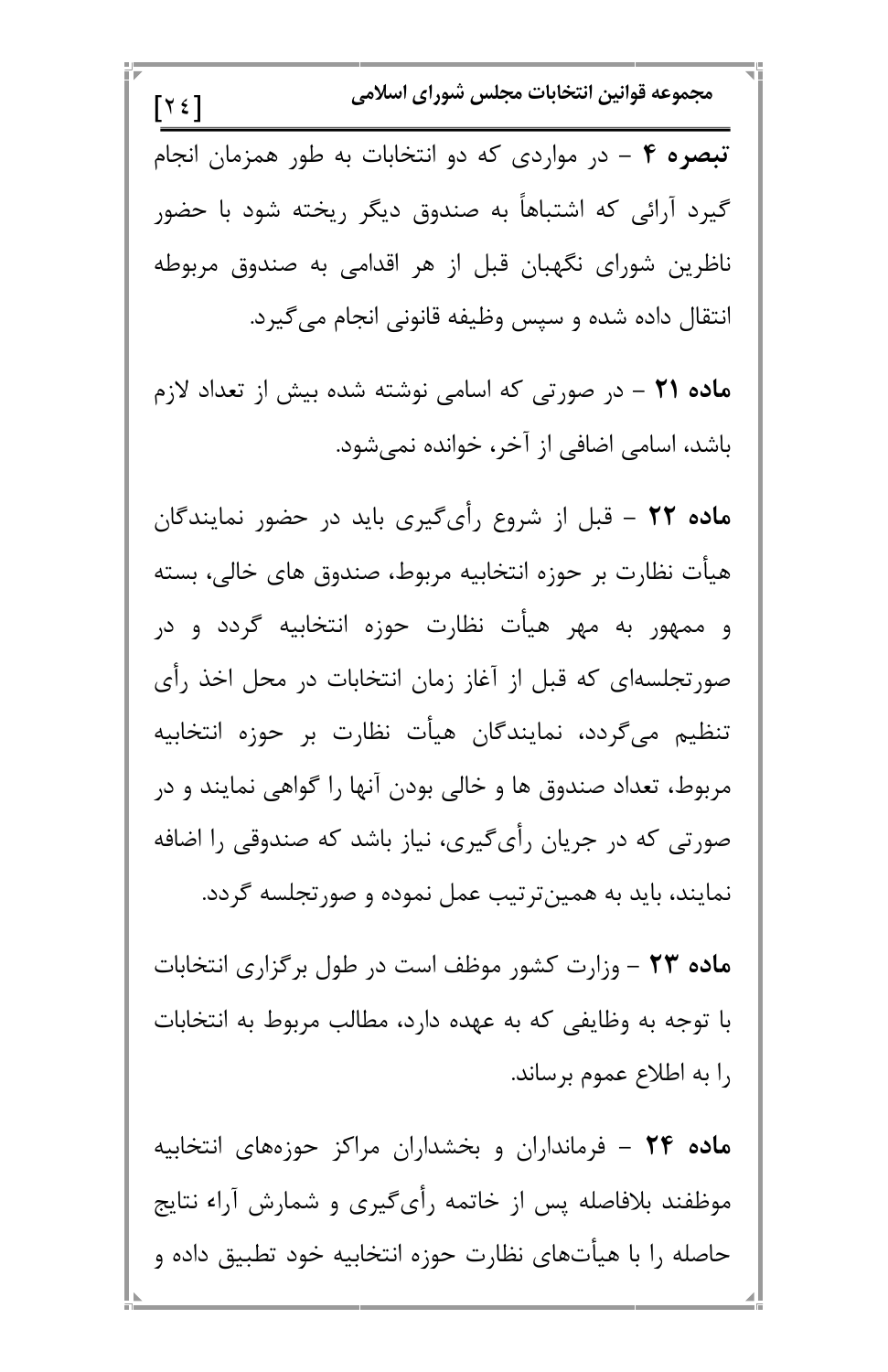مجموعه قوانین انتخابات مجلس شورای اسلامی  
\n
$$
\boxed{Y\xi}
$$
\n
$$
\boxed{2\xi}
$$
\n
$$
\frac{1}{\pi} \left( \frac{1}{\pi} \right)
$$
\n
$$
\frac{1}{\pi} \left( \frac{1}{\pi} \right)
$$
\n
$$
\frac{1}{\pi} \left( \frac{1}{\pi} \right)
$$
\n
$$
\frac{1}{\pi} \left( \frac{1}{\pi} \right)
$$
\n
$$
\frac{1}{\pi} \left( \frac{1}{\pi} \right)
$$
\n
$$
\frac{1}{\pi} \left( \frac{1}{\pi} \right)
$$
\n
$$
\frac{1}{\pi} \left( \frac{1}{\pi} \right)
$$
\n
$$
\frac{1}{\pi} \left( \frac{1}{\pi} \right)
$$
\n
$$
\frac{1}{\pi} \left( \frac{1}{\pi} \right)
$$
\n
$$
\frac{1}{\pi} \left( \frac{1}{\pi} \right)
$$
\n
$$
\frac{1}{\pi} \left( \frac{1}{\pi} \right)
$$
\n
$$
\frac{1}{\pi} \left( \frac{1}{\pi} \right)
$$
\n
$$
\frac{1}{\pi} \left( \frac{1}{\pi} \right)
$$
\n
$$
\frac{1}{\pi} \left( \frac{1}{\pi} \right)
$$
\n
$$
\frac{1}{\pi} \left( \frac{1}{\pi} \right)
$$
\n
$$
\frac{1}{\pi} \left( \frac{1}{\pi} \right)
$$
\n
$$
\frac{1}{\pi} \left( \frac{1}{\pi} \right)
$$
\n
$$
\frac{1}{\pi} \left( \frac{1}{\pi} \right)
$$
\n
$$
\frac{1}{\pi} \left( \frac{1}{\pi} \right)
$$
\n
$$
\frac{1}{\pi} \left( \frac{1}{\pi} \right)
$$
\n
$$
\frac{1}{\pi} \left( \frac{1}{\pi} \right)
$$
\n
$$
\frac{1}{\pi} \left( \frac{1}{\pi} \right)
$$
\n
$$
\frac{1}{\pi} \left( \frac{1}{\pi} \right)
$$
\n
$$
\frac{1}{\pi} \left( \frac{1}{
$$

П

Ū)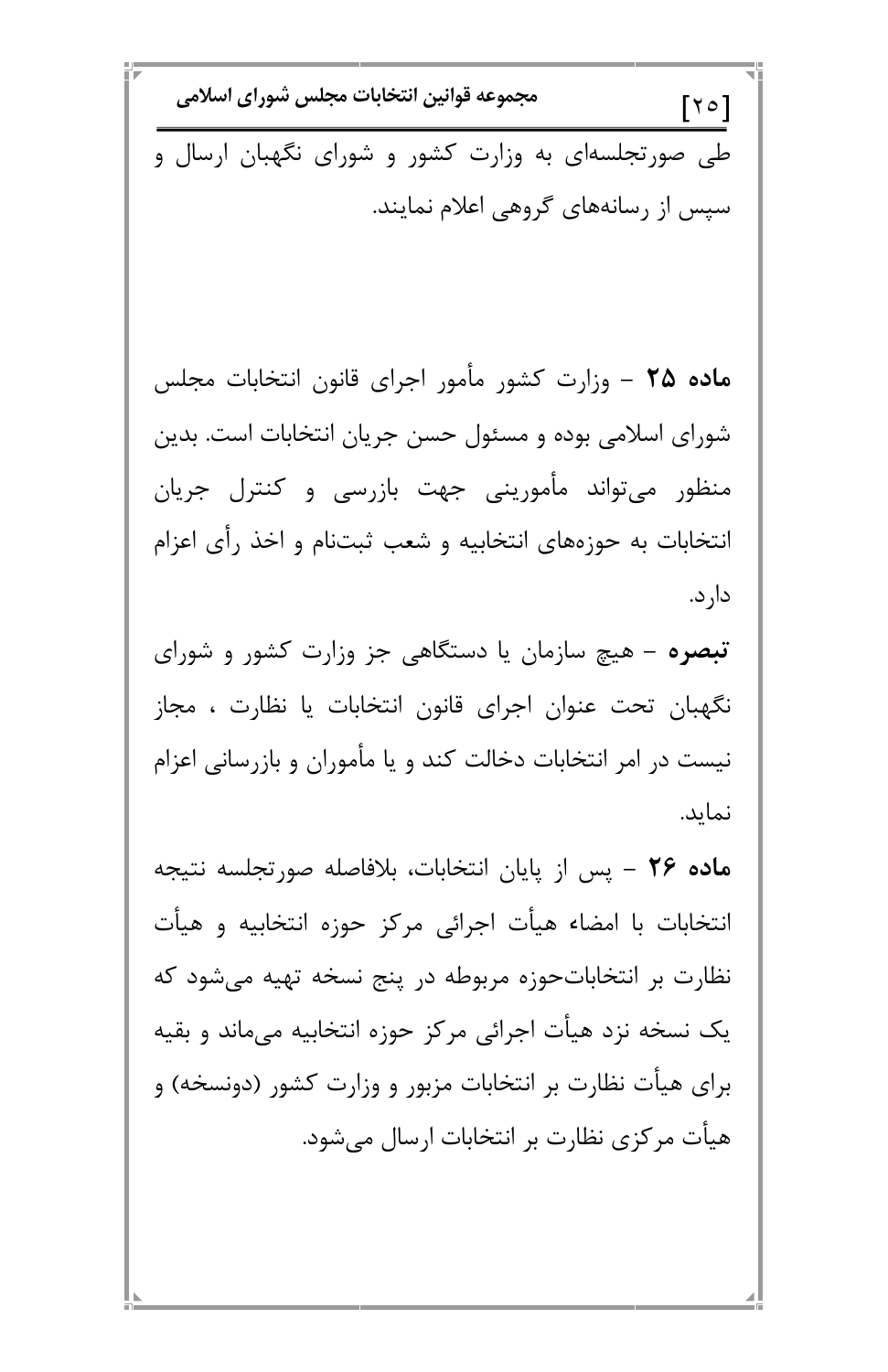مجموعه قوانين انتخابات مجلس شوراي اسلامي  $[\times$ طی صورتجلسهای به وزارت کشور و شورای نگهبان ارسال و سیس از رسانههای گروهی اعلام نمایند.

م**اده ۲۵** – وزارت کشور مأمور اجرای قانون انتخابات مجلس شورای اسلامی بوده و مسئول حسن جریان انتخابات است. بدین منظور میتواند مأمورینی جهت بازرسی و کنترل جریان انتخابات به حوزههای انتخابیه و شعب ثبتنام و اخذ رأی اعزام دار د.

تبصره – هیچ سازمان یا دستگاهی جز وزارت کشور و شورای نگهبان تحت عنوان اجرای قانون انتخابات یا نظارت ، مجاز نیست در امر انتخابات دخالت کند و یا مأموران و بازرسانی اعزام نماید.

م**اده ۲۶** – پس از پایان انتخابات، بلافاصله صورتجلسه نتیجه انتخابات با امضاء هيأت اجرائى مركز حوزه انتخابيه و هيات نظارت بر انتخاباتحوزه مربوطه در پنج نسخه تهیه می شود که

یک نسخه نزد هیأت اجرائی مرکز حوزه انتخابیه میماند و بقیه برای هیأت نظارت بر انتخابات مزبور و وزارت کشور (دونسخه) و هیأت مرکزی نظارت بر انتخابات ارسال میشود.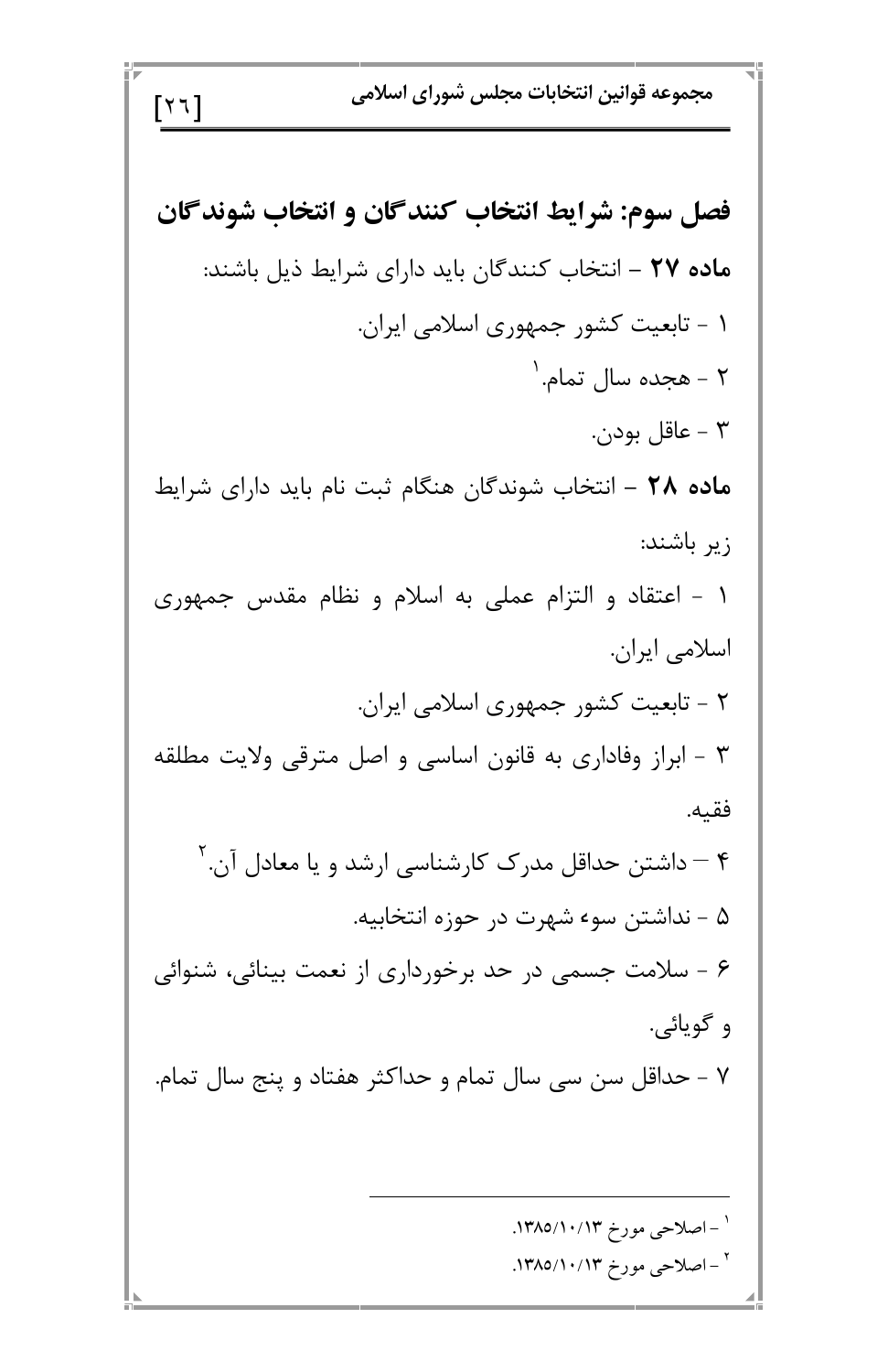| \n $\begin{bmatrix}\n 1 & 1 \\  1 & 1\n \end{bmatrix}$ \n | \n $\begin{bmatrix}\n 1 \\  1 \\  1\n \end{bmatrix}$ \n | \n $\begin{bmatrix}\n 1 \\  1 \\  1\n \end{bmatrix}$ \n | \n $\begin{bmatrix}\n 1 \\  1 \\  1\n \end{bmatrix}$ \n | \n $\begin{bmatrix}\n 1 \\  1 \\  1\n \end{bmatrix}$ \n | \n $\begin{bmatrix}\n 1 \\  1 \\  1\n \end{bmatrix}$ \n | \n $\begin{bmatrix}\n 1 \\  1 \\  1\n \end{bmatrix}$ \n | \n $\begin{bmatrix}\n 1 \\  1 \\  1\n \end{bmatrix}$ \n | \n $\begin{bmatrix}\n 1 \\  1 \\  1\n \end{bmatrix}$ \n | \n $\begin{bmatrix}\n 1 \\  1 \\  1\n \end{bmatrix}$ \n | \n $\begin{bmatrix}\n 1 \\  1 \\  1\n \end{bmatrix}$ \n | \n $\begin{bmatrix}\n 1 \\  1 \\  1\n \end{bmatrix}$ \n | \n $\begin{bmatrix}\n 1 \\  1 \\  1\n \end{bmatrix}$ \n | \n $\begin{bmatrix}\n 1 \\  1 \\  1\n \end{bmatrix}$ \n | \n $\begin{bmatrix}\n 1 \\  1 \\  1\n \end{bmatrix}$ \n | \n $\begin{bmatrix}\n 1 \\  1 \\  1\n \end{bmatrix}$ \n | \n $\begin{bmatrix}\n 1 \\  1 \\  1\n \end{bmatrix}$ \n | \n $\begin{bmatrix}\n 1 \\  1 \\  1\n \end{bmatrix}$ \n | \n $\begin{bmatrix}\n 1 \\  1 \\  1\n \end{bmatrix}$ \n | \n $\begin{bmatrix}\n 1 \\  1 \\  1\n \end{bmatrix}$ \n | \n<math display="block</td> |
|-----------------------------------------------------------|---------------------------------------------------------|---------------------------------------------------------|---------------------------------------------------------|---------------------------------------------------------|---------------------------------------------------------|---------------------------------------------------------|---------------------------------------------------------|---------------------------------------------------------|---------------------------------------------------------|---------------------------------------------------------|---------------------------------------------------------|---------------------------------------------------------|---------------------------------------------------------|---------------------------------------------------------|---------------------------------------------------------|---------------------------------------------------------|---------------------------------------------------------|---------------------------------------------------------|---------------------------------------------------------|-----------------------------|
|-----------------------------------------------------------|---------------------------------------------------------|---------------------------------------------------------|---------------------------------------------------------|---------------------------------------------------------|---------------------------------------------------------|---------------------------------------------------------|---------------------------------------------------------|---------------------------------------------------------|---------------------------------------------------------|---------------------------------------------------------|---------------------------------------------------------|---------------------------------------------------------|---------------------------------------------------------|---------------------------------------------------------|---------------------------------------------------------|---------------------------------------------------------|---------------------------------------------------------|---------------------------------------------------------|---------------------------------------------------------|-----------------------------|

ΞI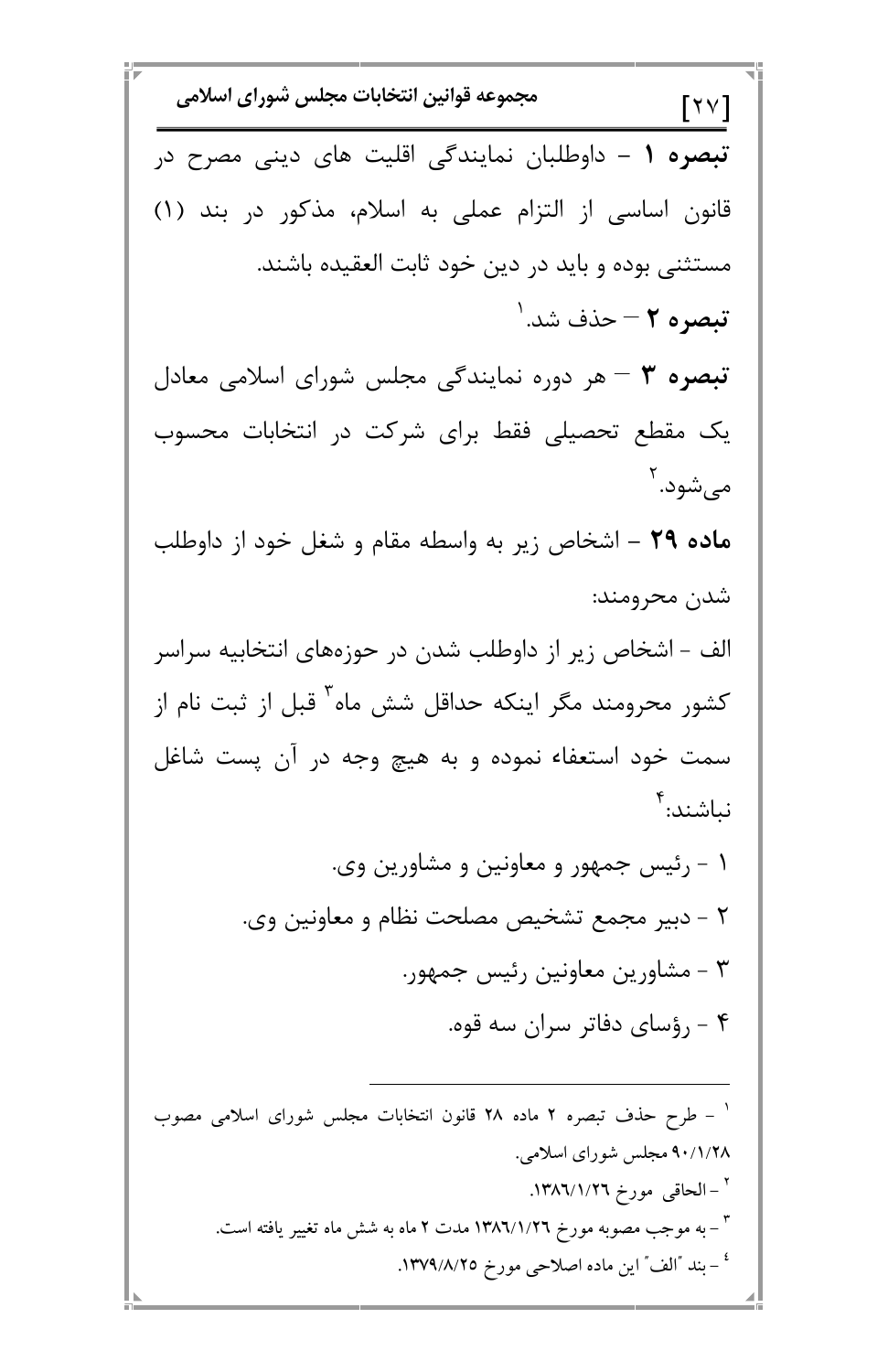$$
F = \frac{1}{2}
$$

ī -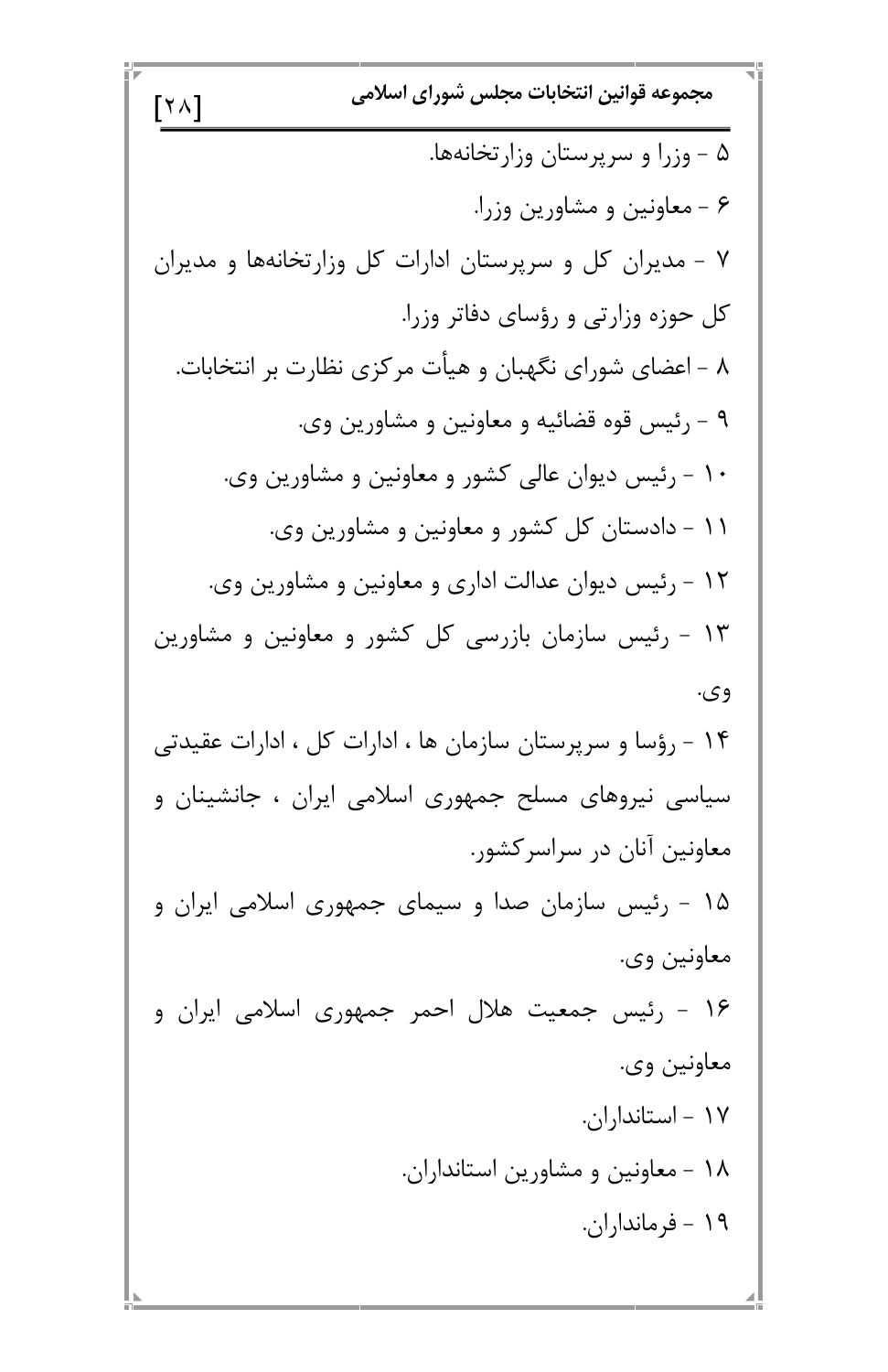مجموعه قوانين انتخابات مجلس شوراي اسلامي  $\lceil \nmid \wedge \wedge \rceil$ ۵ - وزرا و سرپرستان وزارتخانهها. ۶ - معاونین و مشاورین وزرا. ۷ - مدیران کل و سرپرستان ادارات کل وزارتخانهها و مدیران کل حوزه وزارتی و رؤسای دفاتر وزرا. ۸ - اعضای شورای نگهبان و هیأت مرکزی نظارت بر انتخابات. ۹ - رئیس قوه قضائیه و معاونین و مشاورین وی. ۱۰ - رئیس دیوان عالی کشور و معاونین و مشاورین وی. ۱۱ - دادستان کل کشور و معاونین و مشاورین وی. ۱۲ - رئیس دیوان عدالت اداری و معاونین و مشاورین وی. ۱۳ - رئیس سازمان بازرسی کل کشور و معاونین و مشاورین وي. ۱۴ - رؤسا و سرپرستان سازمان ها ، ادارات کل ، ادارات عقیدتی سیاسی نیروهای مسلح جمهوری اسلامی ایران ، جانشینان و معاونین آنان در سراسرکشور. ۱۵ - رئیس سازمان صدا و سیمای جمهوری اسلامی ایران و معاونين وي.  $\sim$   $\sim$   $\sim$   $\sim$ 

 $\cdot$   $\begin{array}{ccc} \cdot & \cdot & \cdot & \cdot \\ \cdot & \cdot & \cdot & \cdot \end{array}$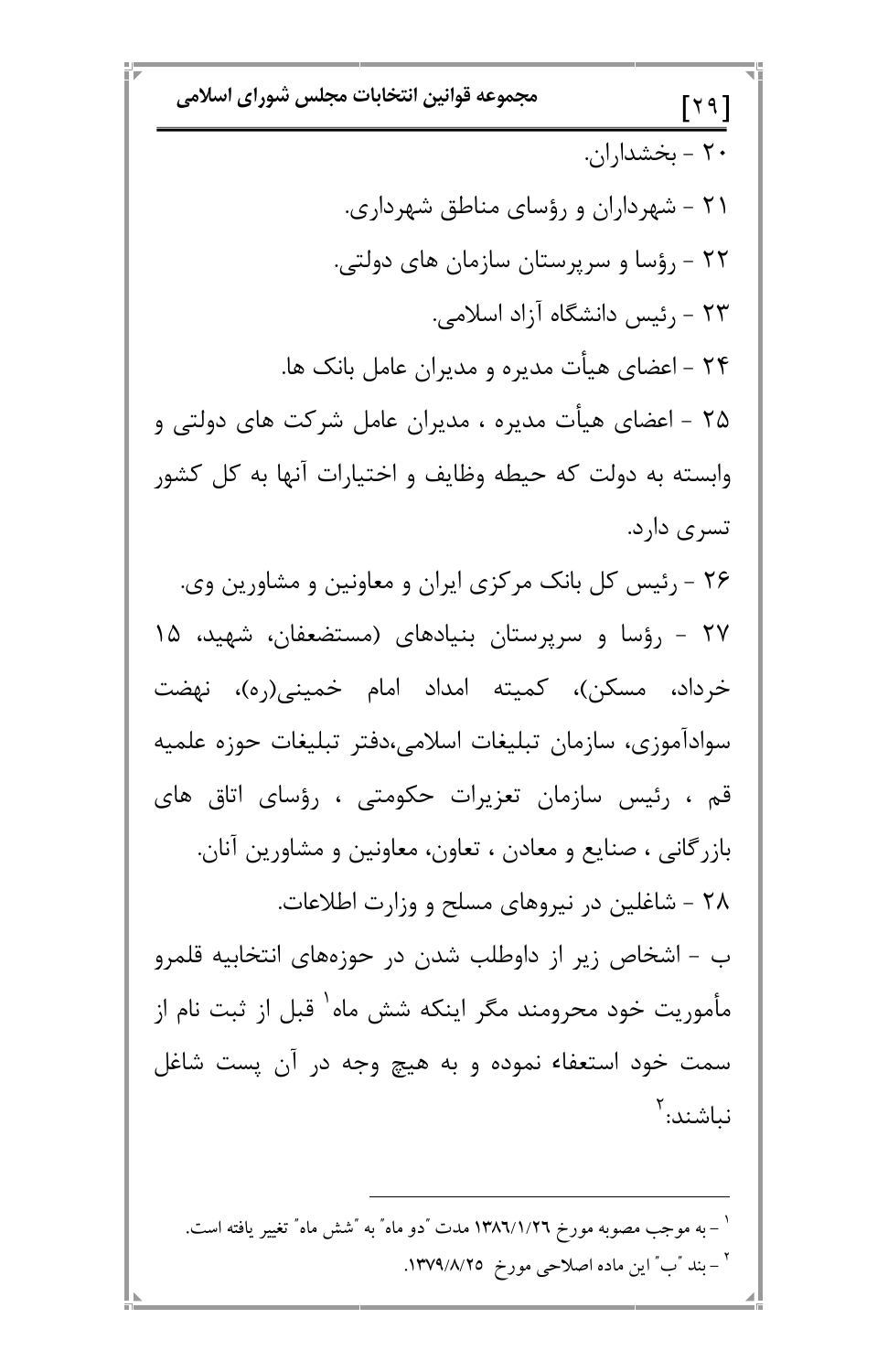مجموعه قوانين انتخابات مجلس شوراي اسلامي  $[19]$  $\cdot$  ۲ - بخشداران ۲۱ - شهرداران و رؤسای مناطق شهرداری. ۲۲ - رؤسا و سرپرستان سازمان های دولتی. ۲۳ - رئیس دانشگاه آزاد اسلامی. ۲۴ – اعضای هیأت مدیره و مدیران عامل بانک ها. ۲۵ - اعضای هیأت مدیره ، مدیران عامل شرکت های دولتی و وابسته به دولت که حیطه وظایف و اختیارات آنها به کل کشور تسرى دارد. ۲۶ - رئیس کل بانک مرکزی ایران و معاونین و مشاورین وی. ۲۷ - رؤسا و سرپرستان بنیادهای (مستضعفان، شهید، ۱۵ خرداد، مسكن)، كميته امداد امام خميني(ره)، نهضت سواداموزي، سازمان تبليغات اسلامي،دفتر تبليغات حوزه علميه قم ، رئیس سازمان تعزیرات حکومتی ، رؤسای اتاق های بازرگانی ، صنایع و معادن ، تعاون، معاونین و مشاورین آنان. ۲۸ - شاغلین در نیروهای مسلح و وزارت اطلاعات. ب - اشخاص زیر از داوطلب شدن در حوزههای انتخابیه قلمرو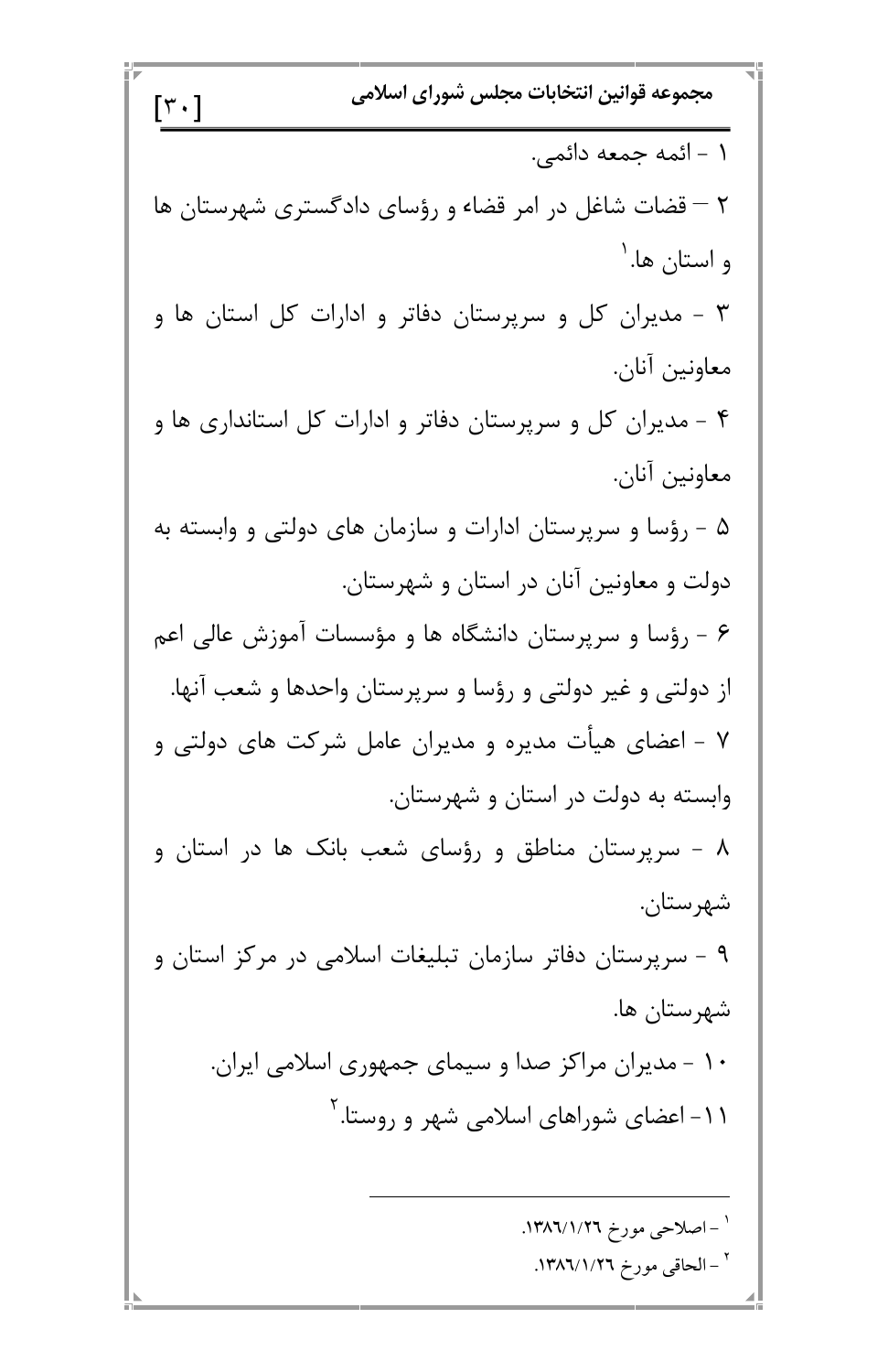مجموعه قوانين انتخابات مجلس شوراي اسلامي  $\lceil \mathbf{r} \cdot \rceil$ ١ - ائمه جمعه دائمي. ۲ – قضات شاغل در امر قضاء و رؤسای دادگستری شهرستان ها و استان ها. <sup>۱</sup> ۳ – مدیران کل و سرپرستان دفاتر و ادارات کل استان ها و معاونين آنان. ۴ - مدیران کل و سرپرستان دفاتر و ادارات کل استانداری ها و معاونين آنان. ۵ – رؤسا و سرپرستان ادارات و سازمان های دولتی و وابسته به دولت و معاونین آنان در استان و شهرستان. ۶ - رؤسا و سرپرستان دانشگاه ها و مؤسسات آموزش عالی اعم از دولتی و غیر دولتی و رؤسا و سرپرستان واحدها و شعب آنها. ۷ - اعضای هیأت مدیره و مدیران عامل شرکت های دولتی و وابسته به دولت در استان و شهرستان. ۸ - سرپرستان مناطق و رؤسای شعب بانک ها در استان و شهرستان. ۹ – سرپرستان دفاتر سازمان تبلیغات اسلامی در مرکز استان و  $\mathbf{1}_{\infty}$  ,  $\mathbf{1}_{\infty}$  ,  $\mathbf{1}_{\infty}$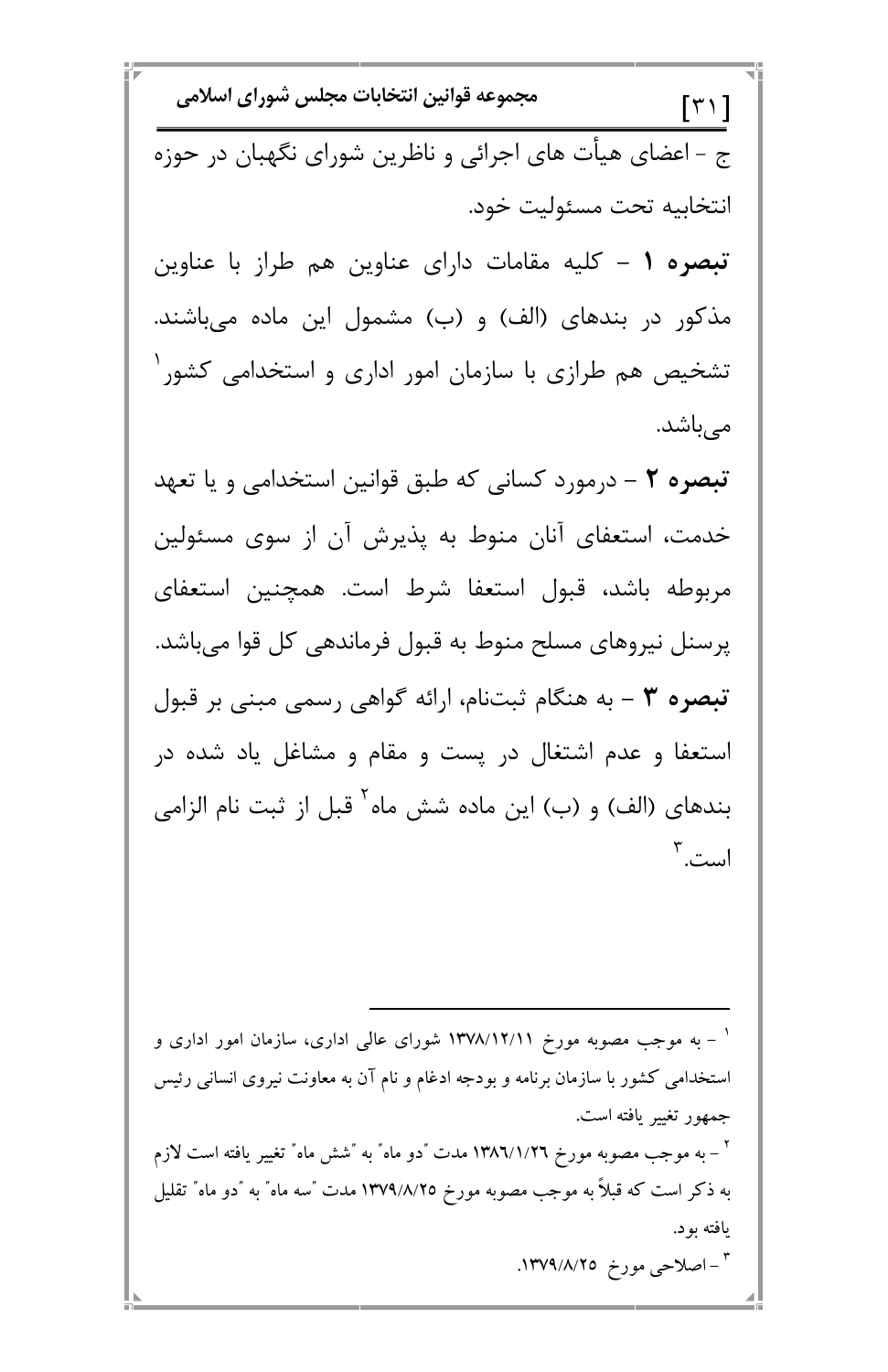مجموعه قوانين انتخابات مجلس شوراي اسلامي  $\lceil \mathbf{r} \cdot \rceil$ ج - اعضای هیأت های اجرائی و ناظرین شورای نگهبان در حوزه انتخابيه تحت مسئوليت خود. تبصره ١ - كليه مقامات داراي عناوين هم طراز با عناوين مذکور در بندهای (الف) و (ب) مشمول این ماده میباشند. تشخیص هم طرازی با سازمان امور اداری و استخدامی کشور <sup>۱</sup> مىباشد. تبصره ٢ – درمورد كساني كه طبق قوانين استخدامي و يا تعهد خدمت، استعفای آنان منوط به پذیرش آن از سوی مسئولین مربوطه باشد، قبول استعفا شرط است. همچنین استعفای پرسنل نیروهای مسلح منوط به قبول فرماندهی کل قوا می باشد. تبصره ٣ - به هنگام ثبتنام، ارائه گواهی رسمی مبنی بر قبول استعفا و عدم اشتغال در پست و مقام و مشاغل یاد شده در بندهای (الف) و (ب) این ماده شش ماه<sup>۲</sup> قبل از ثبت نام الزامی است. ۳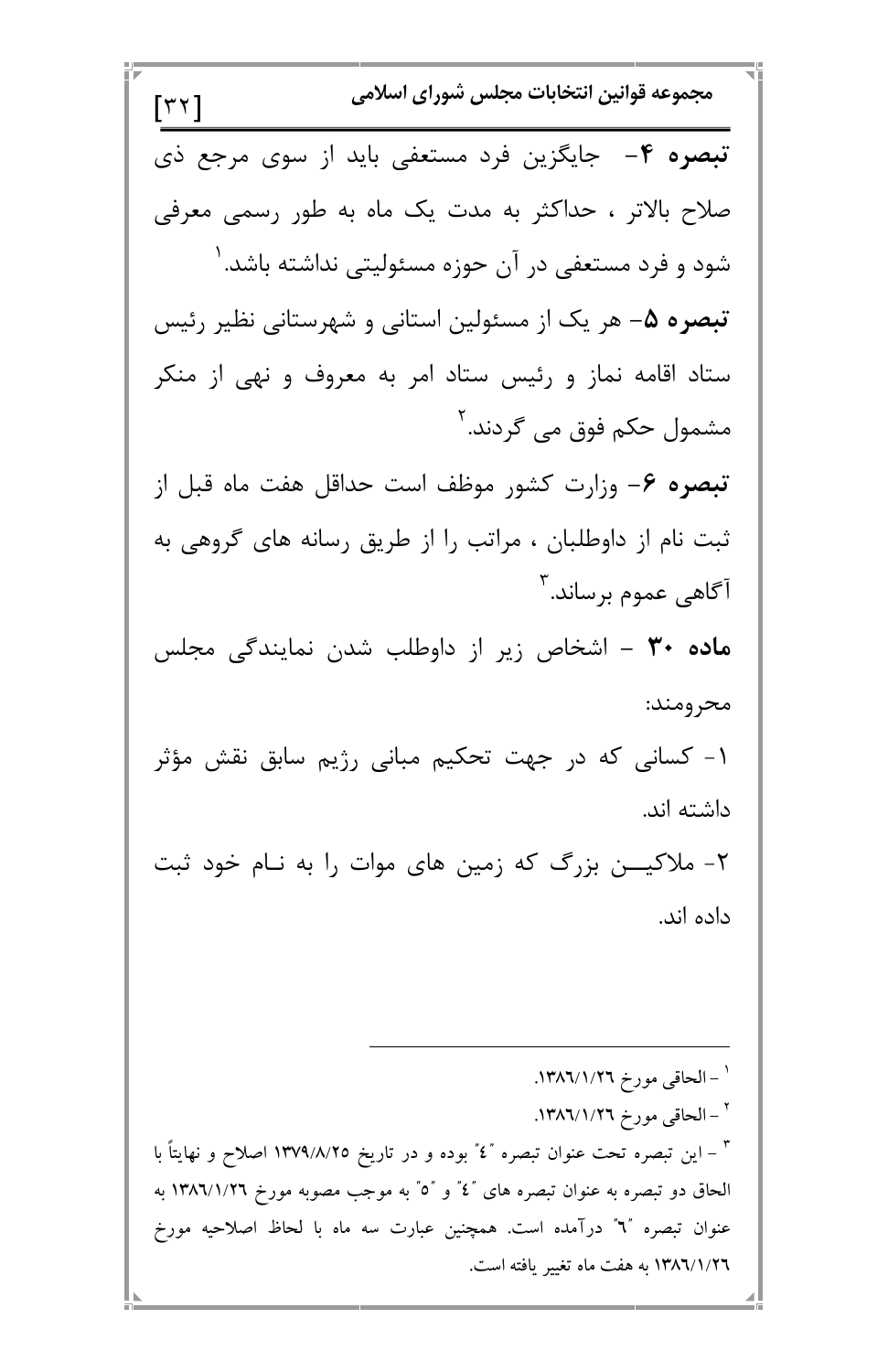مجموعه قوانين انتخابات مجلس شوراي اسلامي  $\lceil \tau \tau \rceil$ تبصره ۴- جایگزین فرد مستعفی باید از سوی مرجع ذی صلاح بالاتر ، حداکثر به مدت یک ماه به طور رسمی معرفی شود و فرد مستعفی در آن حوزه مسئولیتی نداشته باشد. ' تبصره ۵– هر یک از مسئولین استانی و شهرستانی نظیر رئیس ستاد اقامه نماز و رئیس ستاد امر به معروف و نهی از منکر مشمول حکم فوق می گردند.<sup>۲</sup> تبصره ۶– وزارت کشور موظف است حداقل هفت ماه قبل از ثبت نام از داوطلبان ، مراتب را از طریق رسانه های گروهی به آگاه<sub>ی</sub> عموم برساند.<sup>۳</sup> م**اده ۳۰ –** اشخاص زیر از داوطلب شدن نمایندگی مجلس محرومند: ۱- کسانی که در جهت تحکیم مبانی رژیم سابق نقش مؤثر داشته اند. ۲- ملاکیــــن بزرگ که زمین های موات را به نــام خود ثبت داده اند.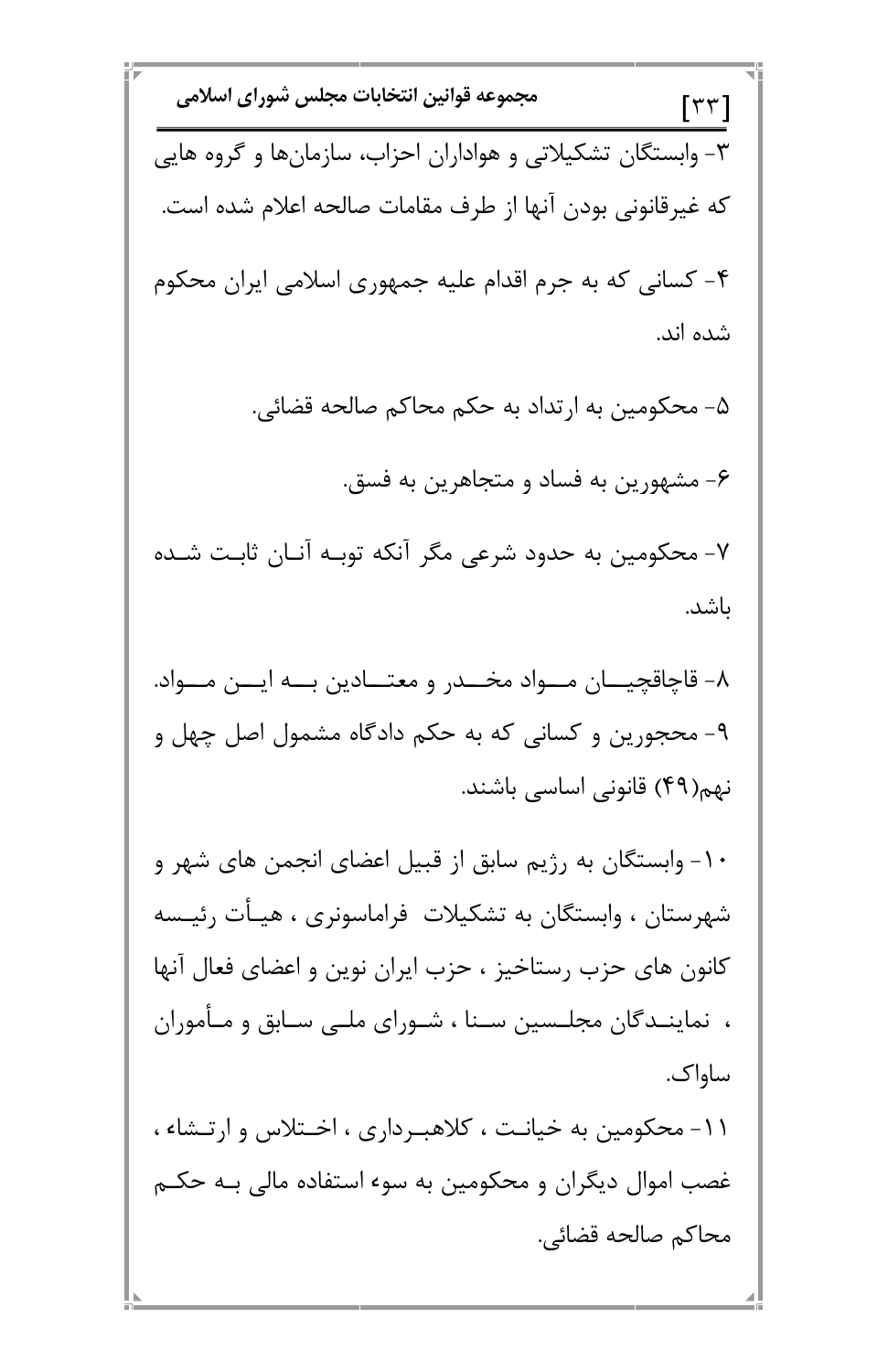Е

E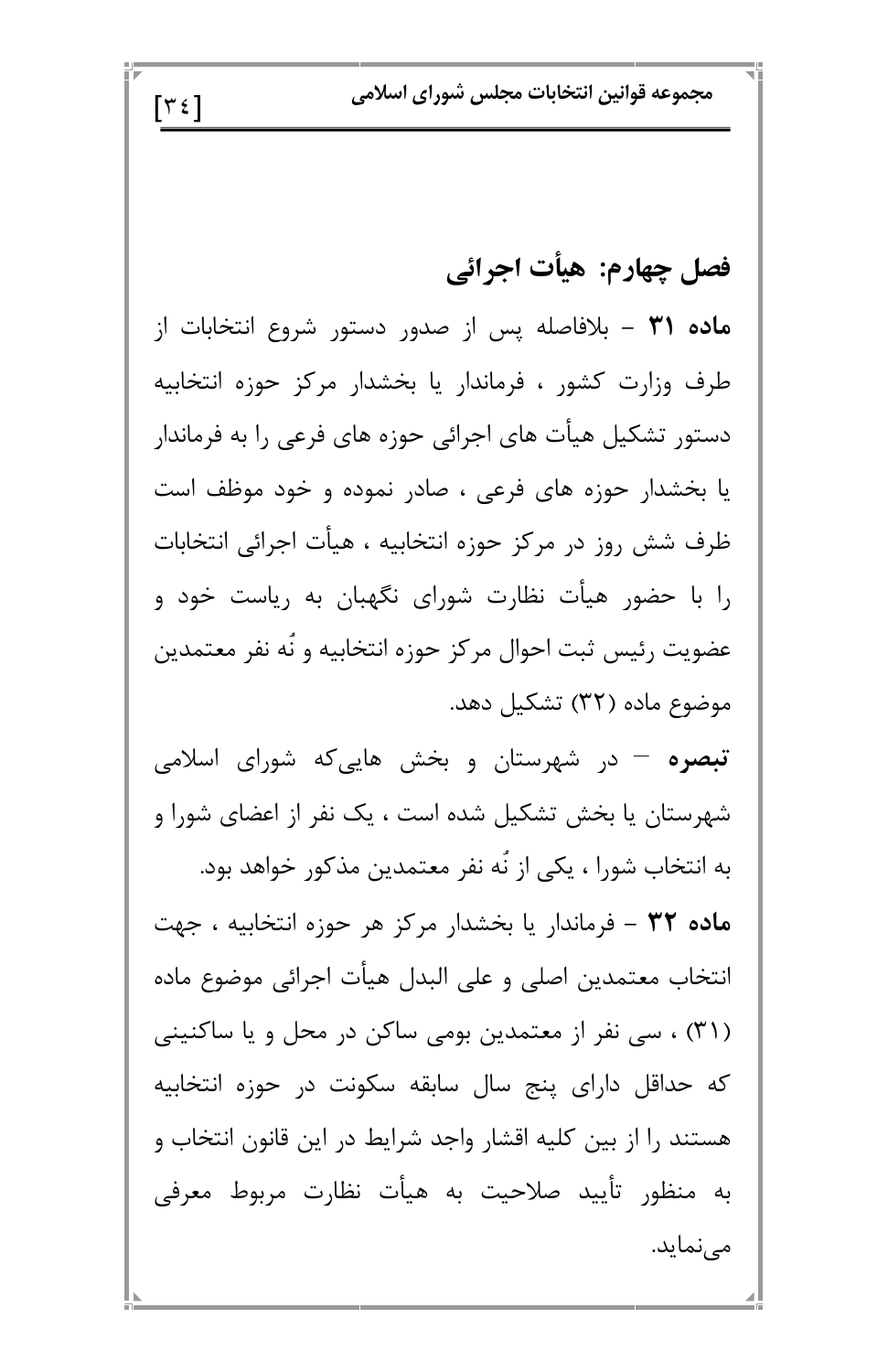مجموعه قوانين انتخابات مجلس شوراي اسلامي

#### فصل چهارم: هيأت اجرائي

م**اده ۳۱** – بلافاصله پس از صدور دستور شروع انتخابات از طرف وزارت کشور ، فرماندار یا بخشدار مرکز حوزه انتخابیه دستور تشکیل هیأت های اجرائی حوزه های فرعی را به فرماندار یا بخشدار حوزه های فرعی ، صادر نموده و خود موظف است ظرف شش روز در مرکز حوزه انتخابیه ، هیأت اجرائی انتخابات را با حضور هیأت نظارت شورای نگهبان به ریاست خود و عضويت رئيس ثبت احوال مركز حوزه انتخابيه و نّه نفر معتمدين موضوع ماده (۳۲) تشکیل دهد.

 $\lceil \tau \epsilon \rceil$ 

**تبصره** – در شهرستان و بخش هاییکه شورای اسلامی شهرستان یا بخش تشکیل شده است ، یک نفر از اعضای شورا و به انتخاب شورا ، یکی از نَه نفر معتمدین مذکور خواهد بود. ماده ۳۲ - فرماندار یا بخشدار مرکز هر حوزه انتخابیه ، جهت انتخاب معتمدين اصلى و على البدل هيأت اجرائى موضوع ماده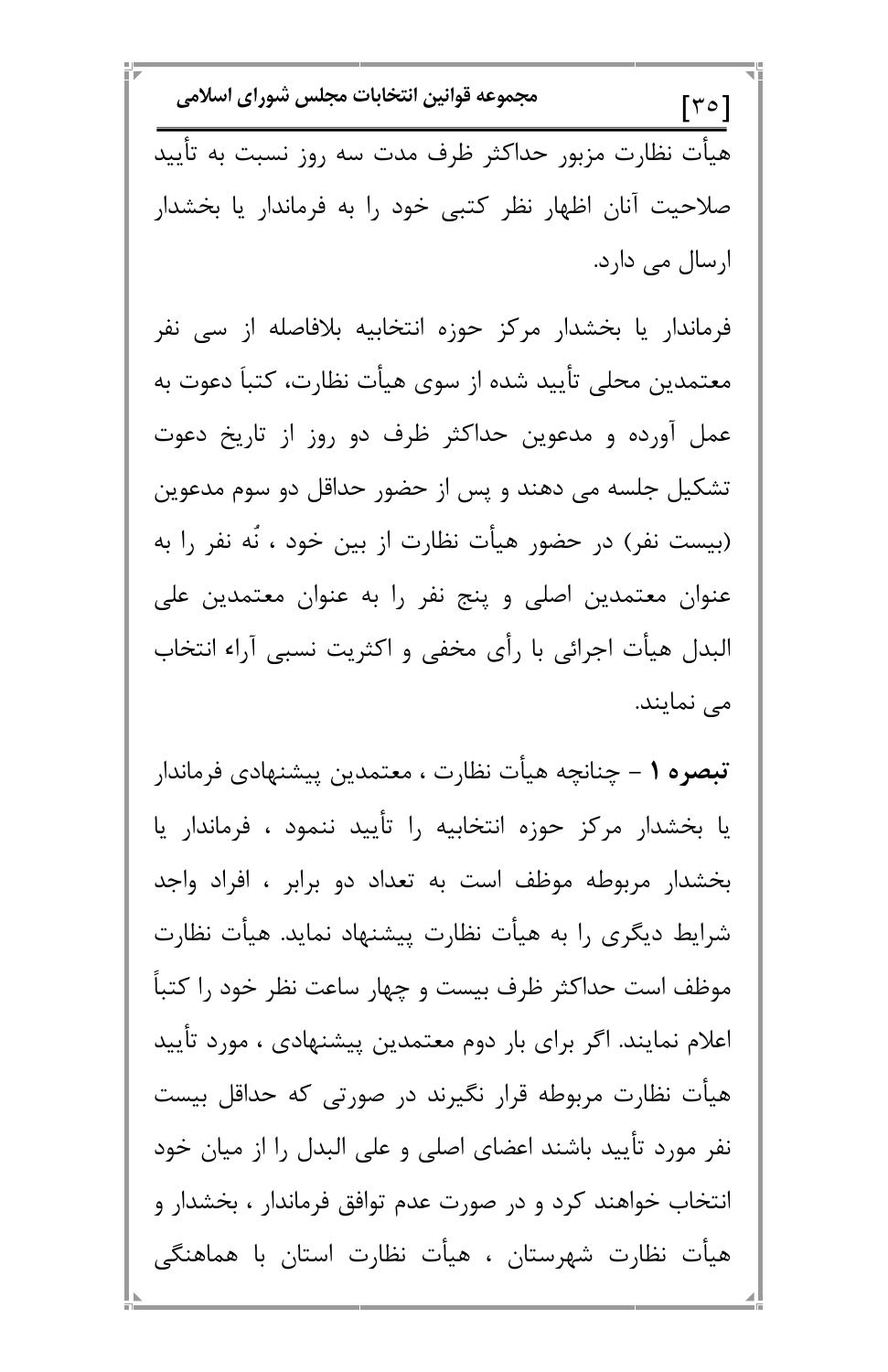مجموعه قوانين انتخابات مجلس شوراي اسلامي  $\lceil r \circ \rceil$ هیأت نظارت مزبور حداکثر ظرف مدت سه روز نسبت به تأیید صلاحیت آنان اظهار نظر کتبی خود را به فرماندار یا بخشدار ارسال می دارد.

فرماندار یا بخشدار مرکز حوزه انتخابیه بلافاصله از سی نفر معتمدین محلی تأیید شده از سوی هیأت نظارت، کتباً دعوت به عمل آورده و مدعوین حداکثر ظرف دو روز از تاریخ دعوت تشکیل جلسه می دهند و پس از حضور حداقل دو سوم مدعوین (بیست نفر) در حضور هیأت نظارت از بین خود ، نَه نفر را به عنوان معتمدین اصلی و پنج نفر را به عنوان معتمدین علی البدل هیأت اجرائی با رأی مخفی و اکثریت نسبی آراء انتخاب می نمایند.

تبصره ١ – چنانچه هیأت نظارت ، معتمدین پیشنهادی فرماندار یا بخشدار مرکز حوزه انتخابیه را تأیید ننمود ، فرماندار یا بخشدار مربوطه موظف است به تعداد دو برابر ، افراد واجد شرایط دیگری را به هیأت نظارت پیشنهاد نماید. هیأت نظارت موظف است حداکثر ظرف بیست و چهار ساعت نظر خود را کتباً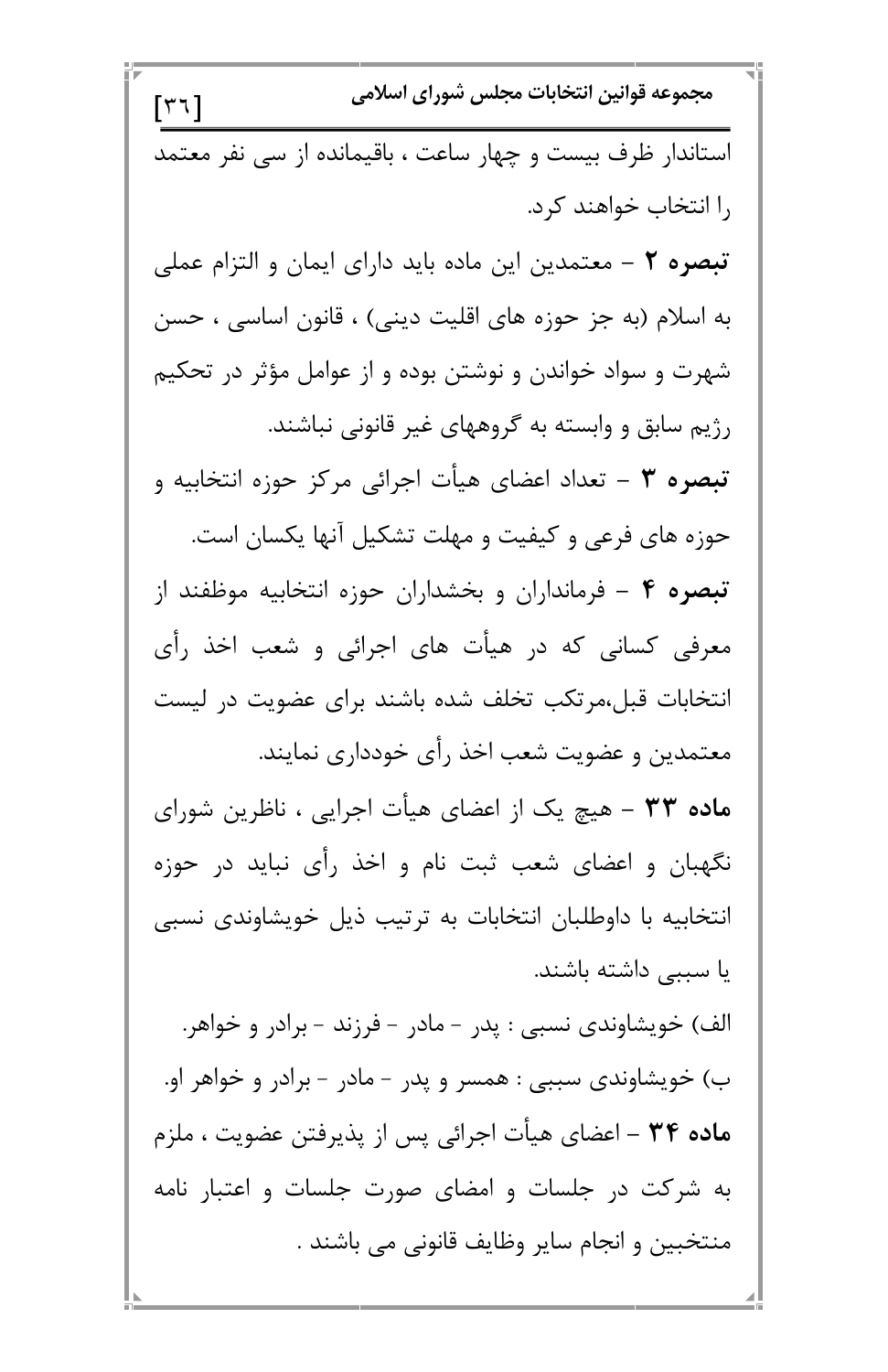مجموعه قوانين انتخابات مجلس شوراي اسلامي  $\lceil r \tau \rceil$ استاندار ظرف بیست و چهار ساعت ، باقیمانده از سے نفر معتمد ,ا انتخاب خواهند کرد. **تبصره ٢** – معتمدين اين ماده بايد داراي ايمان و التزام عملي به اسلام (به جز حوزه های اقلیت دینی) ، قانون اساسی ، حسن شهرت و سواد خواندن و نوشتن بوده و از عوامل مؤثر در تحکیم رژیم سابق و وابسته به گروههای غیر قانونی نباشند. تبصره ٣ – تعداد اعضاى هيأت اجرائى مركز حوزه انتخابيه و حوزه های فرعی و کیفیت و مهلت تشکیل آنها یکسان است. تبصره ۴ – فرمانداران و بخشداران حوزه انتخابیه موظفند از معرفی کسانی که در هیأت های اجرائی و شعب اخذ رأی انتخابات قبل،مرتکب تخلف شده باشند برای عضویت در لیست معتمدین و عضویت شعب اخذ رأی خودداری نمایند. م**اده ۳۳** – هیچ یک از اعضای هیأت اجرایی ، ناظرین شورای نگهبان و اعضای شعب ثبت نام و اخذ رأی نباید در حوزه انتخابیه با داوطلبان انتخابات به ترتیب ذیل خویشاوندی نسبی یا سببی داشته باشند.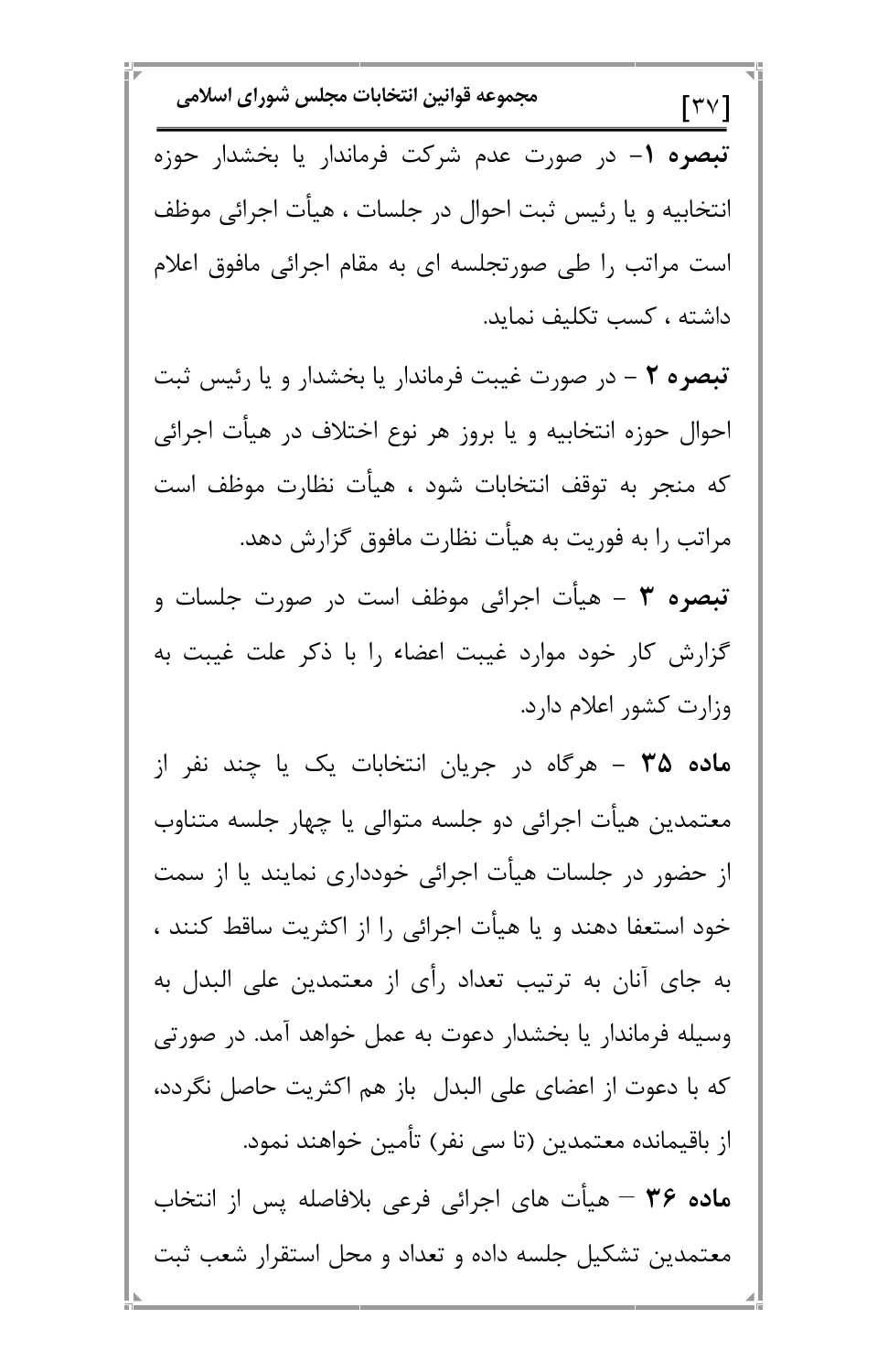مجموعه قوانين انتخابات مجلس شوراي اسلامي  $\lceil \mathsf{r} \vee \rceil$ تبصره ١– در صورت عدم شركت فرماندار يا بخشدار حوزه انتخابیه و یا رئیس ثبت احوال در جلسات ، هیأت اجرائی موظف است مراتب را طی صورتجلسه ای به مقام اجرائی مافوق اعلام داشته ، كسب تكليف نمايد. تبصره ۲ – در صورت غیبت فرماندار یا بخشدار و یا رئیس ثبت احوال حوزه انتخابيه و يا بروز هر نوع اختلاف در هيأت اجرائي كه منجر به توقف انتخابات شود ، هيأت نظارت موظف است مراتب را به فوریت به هیأت نظارت مافوق گزارش دهد. **تبصره ۳** – هیأت اجرائی موظف است در صورت جلسات و گزارش کار خود موارد غیبت اعضاء را با ذکر علت غیبت به وزارت كشور اعلام دارد. م**اده ۳۵ –** هرگاه در جریان انتخابات یک یا چند نفر از معتمدین هیأت اجرائی دو جلسه متوالی یا چهار جلسه متناوب از حضور در جلسات هیأت اجرائی خودداری نمایند یا از سمت خود استعفا دهند و یا هیأت اجرائی را از اکثریت ساقط کنند ، به جای آنان به ترتیب تعداد رأی از معتمدین علی البدل به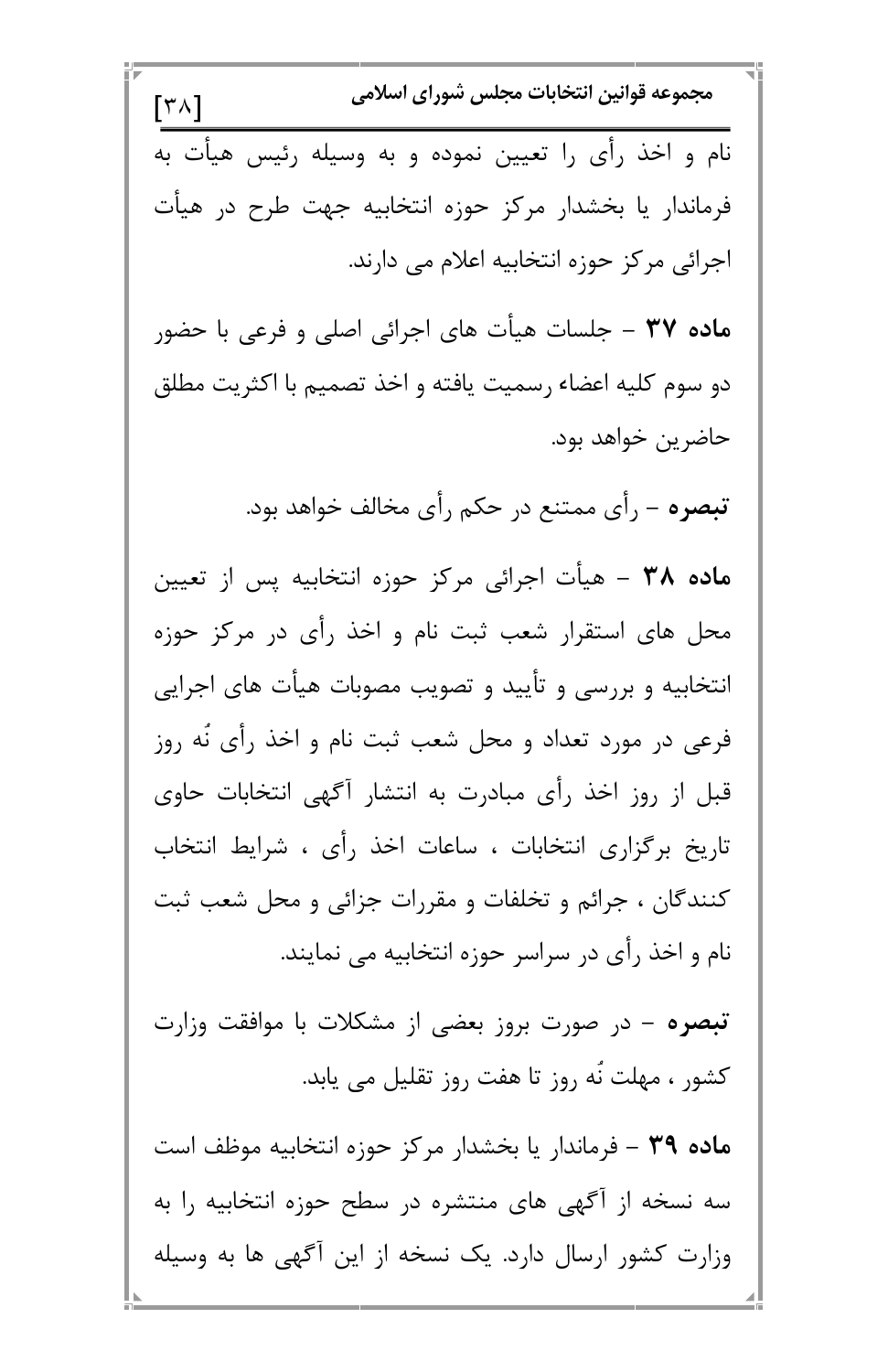مجموعه قوانين انتخابات مجلس شوراي اسلامي  $\lceil r \wedge \rceil$ نام و اخذ رأى را تعيين نموده و به وسيله رئيس هيأت به فرماندار یا بخشدار مرکز حوزه انتخابیه جهت طرح در هیأت اجرائی مرکز حوزه انتخابیه اعلام می دارند. م**اده ۳۷** – جلسات هیأت های اجرائی اصلی و فرعی با حضور دو سوم كليه اعضاء رسميت يافته و اخذ تصميم با اكثريت مطلق حاضرين خواهد بود. **تبصره** – رأى ممتنع در حكم رأى مخالف خواهد بود. ماده ۳۸ – هیأت اجرائی مرکز حوزه انتخابیه پس از تعیین محل های استقرار شعب ثبت نام و اخذ رأی در مرکز حوزه انتخابیه و بررسی و تأیید و تصویب مصوبات هیأت های اجرایی فرعی در مورد تعداد و محل شعب ثبت نام و اخذ رأی نّه روز قبل از روز اخذ رأی مبادرت به انتشار آگهی انتخابات حاوی تاريخ برگزاري انتخابات ، ساعات اخذ رأي ، شرايط انتخاب کنندگان ، جرائم و تخلفات و مقررات جزائی و محل شعب ثبت نام و اخذ رأى در سراسر حوزه انتخابيه مى نمايند.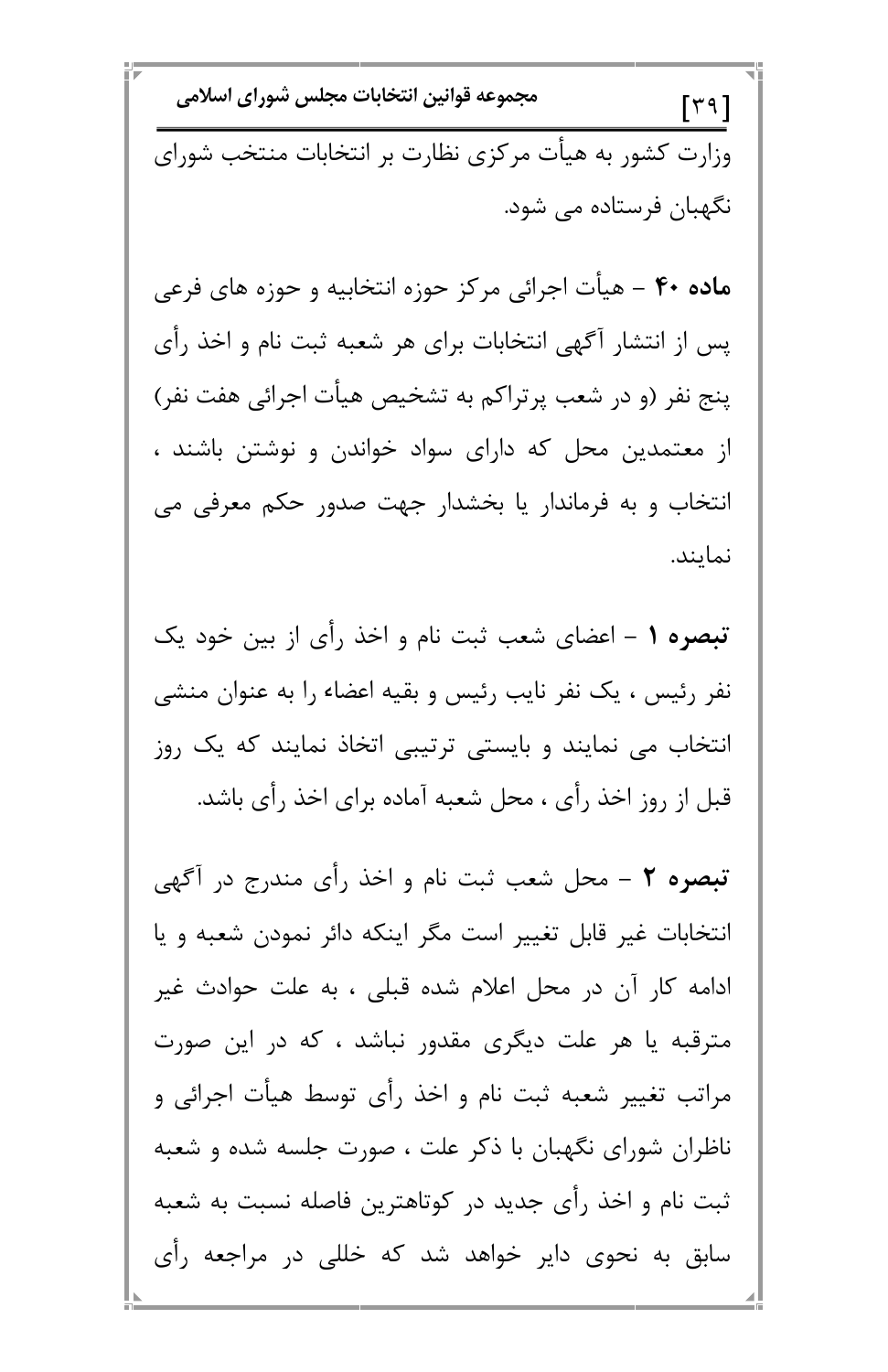مجموعه قوانين انتخابات مجلس شوراي اسلامي  $\lceil \mathbf{r} \mathbf{9} \rceil$ وزارت کشور به هیأت مرکزی نظارت بر انتخابات منتخب شورای نگهبان فرستاده می شود.

م**اده ۴۰** – هیأت اجرائی مرکز حوزه انتخابیه و حوزه های فرعی پس از انتشار آگهی انتخابات برای هر شعبه ثبت نام و اخذ رأی پنج نفر (و در شعب پرتراکم به تشخیص هیأت اجرائی هفت نفر) از معتمدین محل که دارای سواد خواندن و نوشتن باشند ، انتخاب و به فرماندار یا بخشدار جهت صدور حکم معرفی می نمايند.

تبصره ١ - اعضاى شعب ثبت نام و اخذ رأى از بين خود يک نفر رئیس ، یک نفر نایب رئیس و بقیه اعضاء را به عنوان منشی انتخاب می نمایند و بایستی ترتیبی اتخاذ نمایند که یک روز قبل از روز اخذ رأى ، محل شعبه آماده براى اخذ رأى باشد.

تبصره ٢ - محل شعب ثبت نام و اخذ رأى مندرج در أكَهى انتخابات غیر قابل تغییر است مگر اینکه دائر نمودن شعبه و یا ادامه کار آن در محل اعلام شده قبلی ، به علت حوادث غیر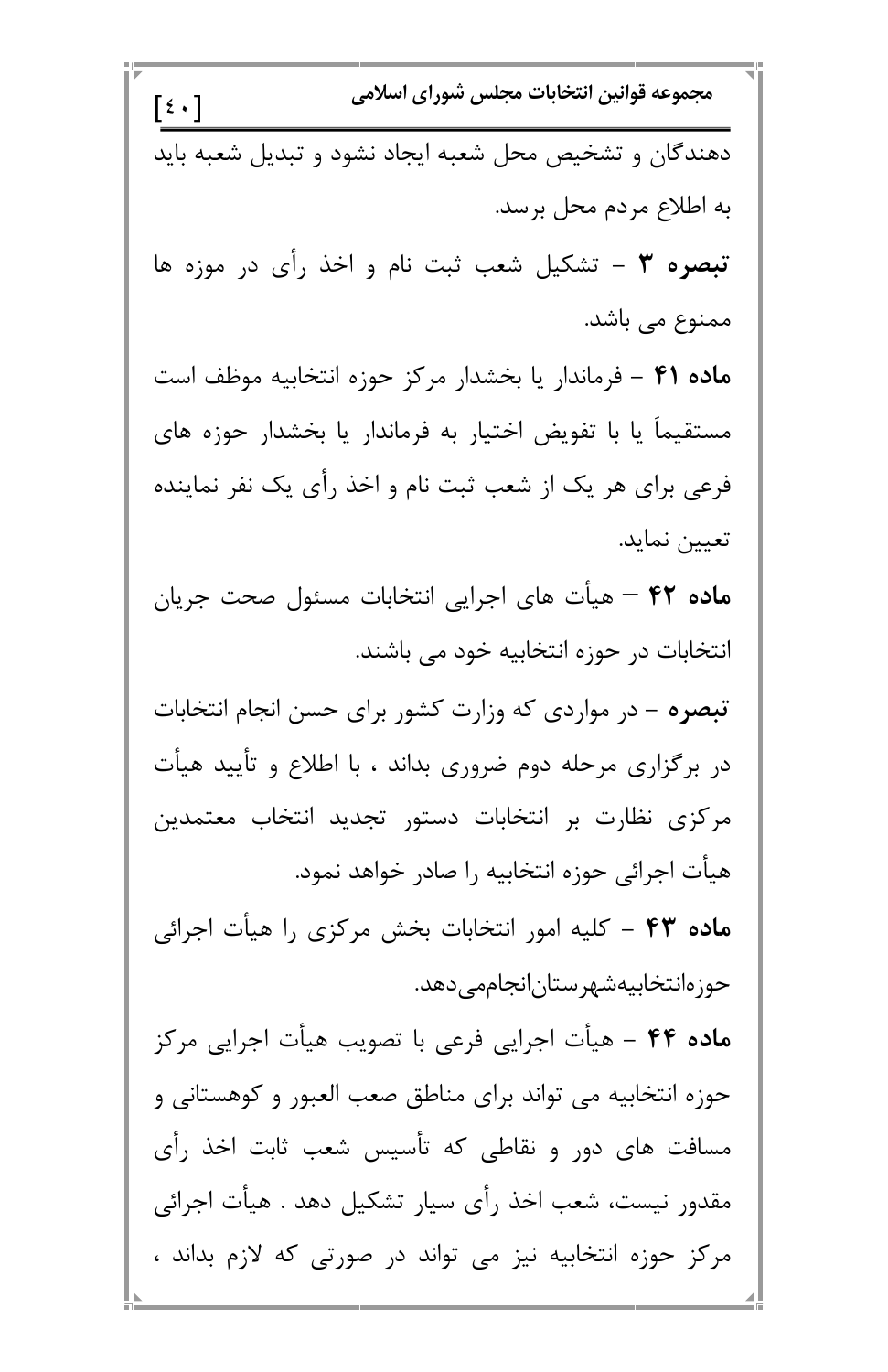مجموعه قوانين انتخابات مجلس شوراي اسلامي  $\lceil \xi \cdot \rceil$ دهندگان و تشخیص محل شعبه ایجاد نشود و تبدیل شعبه باید به اطلاع مردم محل برسد. تبصره ٣ – تشکیل شعب ثبت نام و اخذ رأی در موزه ها ممنوع می باشد. ماده ۴۱ – فرماندار یا بخشدار مرکز حوزه انتخابیه موظف است مستقیماً یا با تفویض اختیار به فرماندار یا بخشدار حوزه های فرعی برای هر یک از شعب ثبت نام و اخذ رأی یک نفر نماینده تعيين نمايد. ماده ۴۲ – هیأت های اجرایی انتخابات مسئول صحت جریان انتخابات در حوزه انتخابیه خود می باشند. **تبصره** – در مواردی که وزارت کشور برای حسن انجام انتخابات در برگزاری مرحله دوم ضروری بداند ، با اطلاع و تأیید هیأت مرکزی نظارت بر انتخابات دستور تجدید انتخاب معتمدین هیأت اجرائی حوزه انتخابیه را صادر خواهد نمود. ماده ۴۳ - کلیه امور انتخابات بخش مرکزی را هیأت اجرائی حوزەانتخابيەشھرستان|نجاممے دھد.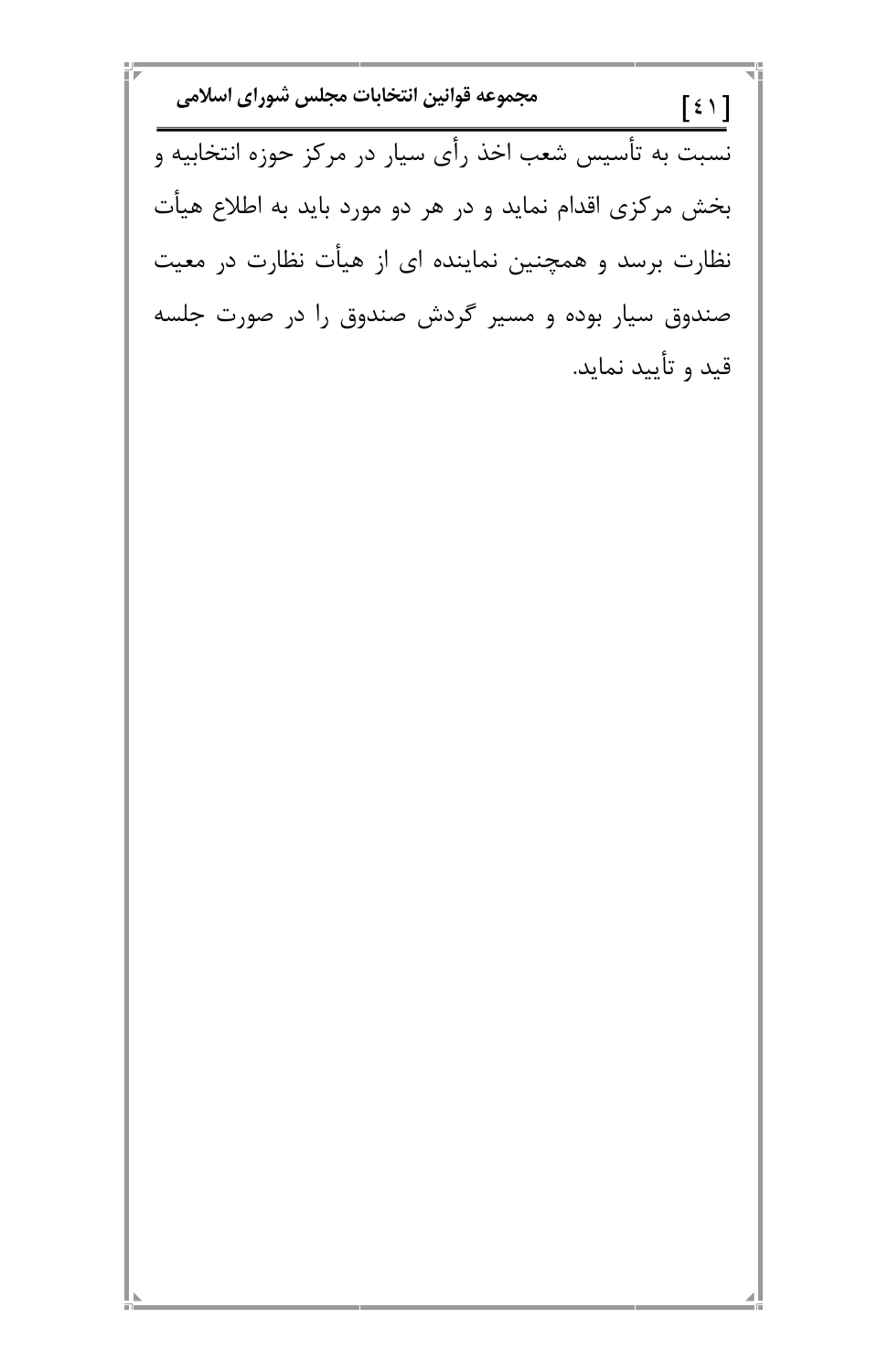مجموعه قوانين انتخابات مجلس شوراي اسلامي  $[\xi \setminus ]$ نسبت به تأسیس شعب اخذ رأی سیار در مرکز حوزه انتخابیه و بخش مرکزی اقدام نماید و در هر دو مورد باید به اطلاع هیأت نظارت برسد و همچنین نماینده ای از هیأت نظارت در معیت صندوق سیار بوده و مسیر گردش صندوق را در صورت جلسه قید و تأیید نماید.

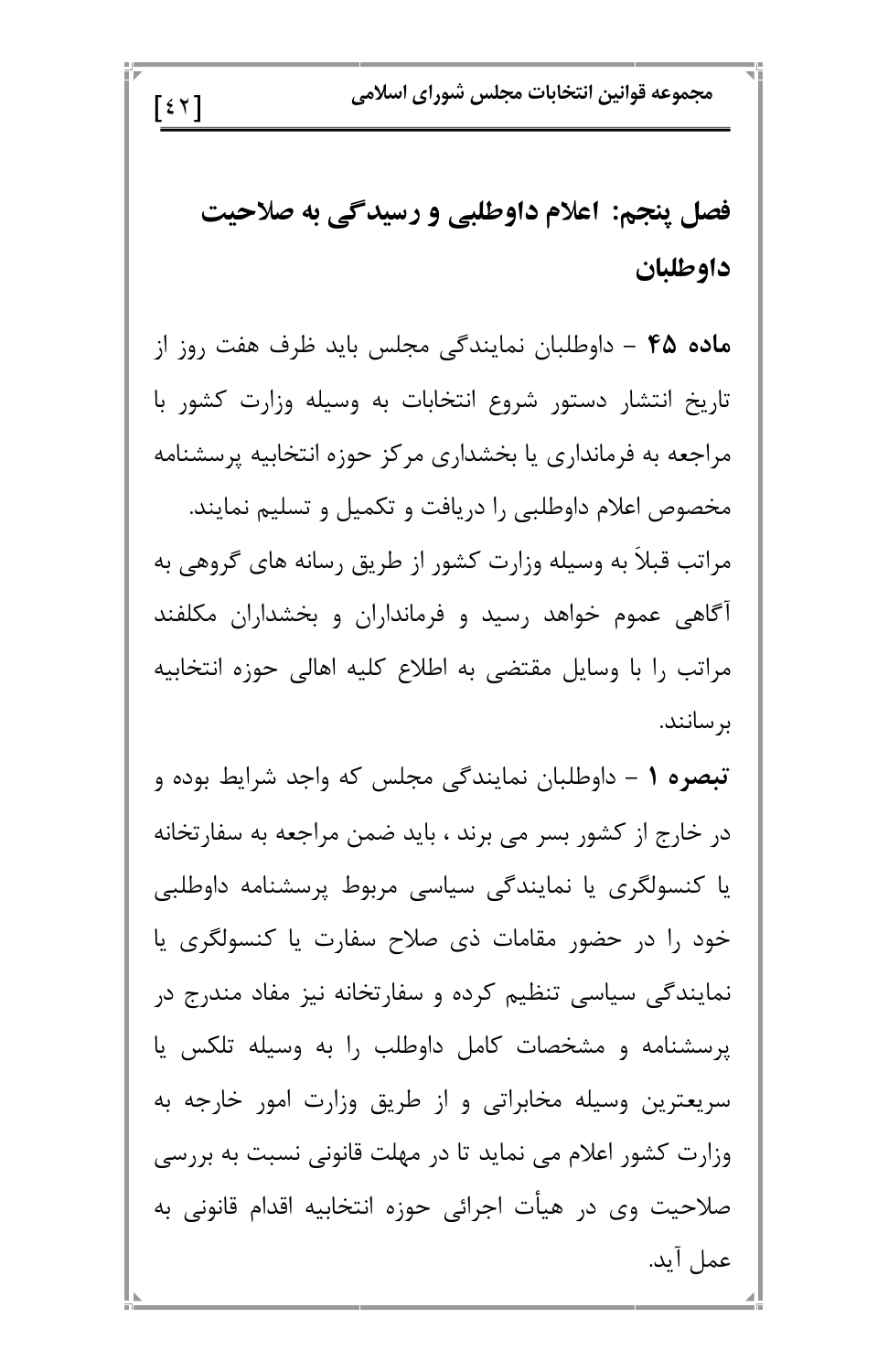مجموعه قوانين انتخابات مجلس شوراي اسلامي  $\lceil$  {  $\mathsf{\check{Y}}$   $\mathsf{\mathsf{T}}$ فصل پنجم: اعلام داوطلبي و رسیدگی به صلاحیت داوطلبان ماده ۴۵ – داوطلبان نمایندگی مجلس باید ظرف هفت روز از تاریخ انتشار دستور شروع انتخابات به وسیله وزارت کشور با مراجعه به فرمانداری یا بخشداری مرکز حوزه انتخابیه پرسشنامه مخصوص اعلام داوطلبي را دريافت و تكميل و تسليم نمايند. مراتب قبلاً به وسیله وزارت کشور از طریق رسانه های گروهی به آگاهی عموم خواهد رسید و فرمانداران و بخشداران مکلفند مراتب را با وسایل مقتضی به اطلاع کلیه اهالی حوزه انتخابیه بر سانند. **تبصره ۱** – داوطلبان نمایندگی مجلس که واجد شرایط بوده و در خارج از کشور بسر می برند ، باید ضمن مراجعه به سفارتخانه یا کنسولگری یا نمایندگی سیاسی مربوط پرسشنامه داوطلبی خود را در حضور مقامات ذي صلاح سفارت يا كنسولگري يا نمایندگی سیاسی تنظیم کرده و سفارتخانه نیز مفاد مندرج در

پرسشنامه و مشخصات کامل داوطلب را به وسیله تلکس یا سریعترین وسیله مخابراتی و از طریق وزارت امور خارجه به وزارت کشور اعلام می نماید تا در مهلت قانونی نسبت به بررسی صلاحیت وی در هیأت اجرائی حوزه انتخابیه اقدام قانونی به عمل آيد.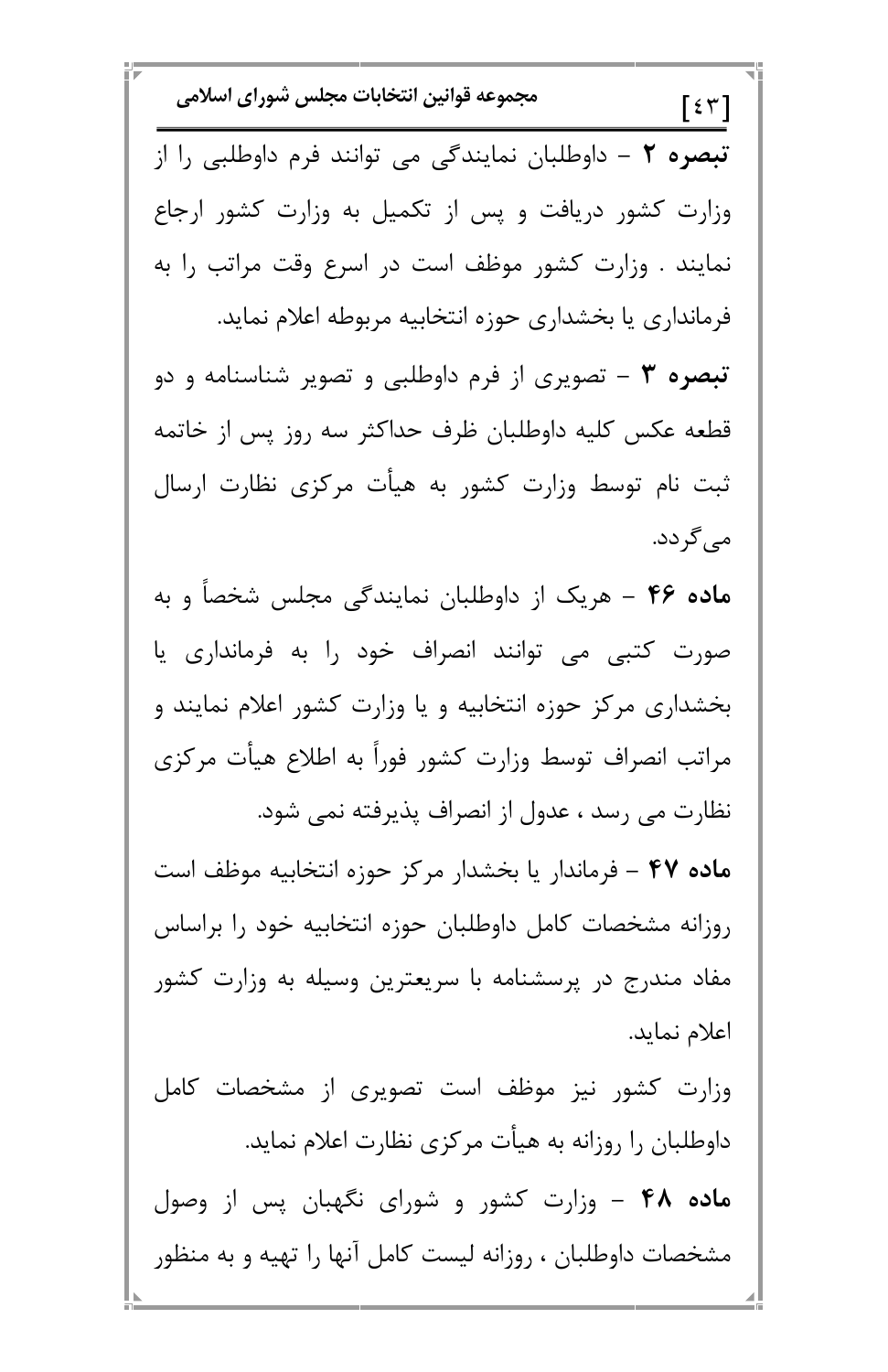مجموعه قوانين انتخابات مجلس شوراى اسلامى  $\lceil \xi \, \tau \rceil$ تبصره ٢ - داوطلبان نمايندگي مي توانند فرم داوطلبي را از وزارت کشور دریافت و پس از تکمیل به وزارت کشور ارجاع نمایند . وزارت کشور موظف است در اسرع وقت مراتب را به فرمانداری یا بخشداری حوزه انتخابیه مربوطه اعلام نماید. تبصره ۳ – تصویری از فرم داوطلبی و تصویر شناسنامه و دو قطعه عکس کلیه داوطلبان ظرف حداکثر سه روز پس از خاتمه ثبت نام توسط وزارت کشور به هیأت مرکزی نظارت ارسال می گردد. ماده ۴۶ - هریک از داوطلبان نمایندگی مجلس شخصاً و به صورت کتبی می توانند انصراف خود را به فرمانداری یا بخشداری مرکز حوزه انتخابیه و یا وزارت کشور اعلام نمایند و مراتب انصراف توسط وزارت كشور فوراً به اطلاع هيأت مركزى نظارت می رسد ، عدول از انصراف پذیرفته نمی شود. ماده ۴۷ – فرماندار یا بخشدار مرکز حوزه انتخابیه موظف است روزانه مشخصات كامل داوطلبان حوزه انتخابيه خود را براساس مفاد مندرج در پرسشنامه با سریعترین وسیله به وزارت کشور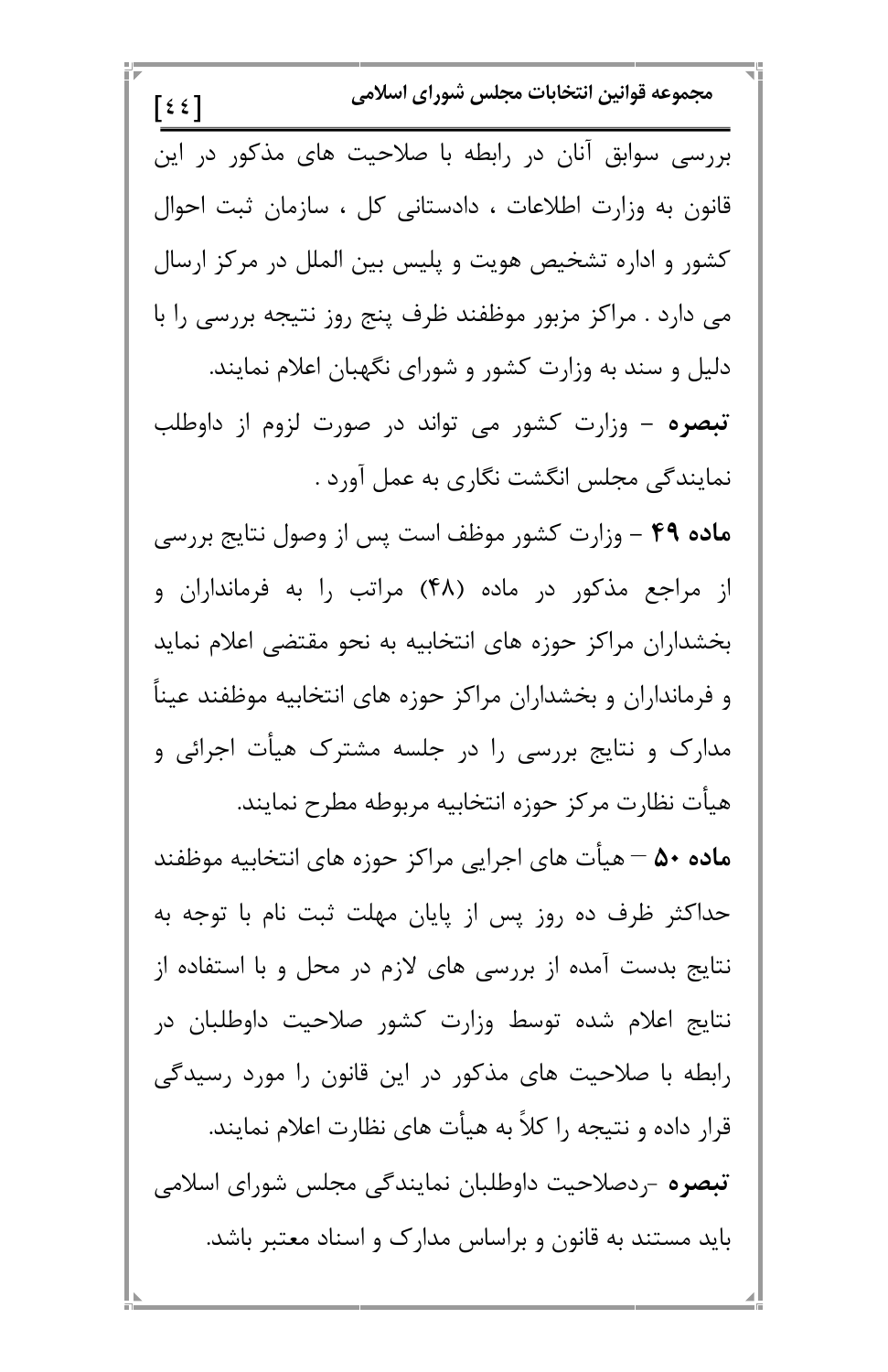| مجموعه قوانين انتخابات مجلس شوراى اسلامى<br>[55]             |
|--------------------------------------------------------------|
| بررسی سوابق آنان در رابطه با صلاحیت های مذکور در این         |
| قانون به وزارت اطلاعات ، دادستانی کل ، سازمان ثبت احوال      |
| کشور و اداره تشخیص هویت و پلیس بین الملل در مرکز ارسال       |
| می دارد . مراکز مزبور موظفند ظرف پنج روز نتیجه بررسی را با   |
| دلیل و سند به وزارت کشور و شورای نگهبان اعلام نمایند.        |
| <b>تبصره</b> – وزارت کشور می تواند در صورت لزوم از داوطلب    |
| نمایندگی مجلس انگشت نگاری به عمل آورد .                      |
| ماده ۴۹ - وزارت کشور موظف است پس از وصول نتایج بررسی         |
| از مراجع مذکور در ماده (۴۸) مراتب را به فرمانداران و         |
| بخشداران مراکز حوزه های انتخابیه به نحو مقتضی اعلام نماید    |
| و فرمانداران و بخشداران مراکز حوزه های انتخابیه موظفند عیناً |
| مدارک و نتایج بررسی را در جلسه مشترک هیأت اجرائی و           |
| هيأت نظارت مركز حوزه انتخابيه مربوطه مطرح نمايند.            |
| ماده ۵۰ – هیأت های اجرایی مراکز حوزه های انتخابیه موظفند     |
| حداکثر ظرف ده روز پس از پایان مهلت ثبت نام با توجه به        |
| نتایج بدست آمده از بررسی های لازم در محل و با استفاده از     |

п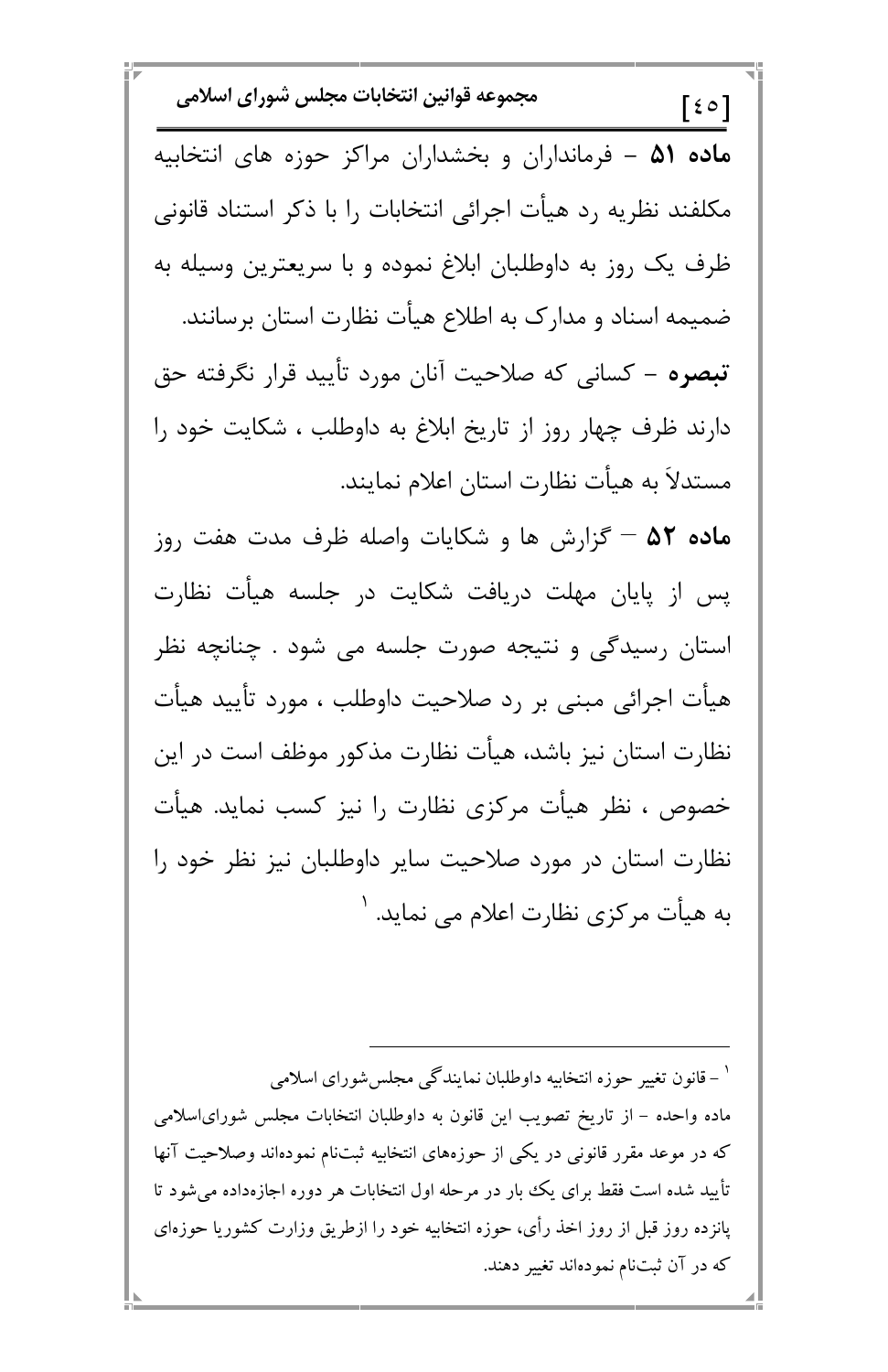مجموعه قوانين انتخابات مجلس شوراي اسلامي  $\lceil$  {  $\circ$   $\rceil$ ماده ۵۱ – فرمانداران و بخشداران مراکز حوزه های انتخابیه مکلفند نظریه رد هیأت اجرائی انتخابات را با ذکر استناد قانونی ظرف یک روز به داوطلبان ابلاغ نموده و با سریعترین وسیله به ضمیمه اسناد و مدارک به اطلاع هیأت نظارت استان برسانند. **تبصره** – كسانى كه صلاحيت آنان مورد تأييد قرار نگرفته حق دارند ظرف چهار روز از تاریخ ابلاغ به داوطلب ، شکایت خود را مستدلاً به هيأت نظارت استان اعلام نمايند. ماده ۵۲ – گزارش ها و شکایات واصله ظرف مدت هفت روز پس از پایان مهلت دریافت شکایت در جلسه هیأت نظارت استان رسیدگی و نتیجه صورت جلسه می شود . چنانچه نظر هيأت اجرائي مبني بر رد صلاحيت داوطلب ، مورد تأييد هيأت نظارت استان نیز باشد، هیأت نظارت مذکور موظف است در این خصوص ، نظر هیأت مرکزی نظارت را نیز کسب نماید. هیأت نظارت استان در مورد صلاحیت سایر داوطلبان نیز نظر خود را به هیأت مرکزی نظارت اعلام می نماید. '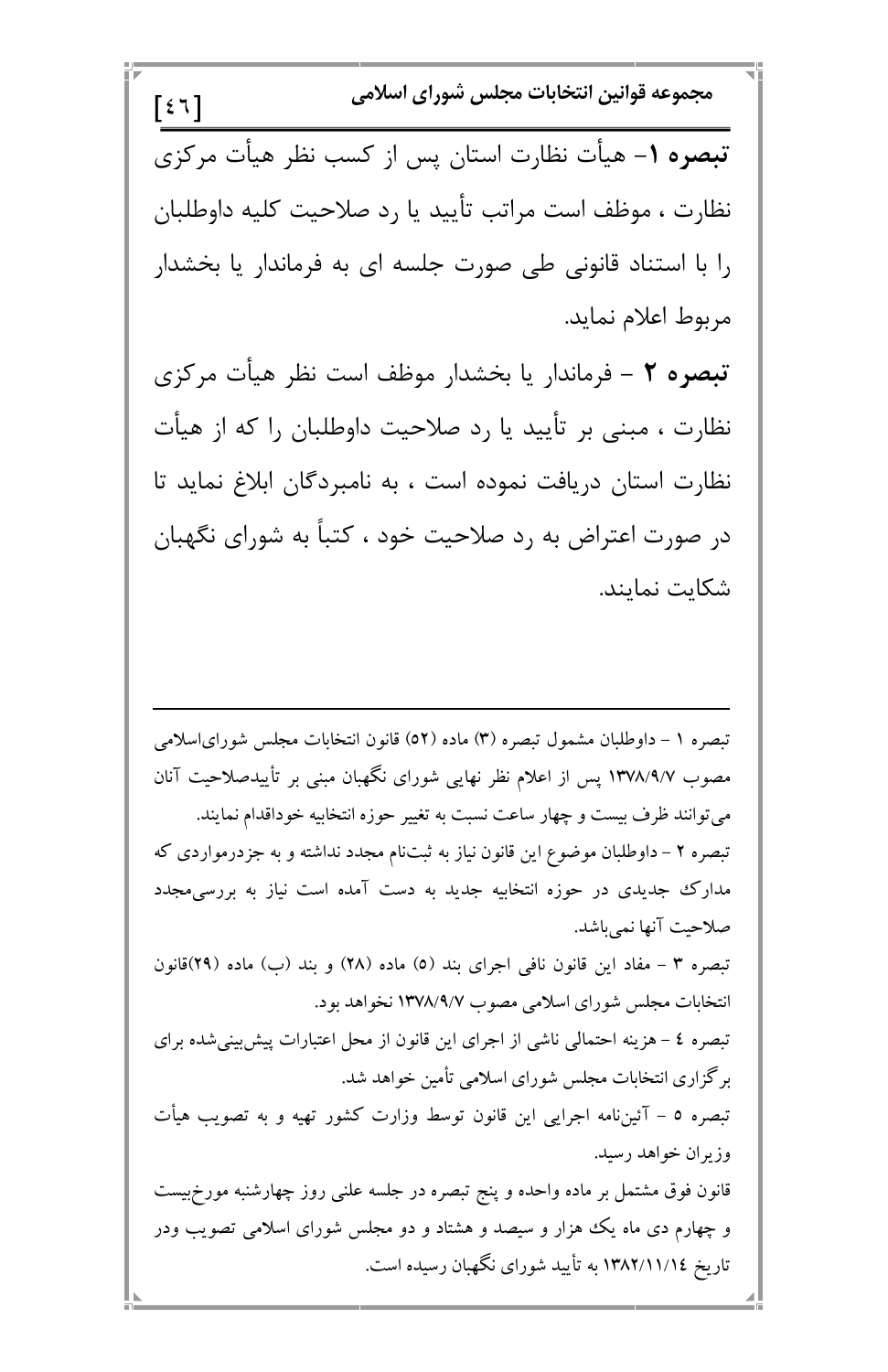مجموعه قوانين انتخابات مجلس شوراي اسلامي  $\lceil \xi \n\tau \rceil$ تبصره ١- هيأت نظارت استان پس از كسب نظر هيأت مركزى نظارت ، موظف است مراتب تأييد يا رد صلاحيت كليه داوطلبان را با استناد قانونی طی صورت جلسه ای به فرماندار یا بخشدار مربوط اعلام نمايد. تبصره ٢ - فرماندار يا بخشدار موظف است نظر هيأت مركزى نظارت ، مبنی بر تأیید یا رد صلاحیت داوطلبان را که از هیأت نظارت استان دریافت نموده است ، به نامبردگان ابلاغ نماید تا در صورت اعتراض به رد صلاحیت خود ، کتباً به شورای نگهبان شكايت نمايند.

تبصره ١ – داوطلبان مشمول تبصره (٣) ماده (٥٢) قانون انتخابات مجلس شوراي|سلامي مصوب ۱۳۷۸/۹/۷ پس از اعلام نظر نهایی شورای نگهبان مبنی بر تأییدصلاحیت آنان می توانند ظرف بیست و چهار ساعت نسبت به تغییر حوزه انتخابیه خوداقدام نمایند. تبصره ۲ – داوطلبان موضوع این قانون نیاز به ثبتنام مجدد نداشته و به جزدرمواردی که مدارک جدیدی در حوزه انتخابیه جدید به دست آمده است نیاز به بررسی.مجدد صلاحيت آنها نمي باشد. تبصره ٣ - مفاد اين قانون نافي اجراي بند (٥) ماده (٢٨) و بند (ب) ماده (٢٩)قانون انتخابات مجلس شو رای اسلامی مصوب ۱۳۷۸/۹/۷ نخواهد بو د.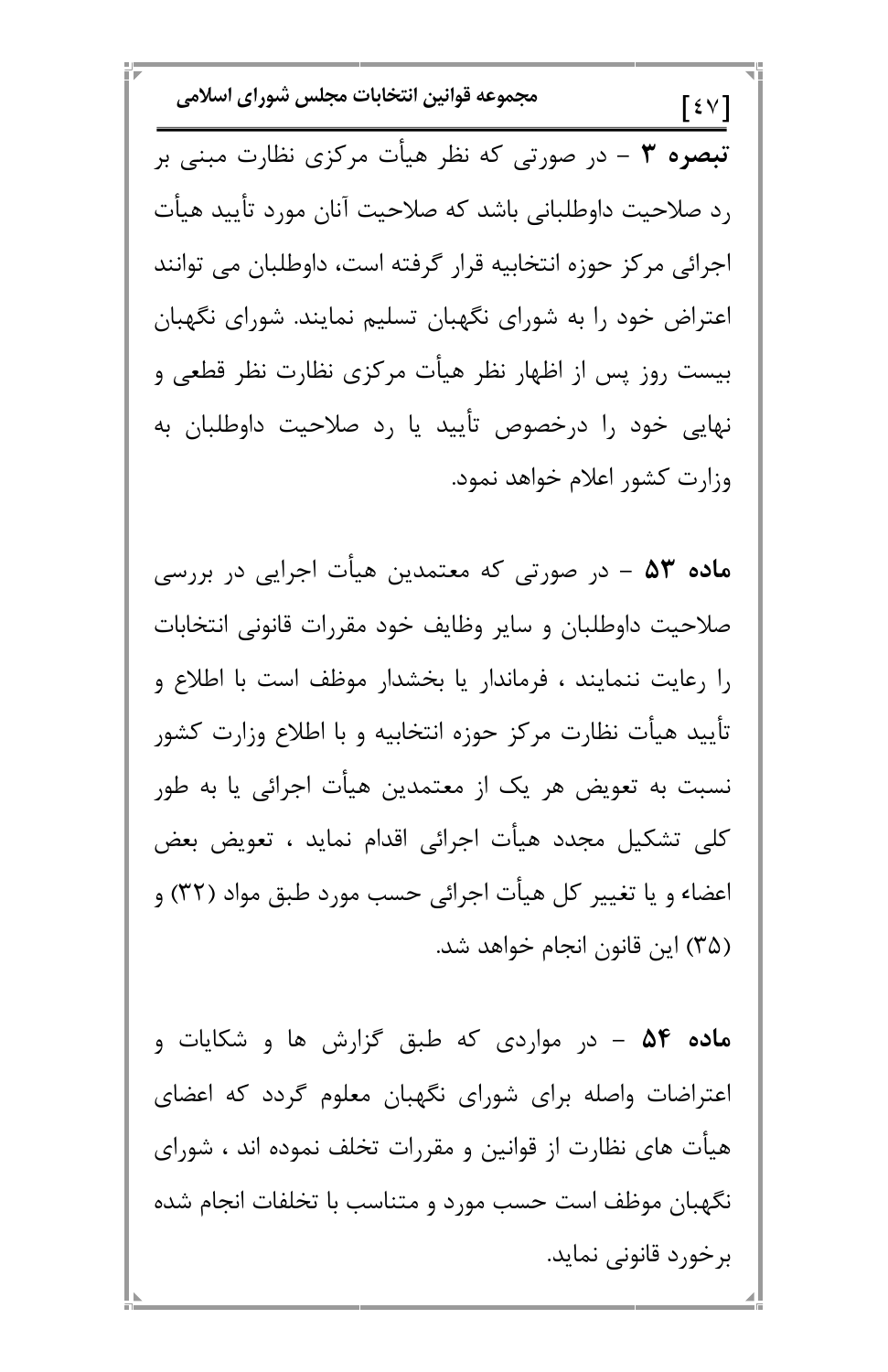مجموعه قوانين انتخابات مجلس شوراي اسلامي  $\lceil \xi \vee \rceil$ تبصره ۳ – در صورتی که نظر هیأت مرکزی نظارت مبنی بر رد صلاحیت داوطلبانی باشد که صلاحیت آنان مورد تأیید هیأت اجرائی مرکز حوزه انتخابیه قرار گرفته است، داوطلبان می توانند اعتراض خود را به شورای نگهبان تسلیم نمایند. شورای نگهبان بیست روز پس از اظهار نظر هیأت مرکزی نظارت نظر قطعی و نهایی خود را درخصوص تأیید یا رد صلاحیت داوطلبان به وزارت كشور اعلام خواهد نمود.

م**اده ۵۳ –** در صورتی که معتمدین هیأت اجرایی در بررسی صلاحيت داوطلبان و ساير وظايف خود مقررات قانوني انتخابات را رعایت ننمایند ، فرماندار یا بخشدار موظف است با اطلاع و تأييد هيأت نظارت مركز حوزه انتخابيه و با اطلاع وزارت كشور نسبت به تعویض هر یک از معتمدین هیأت اجرائی یا به طور كلي تشكيل مجدد هيأت اجرائي اقدام نمايد ، تعويض بعض اعضاء و یا تغییر کل هیأت اجرائی حسب مورد طبق مواد (۳۲) و (۳۵) این قانون انجام خواهد شد.

م**اده ۵۴ –** در مواردی که طبق گزارش ها و شکایات و اعتراضات واصله برای شورای نگهبان معلوم گردد که اعضای هیأت های نظارت از قوانین و مقررات تخلف نموده اند ، شورای نگهبان موظف است حسب مورد و متناسب با تخلفات انجام شده برخورد قانونی نماید.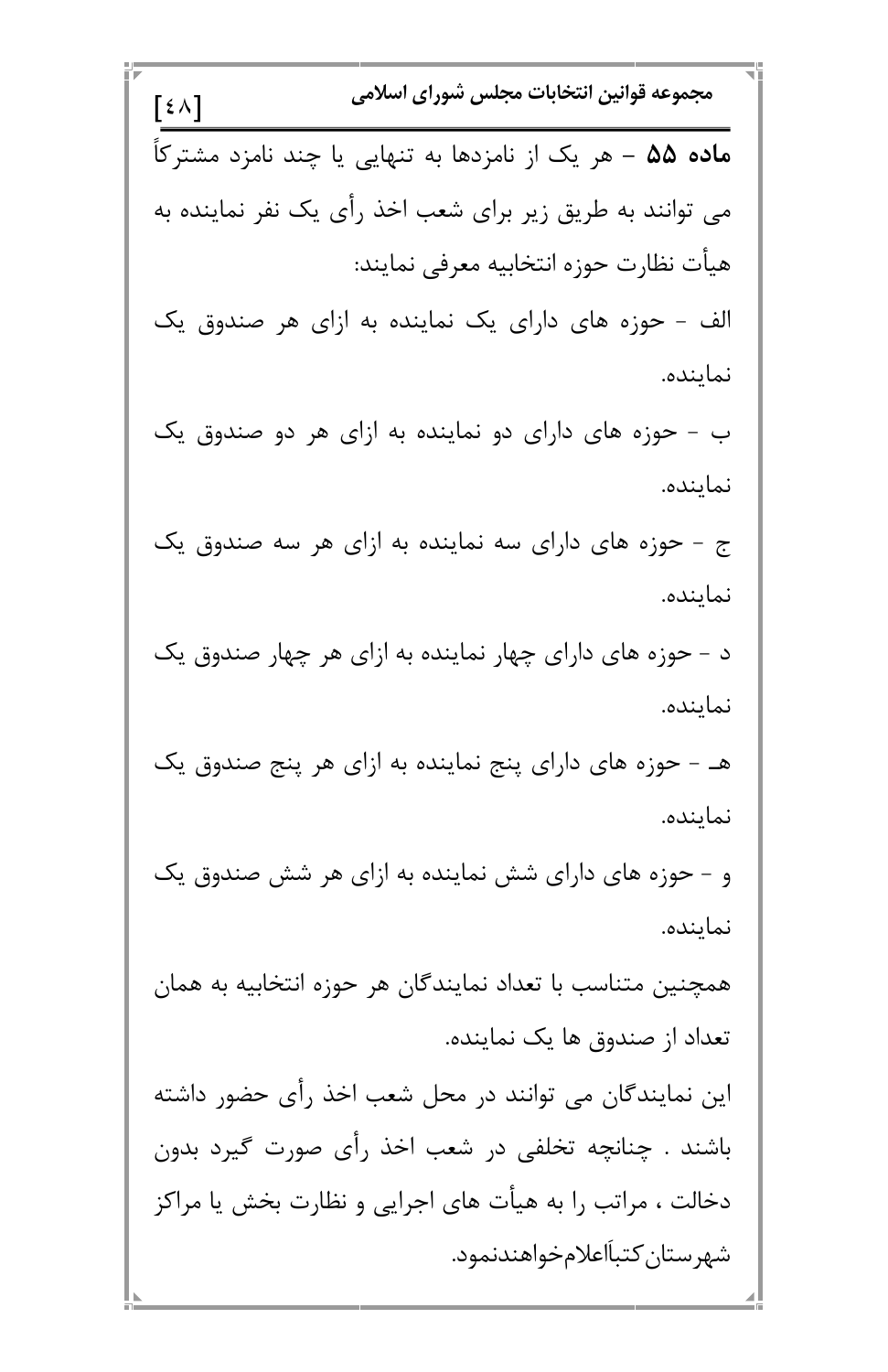مجموعه قوانين انتخابات مجلس شوراي اسلامي  $\lceil \xi \wedge \rceil$ م**اده ۵۵ –** هر یک از نامزدها به تنهایی یا چند نامزد مشترکاً می توانند به طریق زیر برای شعب اخذ رأی یک نفر نماینده به هيأت نظارت حوزه انتخابيه معرفي نمايند: الف - حوزه های دارای یک نماینده به ازای هر صندوق یک نماينده. ب - حوزه های دارای دو نماینده به ازای هر دو صندوق یک نماينده. ج - حوزه های دارای سه نماینده به ازای هر سه صندوق یک نماينده. د - حوزه های دارای چهار نماینده به ازای هر چهار صندوق یک نماينده. هـ - حوزه های دارای پنج نماینده به ازای هر پنج صندوق یک نماينده. و – حوزه های دارای شش نماینده به ازای هر شش صندوق یک نماينده. همچنین متناسب با تعداد نمایندگان هر حوزه انتخابیه به همان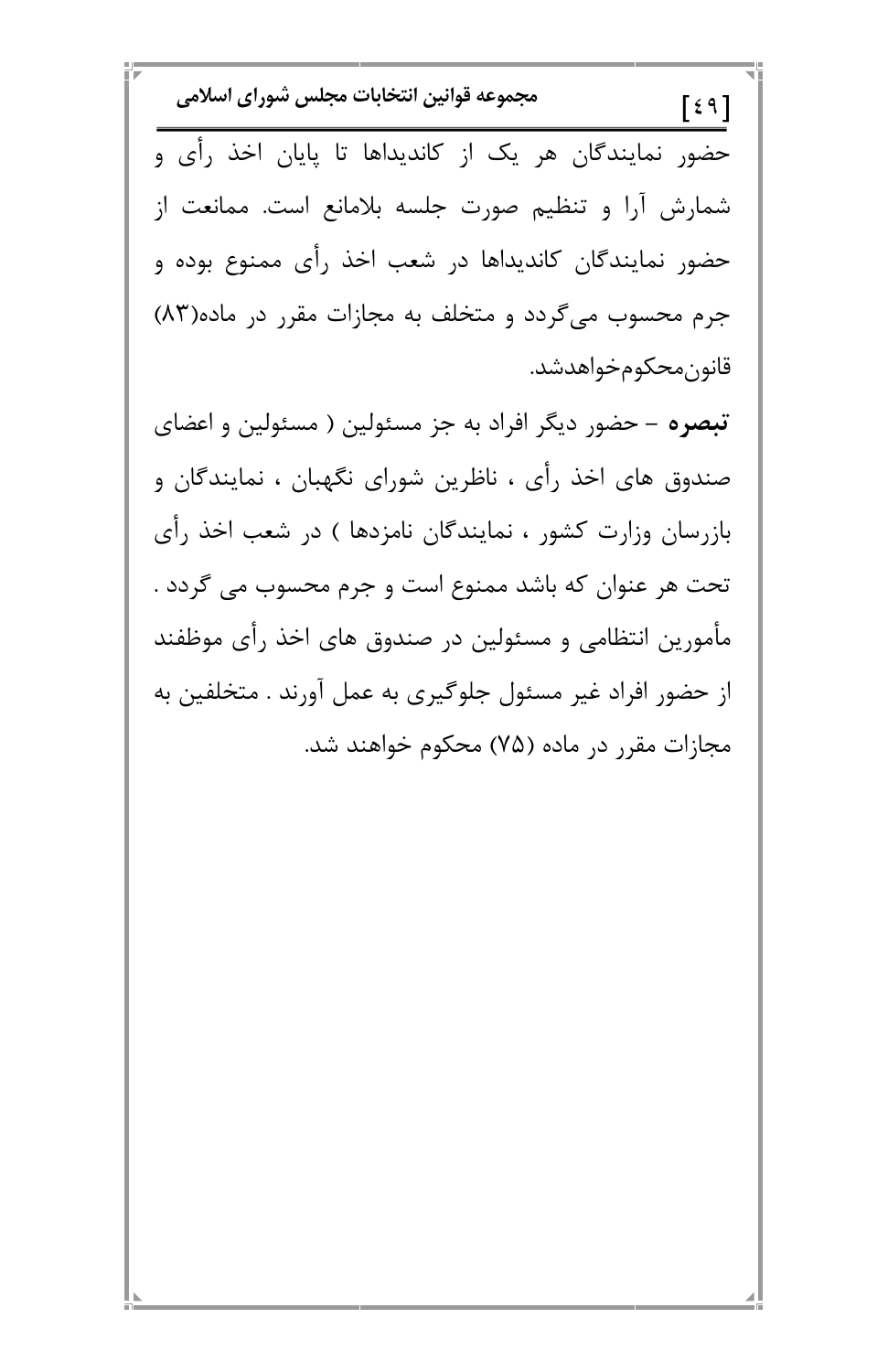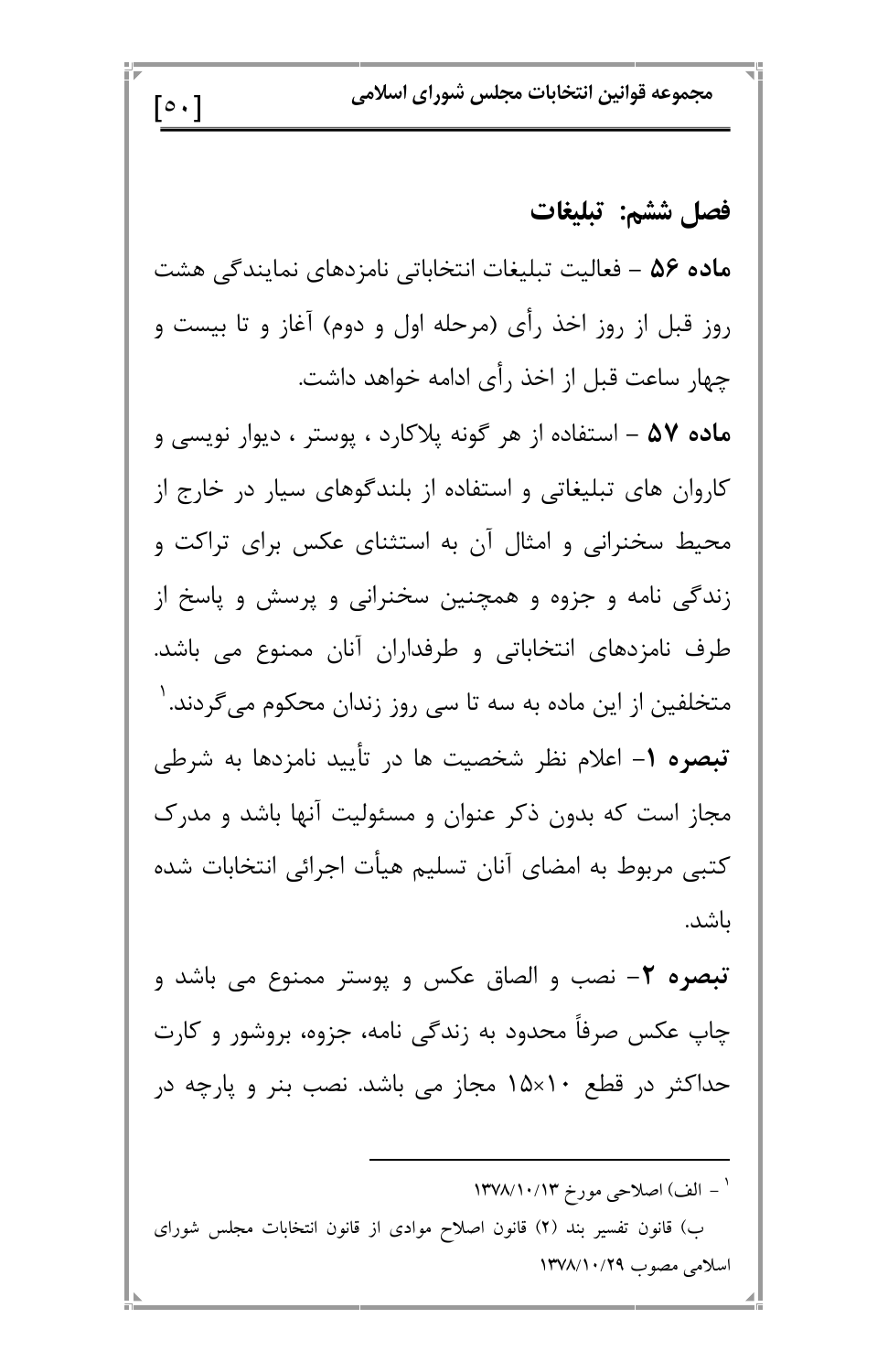مجموعه قوانين انتخابات مجلس شوراي اسلامي

## فصل ششم: تبليغات

ماده ۵۶ – فعالیت تبلیغات انتخاباتی نامزدهای نمایندگی هشت روز قبل از روز اخذ رأى (مرحله اول و دوم) آغاز و تا بيست و چهار ساعت قبل از اخذ رأى ادامه خواهد داشت.

 $\lceil \circ \cdot \rceil$ 

ماده ۵۷ – استفاده از هر گونه پلاکارد ، پوستر ، دیوار نویسی و کاروان های تبلیغاتی و استفاده از بلندگوهای سیار در خارج از محیط سخنرانی و امثال آن به استثنای عکس برای تراکت و زندگی نامه و جزوه و همچنین سخنرانی و پرسش و پاسخ از طرف نامزدهای انتخاباتی و طرفداران آنان ممنوع می باشد. متخلفین از این ماده به سه تا سی روز زندان محکوم میگردند. <sup>۱</sup> **تبصره ۱**– اعلام نظر شخصیت ها در تأیید نامزدها به شرطی مجاز است که بدون ذکر عنوان و مسئولیت آنها باشد و مدرک کتبی مربوط به امضای آنان تسلیم هیأت اجرائی انتخابات شده باشد.

**تبصره ٢**– نصب و الصاق عکس و پوستر ممنوع می باشد و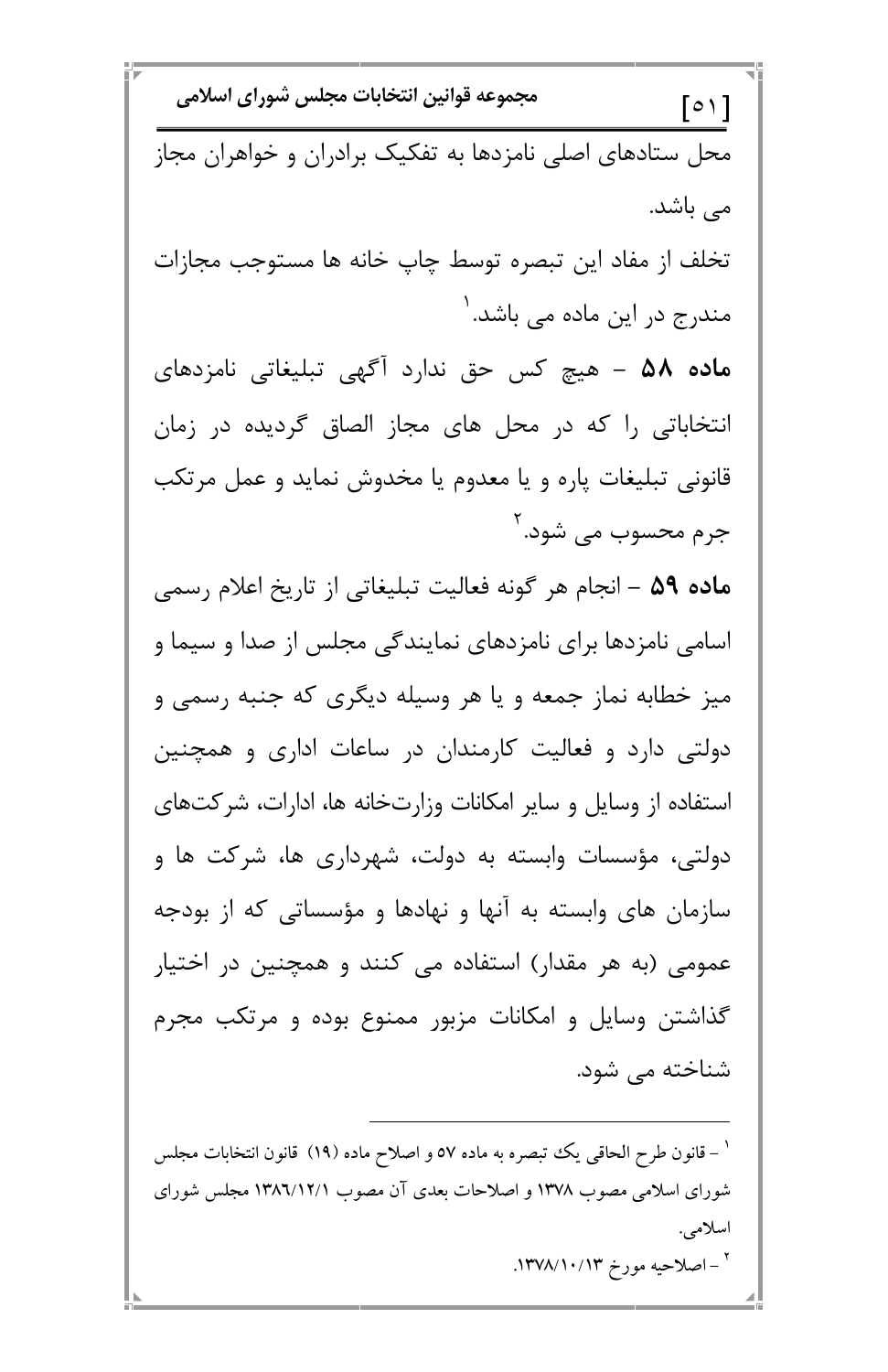مجموعه قوانين انتخابات مجلس شوراي اسلامي  $\lceil \circ \setminus \rceil$ محل ستادهای اصلی نامزدها به تفکیک برادران و خواهران مجاز می باشد. تخلف از مفاد اين تبصره توسط چاپ خانه ها مستوجب مجازات مندرج در این ماده می باشد. <sup>۱</sup> م**اده ۵۸ –** هیچ کس حق ندارد آگهی تبلیغاتی نامزدهای انتخاباتی را که در محل های مجاز الصاق گردیده در زمان قانونی تبلیغات پاره و یا معدوم یا مخدوش نماید و عمل مرتکب جرم محسوب می شود. ۲ ماده ۵۹ – انجام هر گونه فعالیت تبلیغاتی از تاریخ اعلام رسمی اسامی نامزدها برای نامزدهای نمایندگی مجلس از صدا و سیما و میز خطابه نماز جمعه و یا هر وسیله دیگری که جنبه رسمی و دولتی دارد و فعالیت کارمندان در ساعات اداری و همچنین استفاده از وسایل و سایر امکانات وزارتخانه ها، ادارات، شرکتهای دولتی، مؤسسات وابسته به دولت، شهرداری ها، شرکت ها و سازمان های وابسته به آنها و نهادها و مؤسساتی که از بودجه عمومي (به هر مقدار) استفاده مي كنند و همچنين در اختيار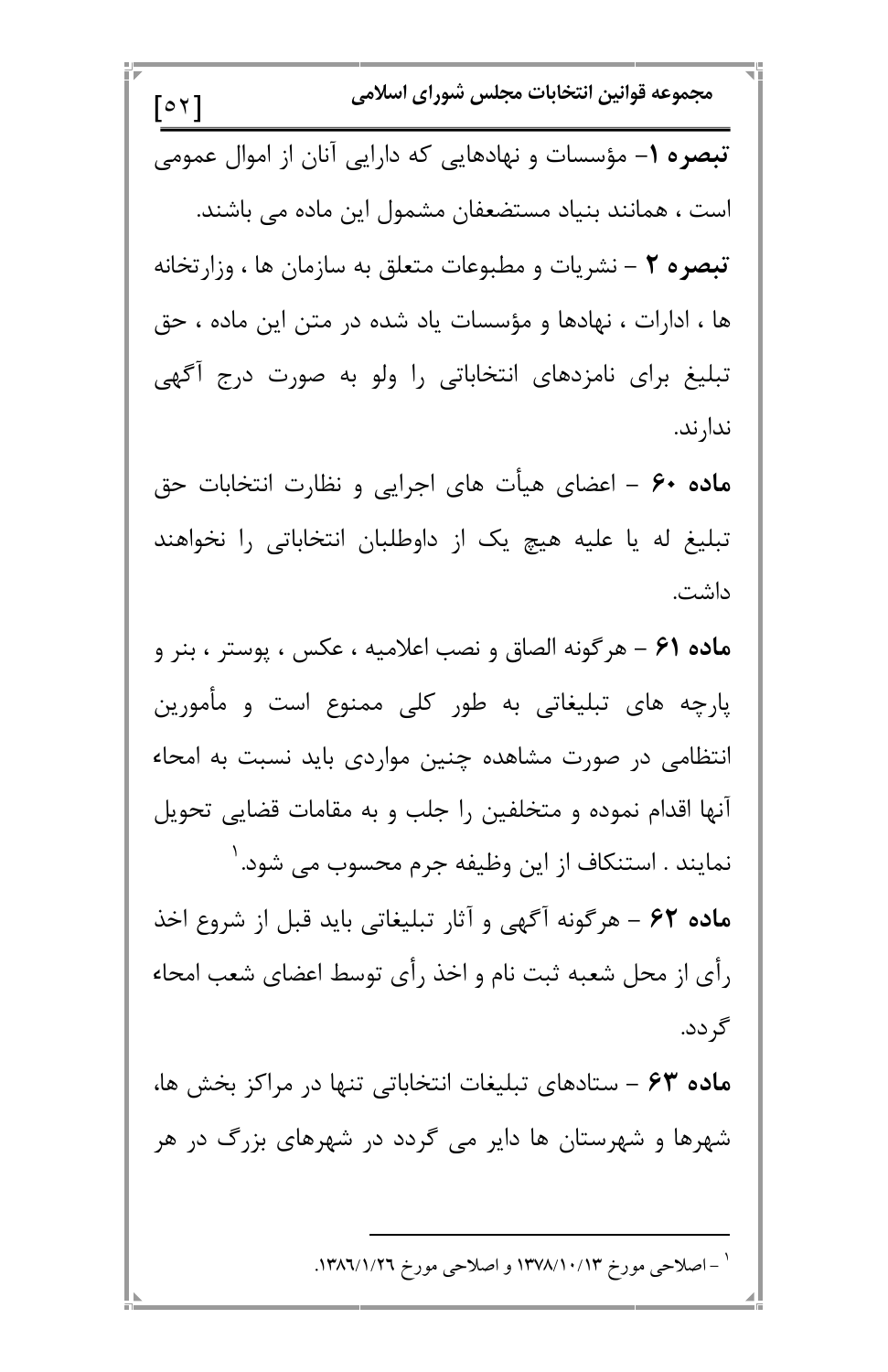مجموعه قوانين انتخابات مجلس شوراي اسلامي  $\lceil 0 \nmid \rceil$ تبصره ۱- مؤسسات و نهادهایی که دارایی آنان از اموال عمومی است ، همانند بنیاد مستضعفان مشمول این ماده می باشند. تبصره ٢ – نشريات و مطبوعات متعلق به سازمان ها ، وزارتخانه ها ، ادارات ، نهادها و مؤسسات یاد شده در متن این ماده ، حق تبلیغ برای نامزدهای انتخاباتی را ولو به صورت درج آگهی ندار ند. ماده ۶۰ – اعضای هیأت های اجرایی و نظارت انتخابات حق تبلیغ له یا علیه هیچ یک از داوطلبان انتخاباتی را نخواهند داشت. ماده ۶۱ – هرگونه الصاق و نصب اعلامیه ، عکس ، پوستر ، بنر و پارچه های تبلیغاتی به طور کلی ممنوع است و مأمورین انتظامی در صورت مشاهده چنین مواردی باید نسبت به امحاء آنها اقدام نموده و متخلفین را جلب و به مقامات قضایی تحویل نمايند . استنكاف از اين وظيفه جرم محسوب مى شود. ' ماده ۶۲ - هرگونه آگهی و آثار تبلیغاتی باید قبل از شروع اخذ رأى از محل شعبه ثبت نام و اخذ رأى توسط اعضاى شعب امحاء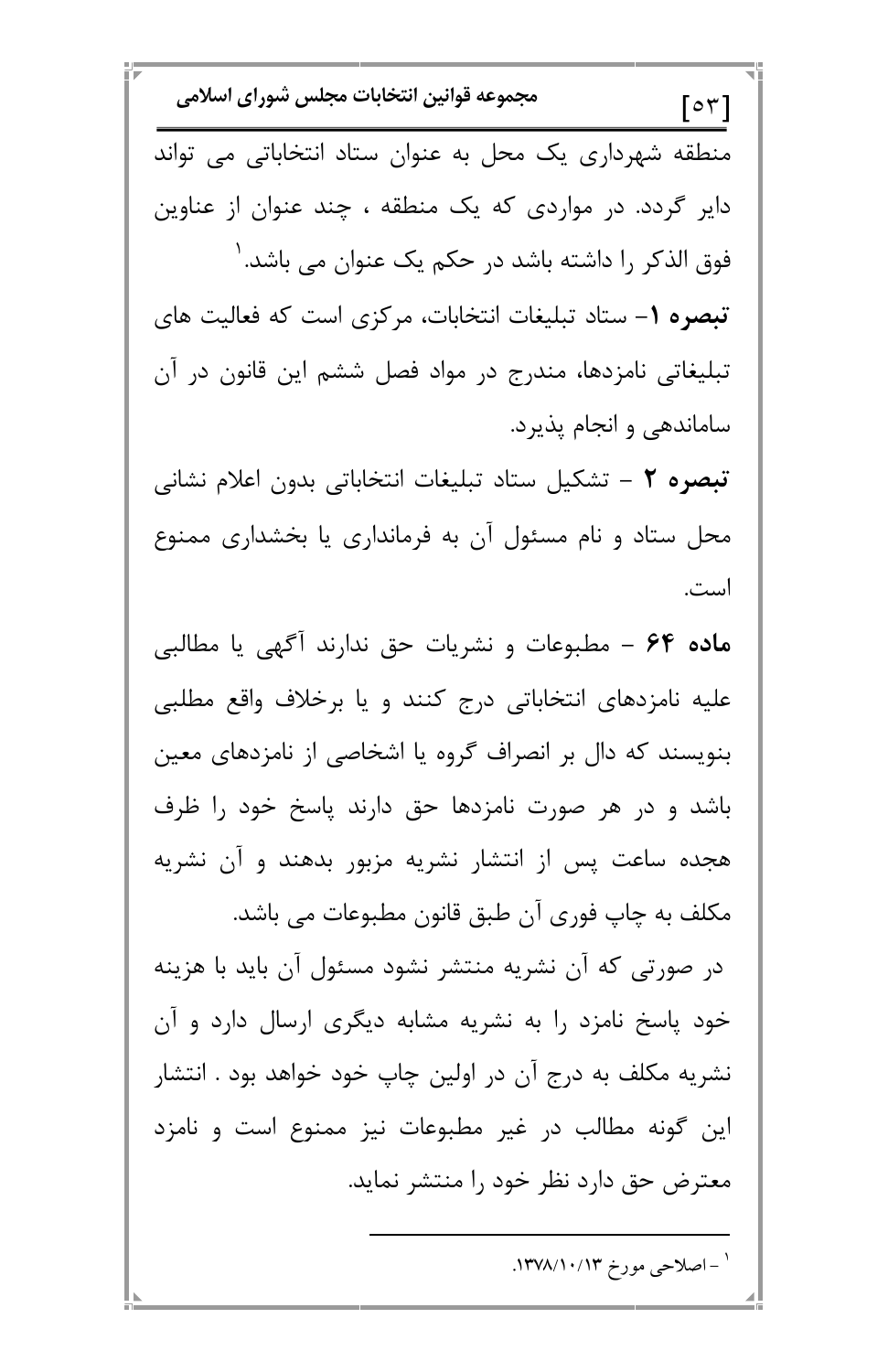| مجموعه قوانين انتخابات مجلس شوراى اسلامى<br>$\lbrack 0 \nabla \rbrack$ |
|------------------------------------------------------------------------|
| منطقه شهرداری یک محل به عنوان ستاد انتخاباتی می تواند                  |
| دایر گردد. در مواردی که یک منطقه ، چند عنوان از عناوین                 |
| فوق الذکر را داشته باشد در حکم یک عنوان می باشد. '                     |
| تبصره ١- ستاد تبليغات انتخابات، مركزى است كه فعاليت هاى                |
| تبلیغاتی نامزدها، مندرج در مواد فصل ششم این قانون در آن                |
| ساماندهی و انجام پذیرد.                                                |
| تبصره ٢ – تشكيل ستاد تبليغات انتخاباتي بدون اعلام نشاني                |
| محل ستاد و نام مسئول آن به فرمانداری یا بخشداری ممنوع                  |
| است.                                                                   |
| ماده ۶۴ - مطبوعات و نشریات حق ندارند آگهی یا مطالبی                    |
| علیه نامزدهای انتخاباتی درج کنند و یا برخلاف واقع مطلبی                |
| بنویسند که دال بر انصراف گروه یا اشخاصی از نامزدهای معین               |
| باشد و در هر صورت نامزدها حق دارند پاسخ خود را ظرف                     |
| هجده ساعت پس از انتشار نشریه مزبور بدهند و آن نشریه                    |
| مکلف به چاپ فوری آن طبق قانون مطبوعات می باشد.                         |
| در صورتی که آن نشریه منتشر نشود مسئول آن باید با هزینه                 |

Π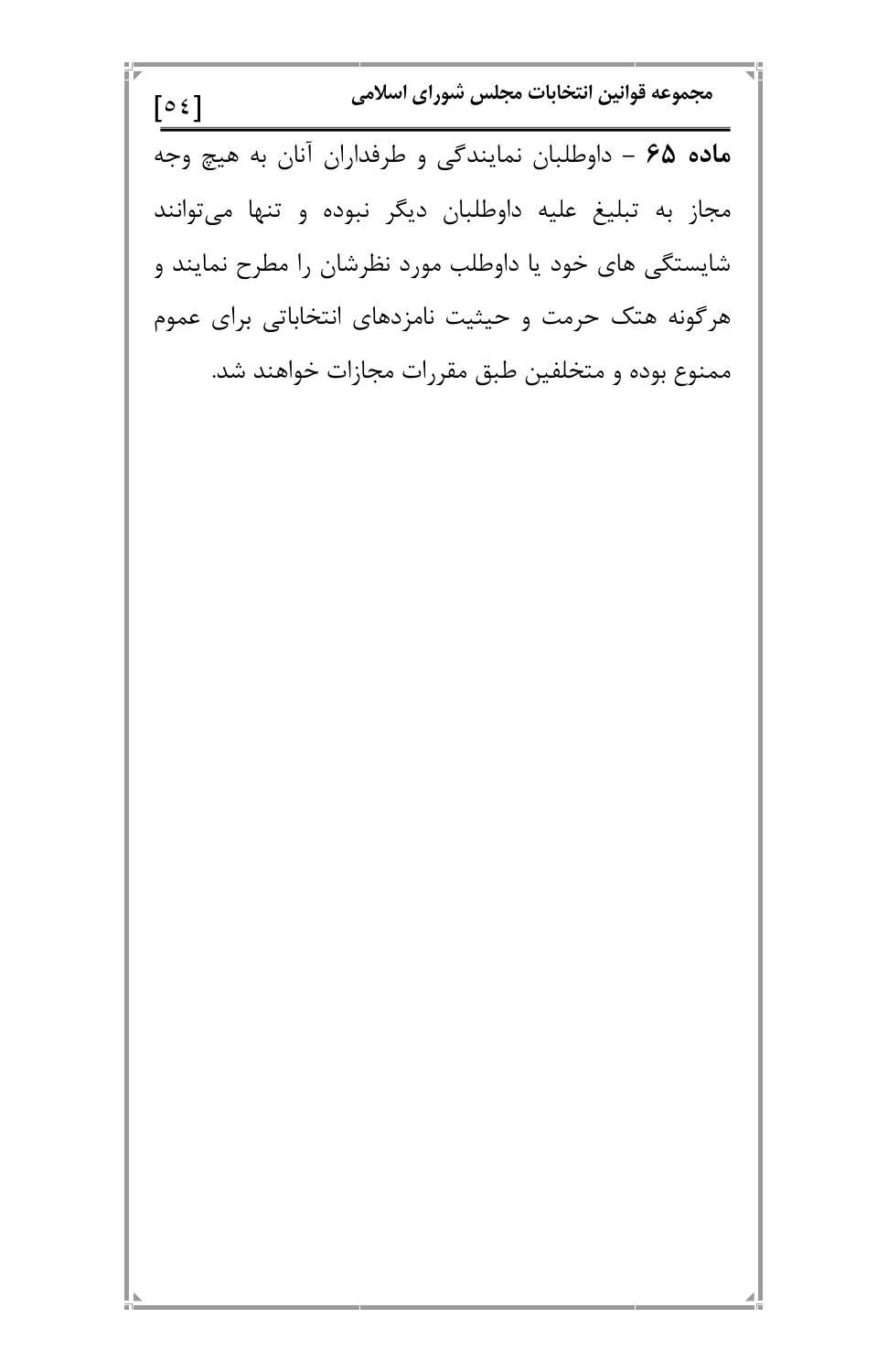مجموعه قوانین انتخابات مجلس شورای اسلامی  
\n
$$
\boxed{02}
$$
\n  
\n
$$
\boxed{04}
$$
\n  
\n
$$
\boxed{04}
$$
\n  
\n
$$
\boxed{04}
$$
\n  
\n
$$
\boxed{06}
$$
\n  
\n
$$
\boxed{06}
$$
\n  
\n
$$
\boxed{06}
$$
\n  
\n
$$
\boxed{08}
$$
\n  
\n
$$
\boxed{06}
$$
\n  
\n
$$
\boxed{08}
$$
\n  
\n
$$
\boxed{08}
$$
\n  
\n
$$
\boxed{08}
$$
\n  
\n
$$
\boxed{08}
$$
\n  
\n
$$
\boxed{08}
$$
\n  
\n
$$
\boxed{08}
$$
\n  
\n
$$
\boxed{08}
$$
\n  
\n
$$
\boxed{08}
$$
\n  
\n
$$
\boxed{08}
$$
\n  
\n
$$
\boxed{08}
$$
\n  
\n
$$
\boxed{08}
$$
\n  
\n
$$
\boxed{08}
$$
\n  
\n
$$
\boxed{08}
$$
\n  
\n
$$
\boxed{08}
$$
\n  
\n
$$
\boxed{08}
$$
\n  
\n
$$
\boxed{08}
$$
\n  
\n
$$
\boxed{08}
$$
\n  
\n
$$
\boxed{08}
$$
\n  
\n
$$
\boxed{08}
$$
\n  
\n
$$
\boxed{08}
$$
\n  
\n
$$
\boxed{08}
$$
\n  
\n
$$
\boxed{08}
$$
\n  
\n
$$
\boxed{08}
$$
\n  
\n
$$
\boxed{08}
$$
\n  
\n
$$
\boxed{08}
$$
\n  
\n
$$
\boxed{08}
$$
\n  
\n
$$
\boxed{08}
$$
\n  
\n
$$
\boxed{08}
$$
\n  
\n
$$
\boxed{08}
$$
\n  
\n
$$
\boxed{08}
$$
\n  
\n
$$
\boxed{08}
$$
\n  
\n
$$
\boxed{08}
$$
\n  
\n
$$
\boxed{08}
$$
\n  
\n
$$
\boxed{08}
$$
\n  
\n
$$
\boxed{08
$$

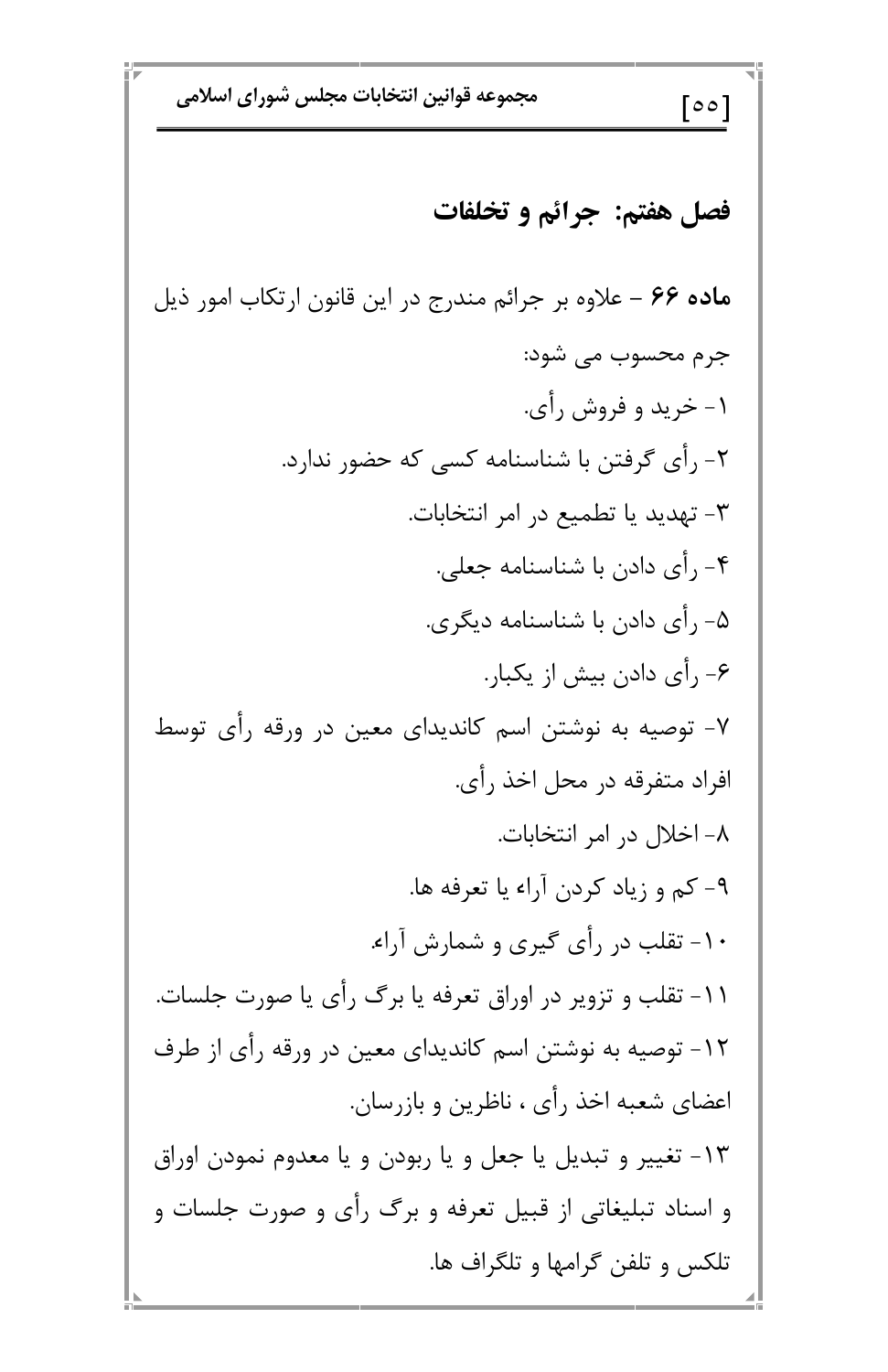مجموعه قوانين انتخابات مجلس شوراي اسلامي  $\lceil$ 00 $\rceil$ فصل هفتم: جرائم و تخلفات ماده ۶۶ – علاوه بر جرائم مندرج در این قانون ارتکاب امور ذیل جرم محسوب مي شود: ۱- خرید و فروش رأی. ۲- رأی گرفتن با شناسنامه کسی که حضور ندارد. ۳- تهدید یا تطمیع در امر انتخابات. ۴- رأى دادن با شناسنامه جعلى. ۵- رأی دادن با شناسنامه دیگری. ۶- رأى دادن بيش از يكبار. ۷- توصیه به نوشتن اسم کاندیدای معین در ورقه رأی توسط افراد متفرقه در محل اخذ رأي. ۸- اخلال در امر انتخابات. ۹- کم و زیاد کردن آراء یا تعرفه ها. ۱۰- تقلب در رأی گیری و شمارش آراء. ۱۱- تقلب و تزویر در اوراق تعرفه یا برگ رأی یا صورت جلسات.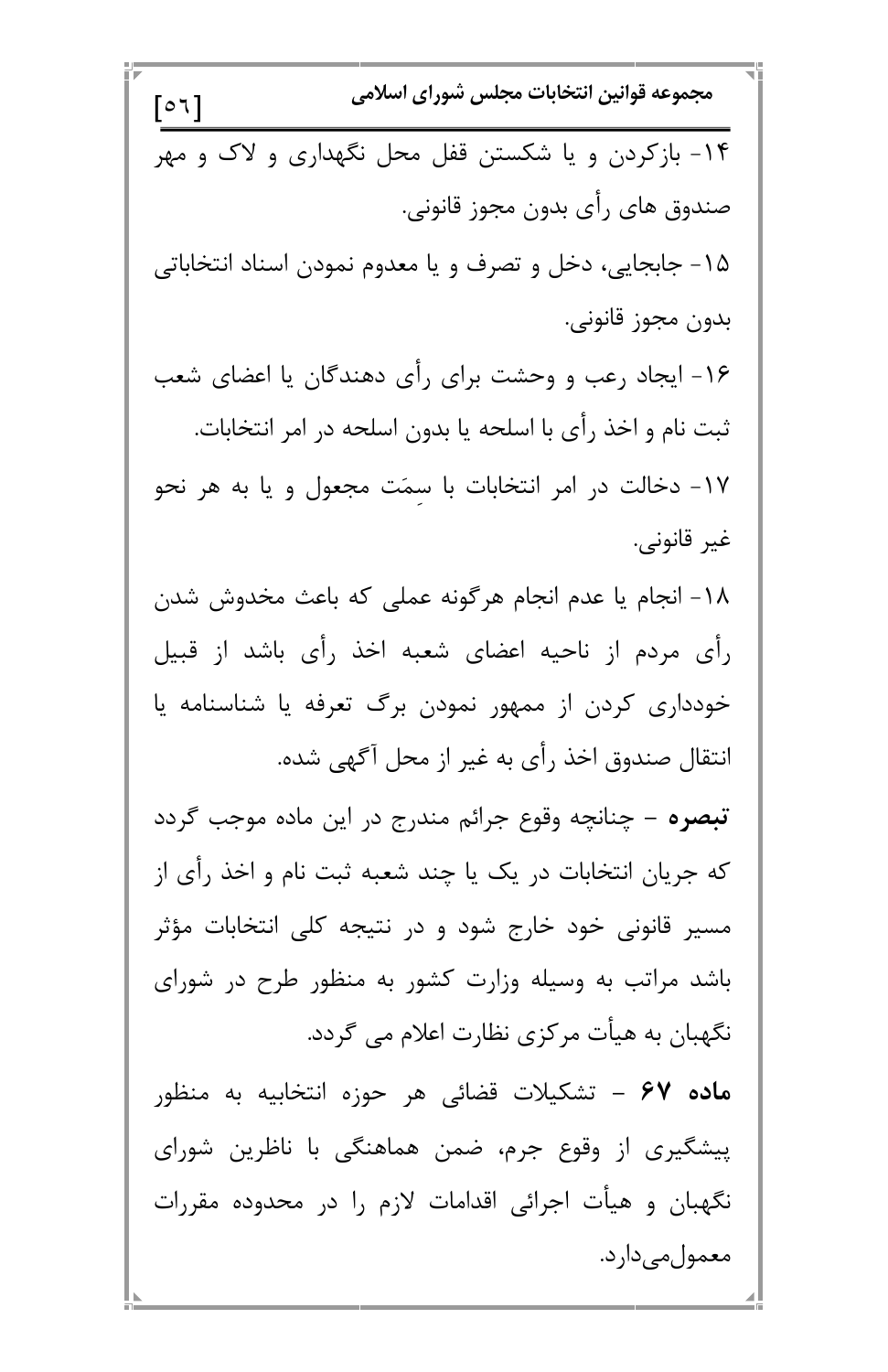مجموعه قوانين انتخابات مجلس شوراي اسلامي  $\lceil 0 1 \rceil$ ۱۴- بازکردن و یا شکستن قفل محل نگهداری و لاک و مهر صندوق هاي رأى بدون مجوز قانوني. ۱۵- جابجایی، دخل و تصرف و یا معدوم نمودن اسناد انتخاباتی بدون مجوز قانوني. ۱۶- ایجاد رعب و وحشت برای رأی دهندگان یا اعضای شعب ثبت نام و اخذ رأى با اسلحه يا بدون اسلحه در امر انتخابات. ١٧- دخالت در امر انتخابات با سمَت مجعول و يا به هر نحو غير قانوني. ١٨- انجام يا عدم انجام هرگونه عملي كه باعث مخدوش شدن رأى مردم از ناحيه اعضاى شعبه اخذ رأى باشد از قبيل خودداری کردن از ممهور نمودن برگ تعرفه یا شناسنامه یا انتقال صندوق اخذ رأى به غير از محل آگهي شده. **تبصره** – چنانچه وقوع جرائم مندرج در این ماده موجب گردد که جریان انتخابات در یک یا چند شعبه ثبت نام و اخذ رأی از مسیر قانونی خود خارج شود و در نتیجه کلی انتخابات مؤثر باشد مراتب به وسیله وزارت کشور به منظور طرح در شورای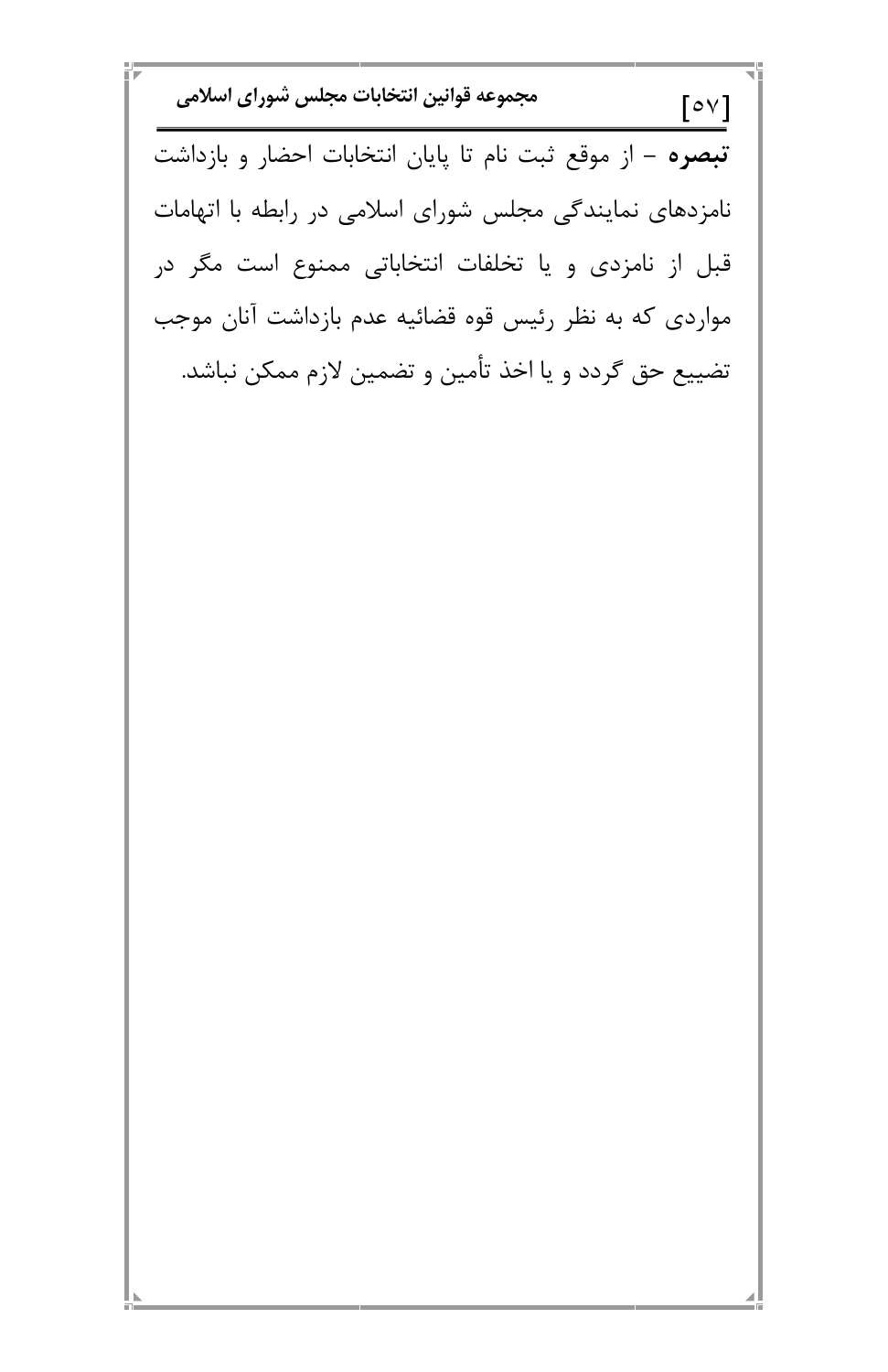مجموعه قوانين انتخابات مجلس شوراي اسلامي  $\lceil 0 \vee \rceil$ تبصره – از موقع ثبت نام تا پایان انتخابات احضار و بازداشت نامزدهای نمایندگی مجلس شورای اسلامی در رابطه با اتهامات قبل از نامزدی و یا تخلفات انتخاباتی ممنوع است مگر در مواردی که به نظر رئیس قوه قضائیه عدم بازداشت آنان موجب تضييع حق گردد و يا اخذ تأمين و تضمين لازم ممكن نباشد.

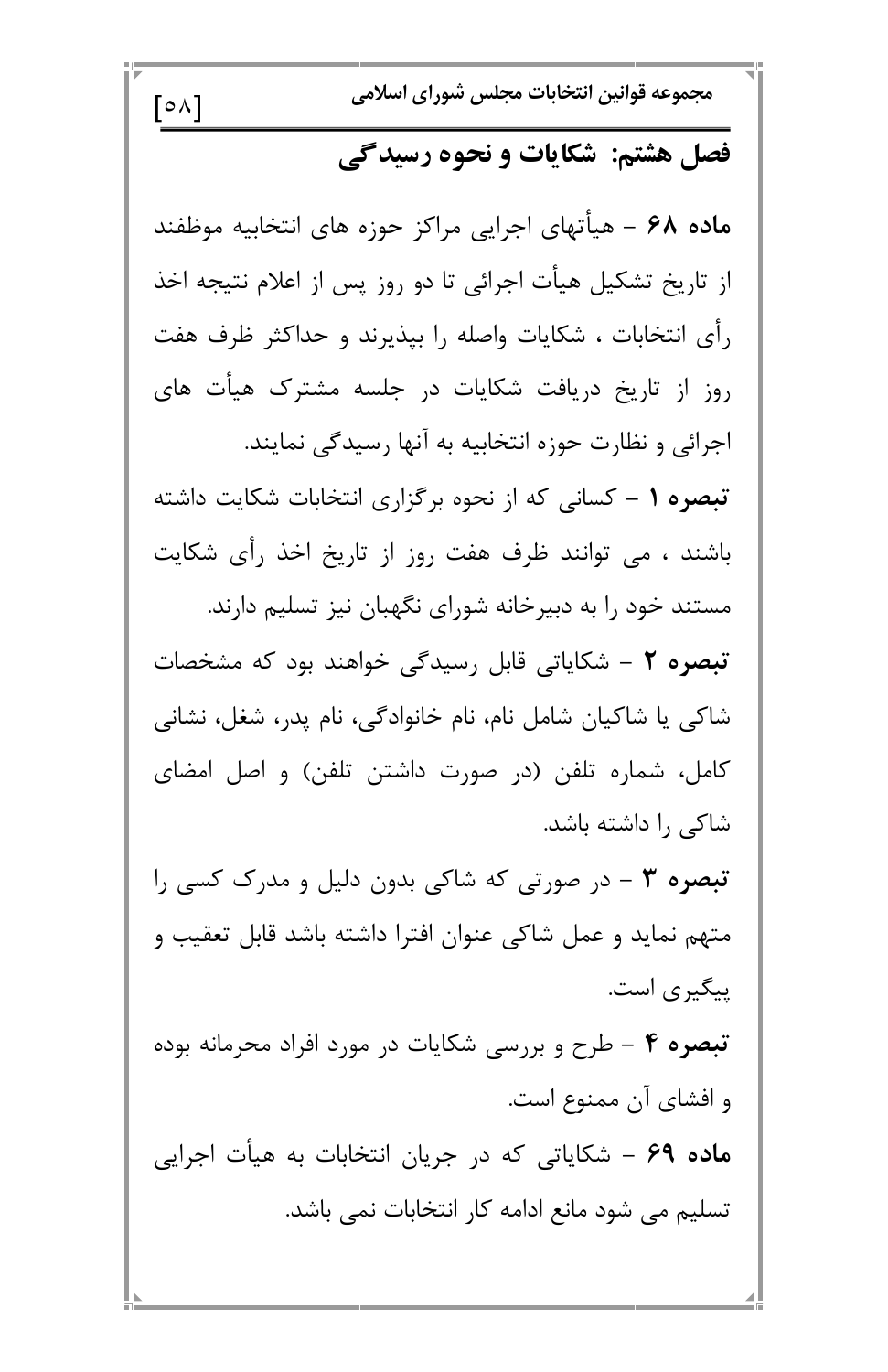$\lceil \circ \wedge \rceil$ 

مجموعه قوانين انتخابات مجلس شوراي اسلامي

فصل هشتم: شکایات و نحوه رسیدگی

ماده ۶۸ – هیأتهای اجرایی مراکز حوزه های انتخابیه موظفند از تاریخ تشکیل هیأت اجرائی تا دو روز پس از اعلام نتیجه اخذ رأى انتخابات ، شكايات واصله را بيذيرند و حداكثر ظرف هفت روز از تاریخ دریافت شکایات در جلسه مشترک هیأت های اجرائی و نظارت حوزه انتخابیه به آنها رسیدگی نمایند. تبصره ۱ – کسانی که از نحوه برگزاری انتخابات شکایت داشته

باشند ، می توانند ظرف هفت روز از تاریخ اخذ رأی شکایت مستند خود را به دبیرخانه شورای نگهبان نیز تسلیم دارند. تبصره ۲ – شکایاتی قابل رسیدگی خواهند بود که مشخصات شاکی یا شاکیان شامل نام، نام خانوادگی، نام پدر، شغل، نشانی

کامل، شماره تلفن (در صورت داشتن تلفن) و اصل امضای شاکی را داشته باشد.

**تبصره ۳** – در صورتی که شاکی بدون دلیل و مدرک کسی را متهم نماید و عمل شاکی عنوان افترا داشته باشد قابل تعقیب و پیگیری است.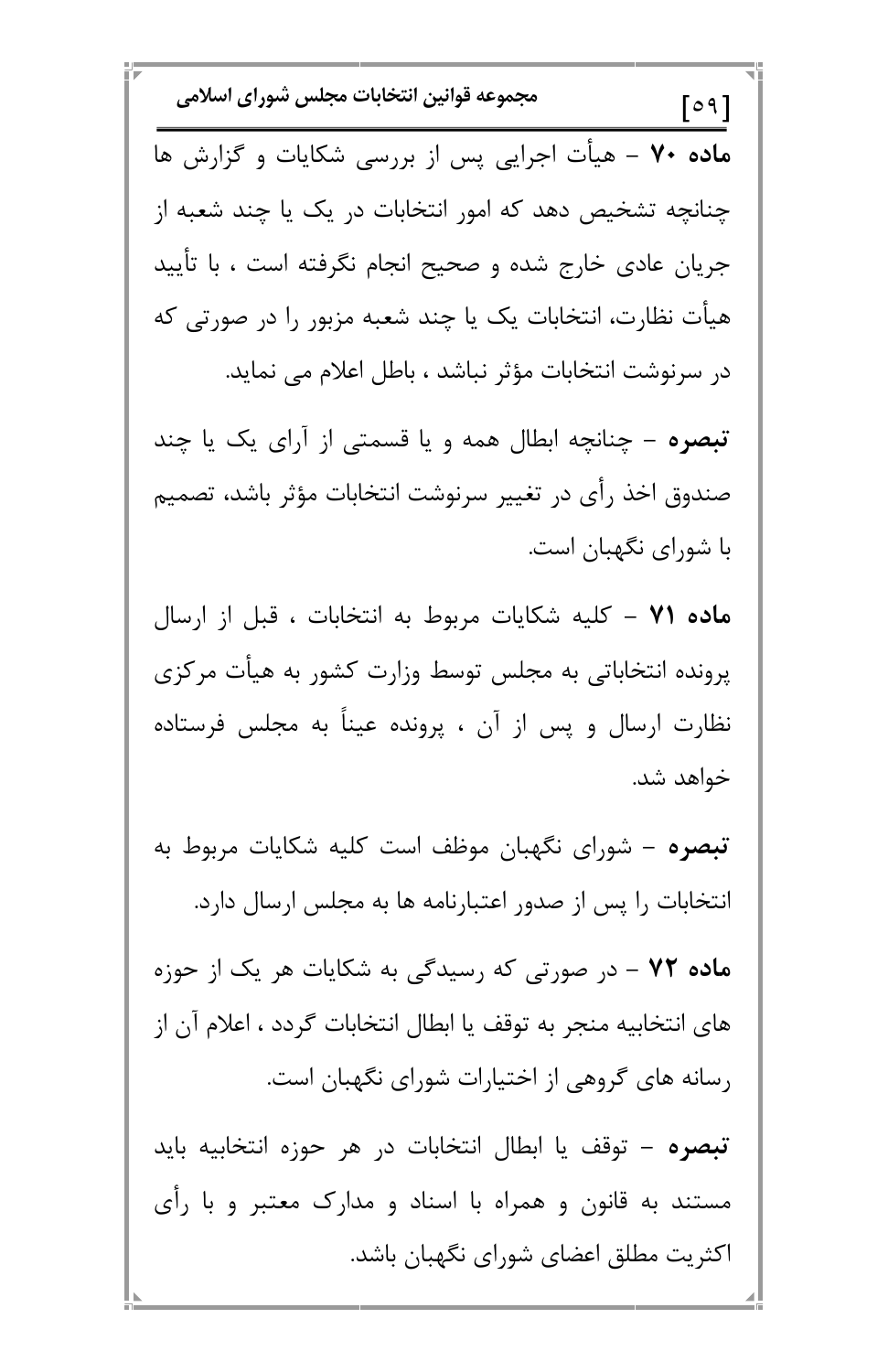مجموعه قوانين انتخابات مجلس شوراي اسلامي  $\lceil 0 9 \rceil$ ماده ۷۰ – هیأت اجرایی پس از بررسی شکایات و گزارش ها چنانچه تشخیص دهد که امور انتخابات در یک یا چند شعبه از جریان عادی خارج شده و صحیح انجام نگرفته است ، با تأیید هیأت نظارت، انتخابات یک یا چند شعبه مزبور را در صورتی که در سرنوشت انتخابات مؤثر نباشد ، باطل اعلام می نماید. تبصره - چنانچه ابطال همه و یا قسمتی از آرای یک یا چند صندوق اخذ رأى در تغيير سرنوشت انتخابات مؤثر باشد، تصميم با شورای نگهبان است. ماده ۷۱ – کلیه شکایات مربوط به انتخابات ، قبل از ارسال پرونده انتخاباتی به مجلس توسط وزارت کشور به هیأت مرکزی نظارت ارسال و پس از آن ، پرونده عیناً به مجلس فرستاده خواهد شد. **تبصره** – شورای نگهبان موظف است کلیه شکایات مربوط به انتخابات را پس از صدور اعتبارنامه ها به مجلس ارسال دارد. ماده ۷۲ - در صورتی که رسیدگی به شکایات هر یک از حوزه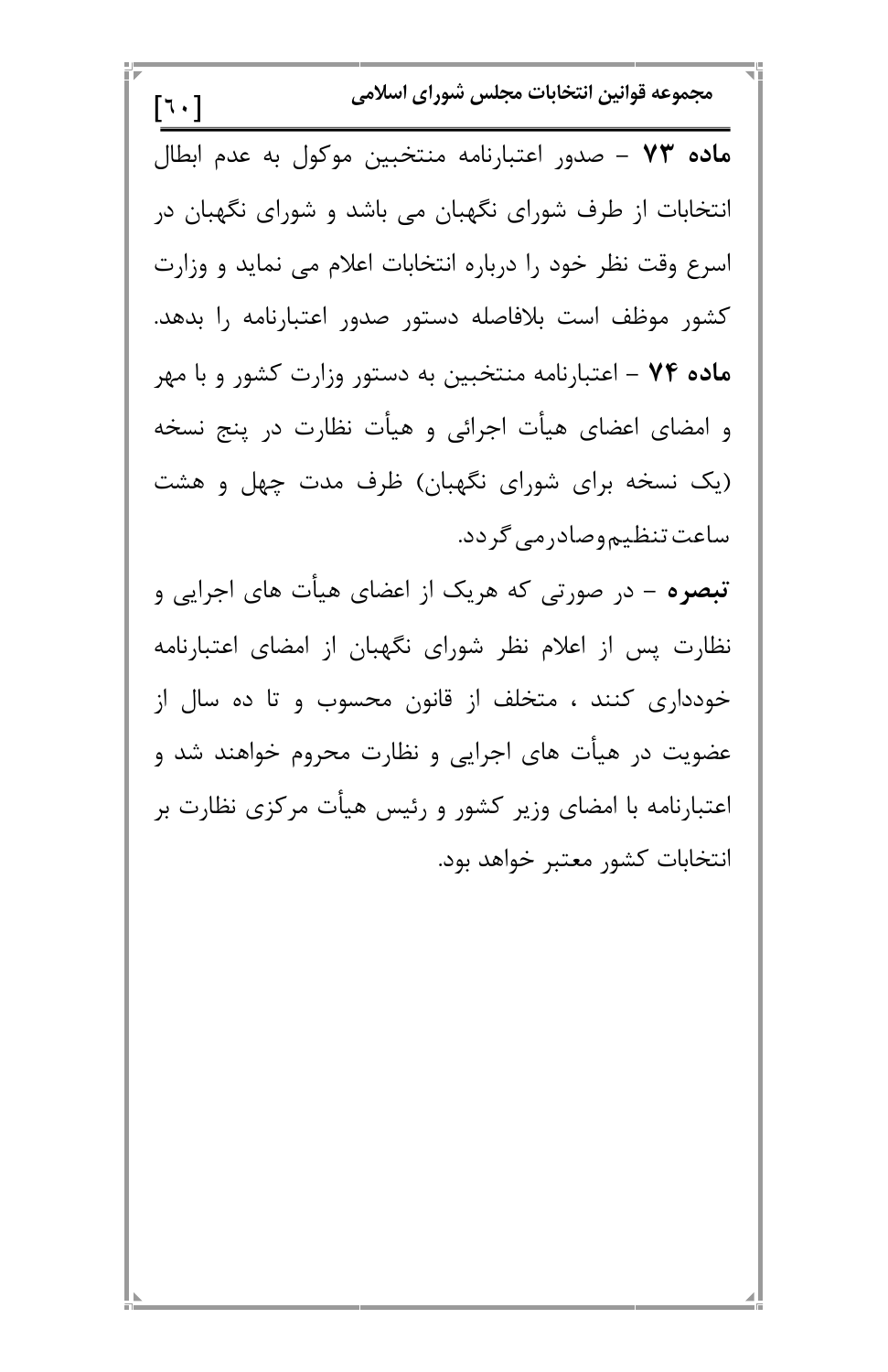مجموعه قوانين انتخابات مجلس شوراي اسلامي  $\lceil 1 \cdot \rceil$ ماده ۷۳ – صدور اعتبارنامه منتخبین موکول به عدم ابطال انتخابات از طرف شورای نگهبان می باشد و شورای نگهبان در اسرع وقت نظر خود را درباره انتخابات اعلام می نماید و وزارت كشور موظف است بلافاصله دستور صدور اعتبارنامه را بدهد. م**اده ۷۴** – اعتبارنامه منتخبین به دستور وزارت کشور و با مهر و امضای اعضای هیأت اجرائی و هیأت نظارت در پنج نسخه (یک نسخه برای شورای نگهبان) ظرف مدت چهل و هشت ساعت تنظیم وصادر می گردد.

**تبصره** – در صورتی که هریک از اعضای هیأت های اجرایی و نظارت پس از اعلام نظر شورای نگهبان از امضای اعتبارنامه خودداری کنند ، متخلف از قانون محسوب و تا ده سال از عضویت در هیأت های اجرایی و نظارت محروم خواهند شد و اعتبارنامه با امضای وزیر کشور و رئیس هیأت مرکزی نظارت بر انتخابات كشور معتبر خواهد بود.

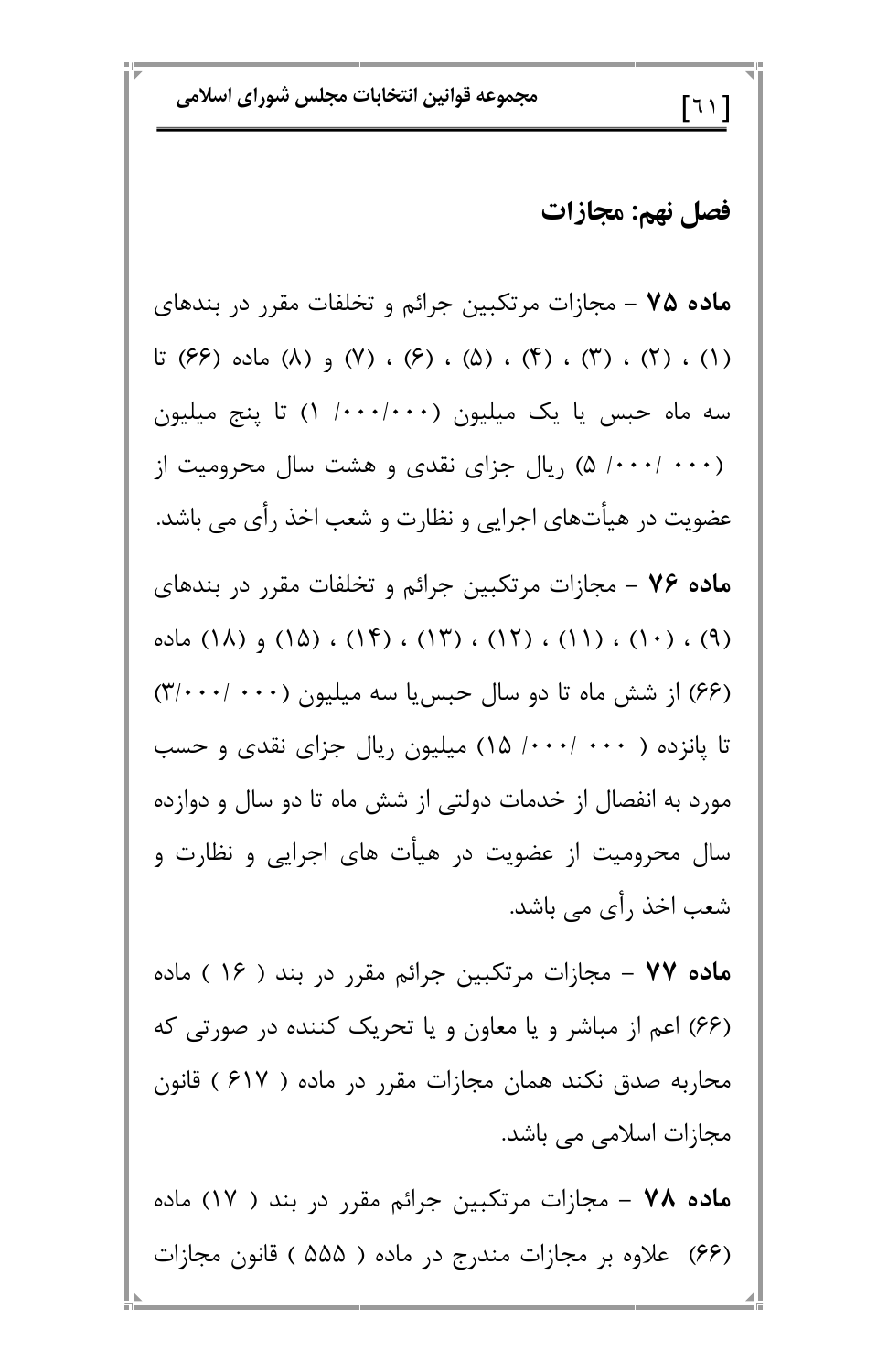هجموعه قوانین انتخابات مجلس شورای اسلامی<br>[ ۱ <sup>]</sup>]

فصل نهم: مجازات

ه**اده ۷۵** – مجازات مرتکبین جرائم و تخلفات مقرر در بندهای (۱) ، (۲) ، (۴) ، (۵) ، (۶) ، (۷) و (۸) ماده (۶۶) تا سه ماه حبس یا یک میلیون (۱۰۰۰/۰۰۰/ ۱) تا پنج میلیون (۰۰۰/ ۵) (بال جزای نقدی و هشت سال محرومیت از عضویت در هیأتهای اجرایی و نظارت و شعب اخذ رأی می باشد. )@0 H L= ; + BP4 6> **7 M? K**  (۹) ، (۱۰) ، (۱۲) ، (۱۲) ، (۱۴) ، (۱۵) و (۱۸) ماده (۶۶) از شش ماه تا دو سال حبسیا سه میلیون (۰۰۰– ۳/۰۰۰) تا پانزده ( ۰۰۰/ ۰۰۰/ ۱۵) میلیون ریال جزای نقدی و حسب مورد به انفصال از خدمات دولتی از شش ماه تا دو سال و دوازده سال محرومیت از عضویت در هیأت های اجرایی و نظارت و شعب اخذ رأى مى باشد.

ه**اده ۷۷** – مجازات مرتکبین جرائم مقرر در بند ( ۱۶ ) ماده

 ,
A 0 w v /E 8P 6 5 (qq) /D ( q%m )  H 6> /\*@ 0 4 \0A v .08 , ,-. 6>  (%m ) 0 H ; + BP4 6> **7 M> K**  6> /D ( ppp )  á
0 6> -5 (qq)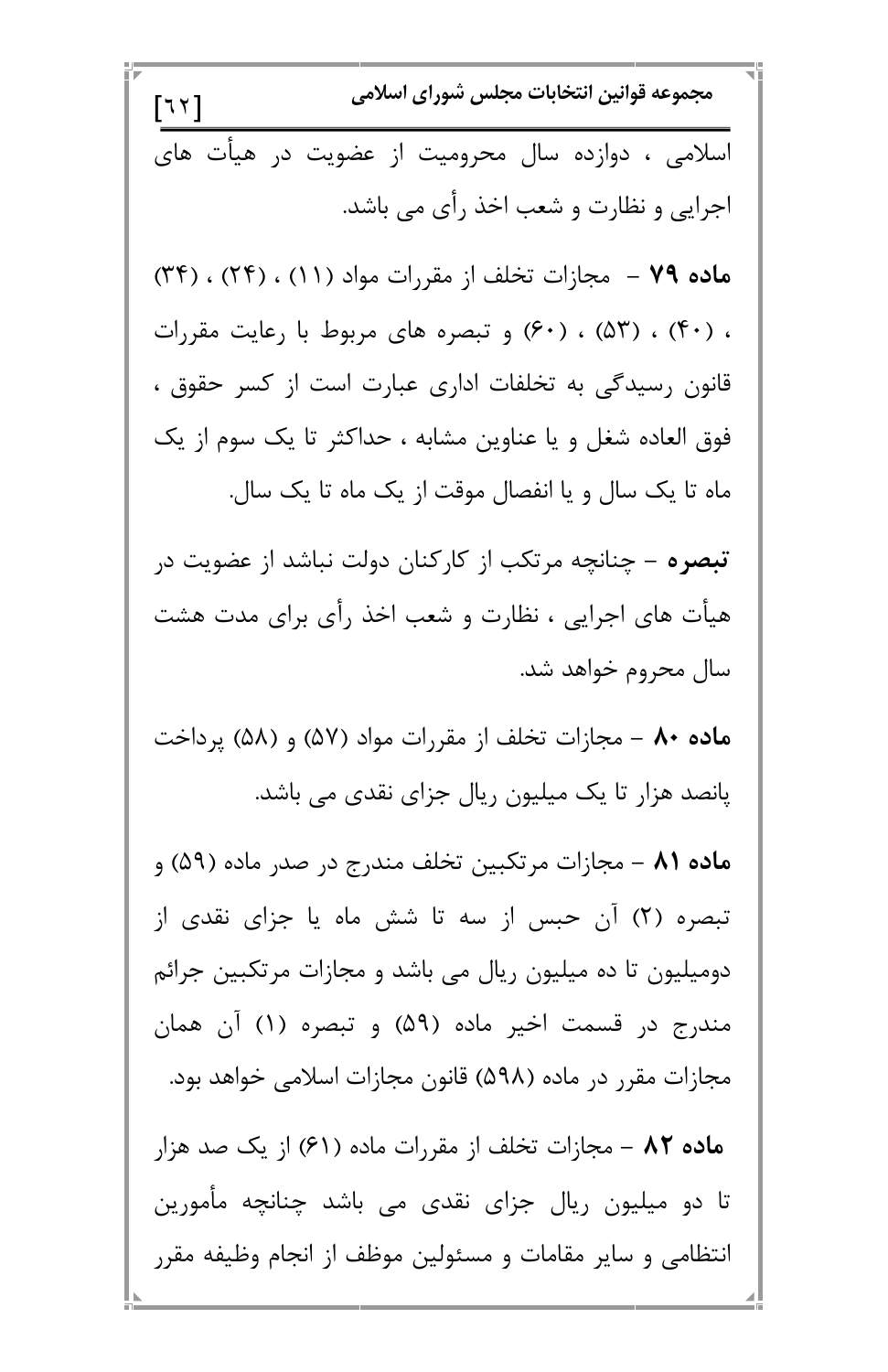مجموعه قوانين انتخابات مجلس شوراي اسلامي  $\lceil 77 \rceil$ اسلامی ، دوازده سال محرومیت از عضویت در هیأت های اجرایی و نظارت و شعب اخذ رأی می باشد. ماده ۷۹ - مجازات تخلف از مقررات مواد (۱۱) ، (۲۴) ، (۳۴) ، (۴۰) ، (۵۳) ، (۶۰) و تبصره های مربوط با رعایت مقررات قانون رسیدگی به تخلفات اداری عبارت است از کسر حقوق ، فوق العاده شغل و یا عناوین مشابه ، حداکثر تا یک سوم از یک ماه تا یک سال و یا انفصال موقت از یک ماه تا یک سال. **تبصره** – چنانچه مرتکب از کارکنان دولت نباشد از عضویت در هیأت های اجرایی ، نظارت و شعب اخذ رأی برای مدت هشت سال محروم خواهد شد. ماده ۸۰ – مجازات تخلف از مقررات مواد (۵۷) و (۵۸) پرداخت پانصد هزار تا یک میلیون ریال جزای نقدی می باشد. ماده ۸۱ – مجازات مرتکبین تخلف مندرج در صدر ماده (۵۹) و تبصره (۲) آن حبس از سه تا شش ماه یا جزای نقدی از دومیلیون تا ده میلیون ریال می باشد و مجازات مرتکبین جرائم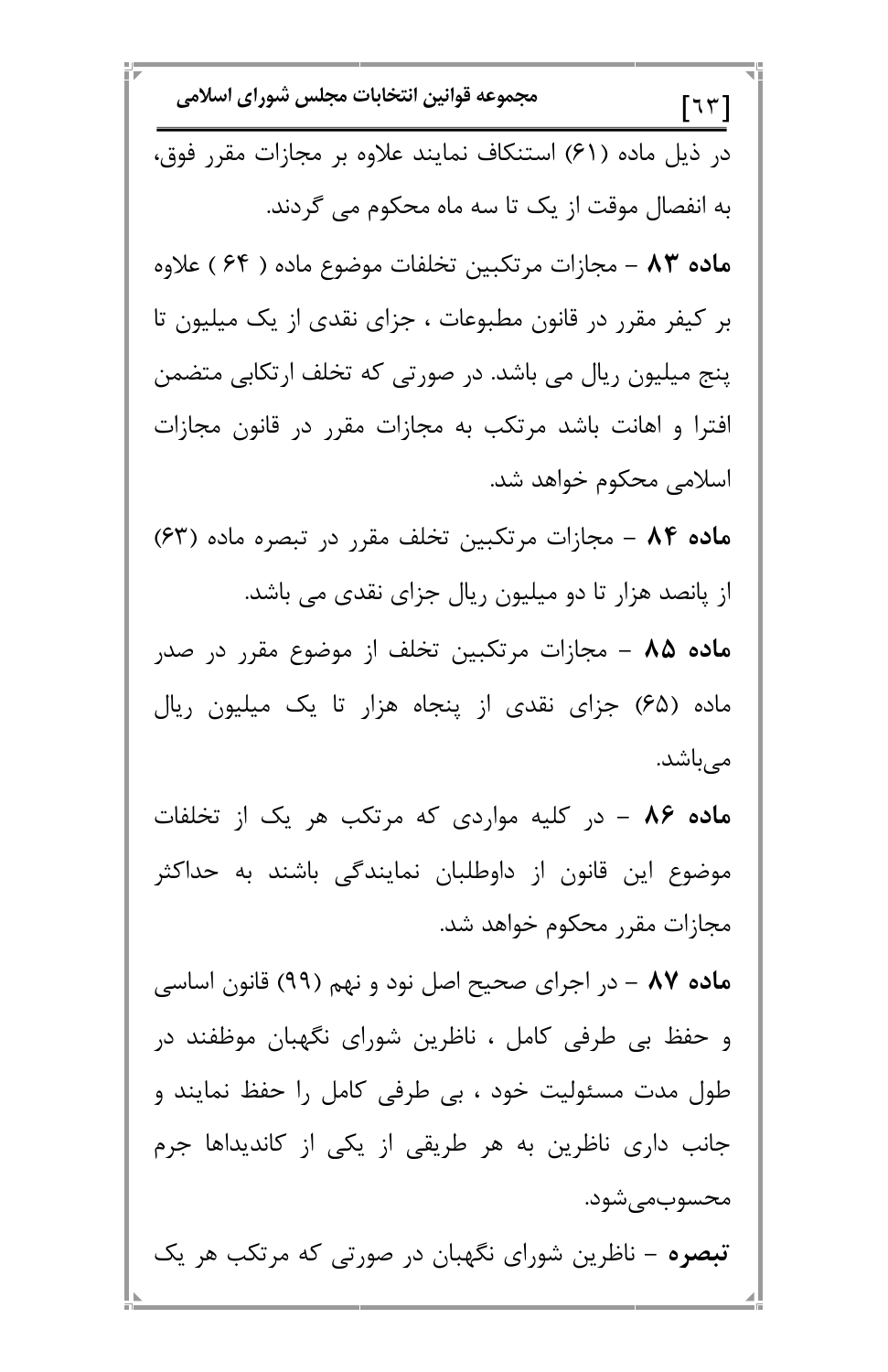مجموعه قوانين انتخابات مجلس شوراي اسلامي  $\lceil \mathcal{R} \mathcal{R} \rceil$ در ذیل ماده (۶۱) استنکاف نمایند علاوه بر مجازات مقرر فوق، به انفصال موقت از یک تا سه ماه محکوم می گردند. ماده ۸۳ – مجازات مرتكبين تخلفات موضوع ماده ( ۶۴ ) علاوه بر کیفر مقرر در قانون مطبوعات ، جزای نقدی از یک میلیون تا پنج میلیون ریال می باشد. در صورتی که تخلف ارتکابی متضمن افترا و اهانت باشد مرتکب به مجازات مقرر در قانون مجازات اسلامی محکوم خواهد شد. ماده ۸۴ - مجازات مرتکبین تخلف مقرر در تبصره ماده (۶۳) از پانصد هزار تا دو میلیون ریال جزای نقدی می باشد. ماده ۸۵ – مجازات مرتکبین تخلف از موضوع مقرر در صدر ماده (۶۵) جزای نقدی از پنجاه هزار تا یک میلیون ریال مىباشد. م**اده ۸۶ –** در کلیه مواردی که مرتکب هر یک از تخلفات موضوع این قانون از داوطلبان نمایندگی باشند به حداکثر مجازات مقرر محکوم خواهد شد. م**اده ۸۷ –** در اجرای صحیح اصل نود و نهم (۹۹) قانون اساسی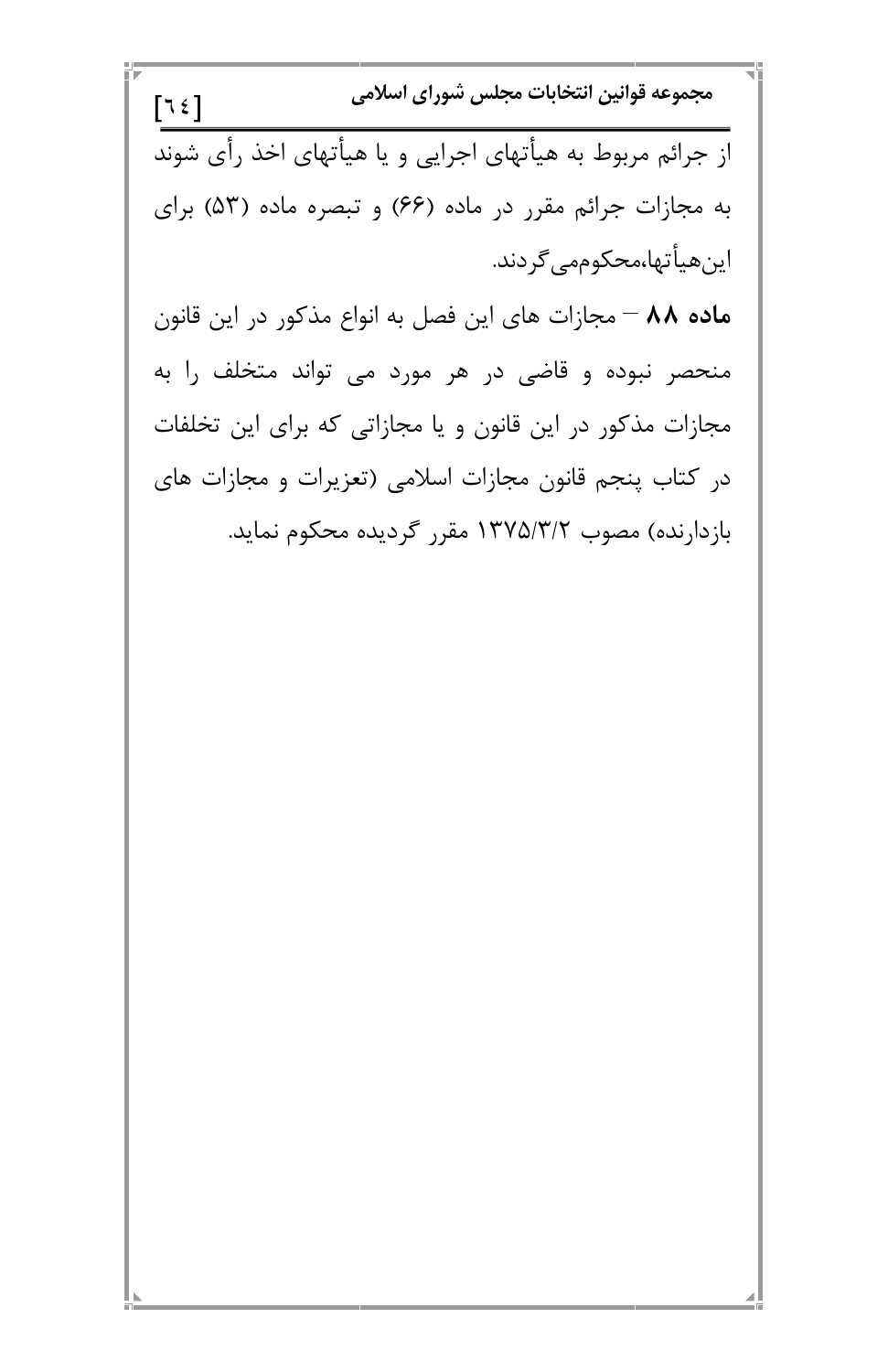مجموعه قوانين انتخابات مجلس شوراي اسلامي  $751$ از جرائم مربوط به هیأتهای اجرایی و یا هیأتهای اخذ رأی شوند به مجازات جرائم مقرر در ماده (۶۶) و تبصره ماده (۵۳) برای اين *ه*يأتها،محكوممي *گ*ردند.

ماده ۸۸ – مجازات های این فصل به انواع مذکور در این قانون منحصر نبوده و قاضی در هر مورد می تواند متخلف را به مجازات مذکور در این قانون و یا مجازاتی که برای این تخلفات در کتاب پنجم قانون مجازات اسلامی (تعزیرات و مجازات های بازدارنده) مصوب ۱۳۷۵/۳/۲ مقرر گردیده محکوم نماید.

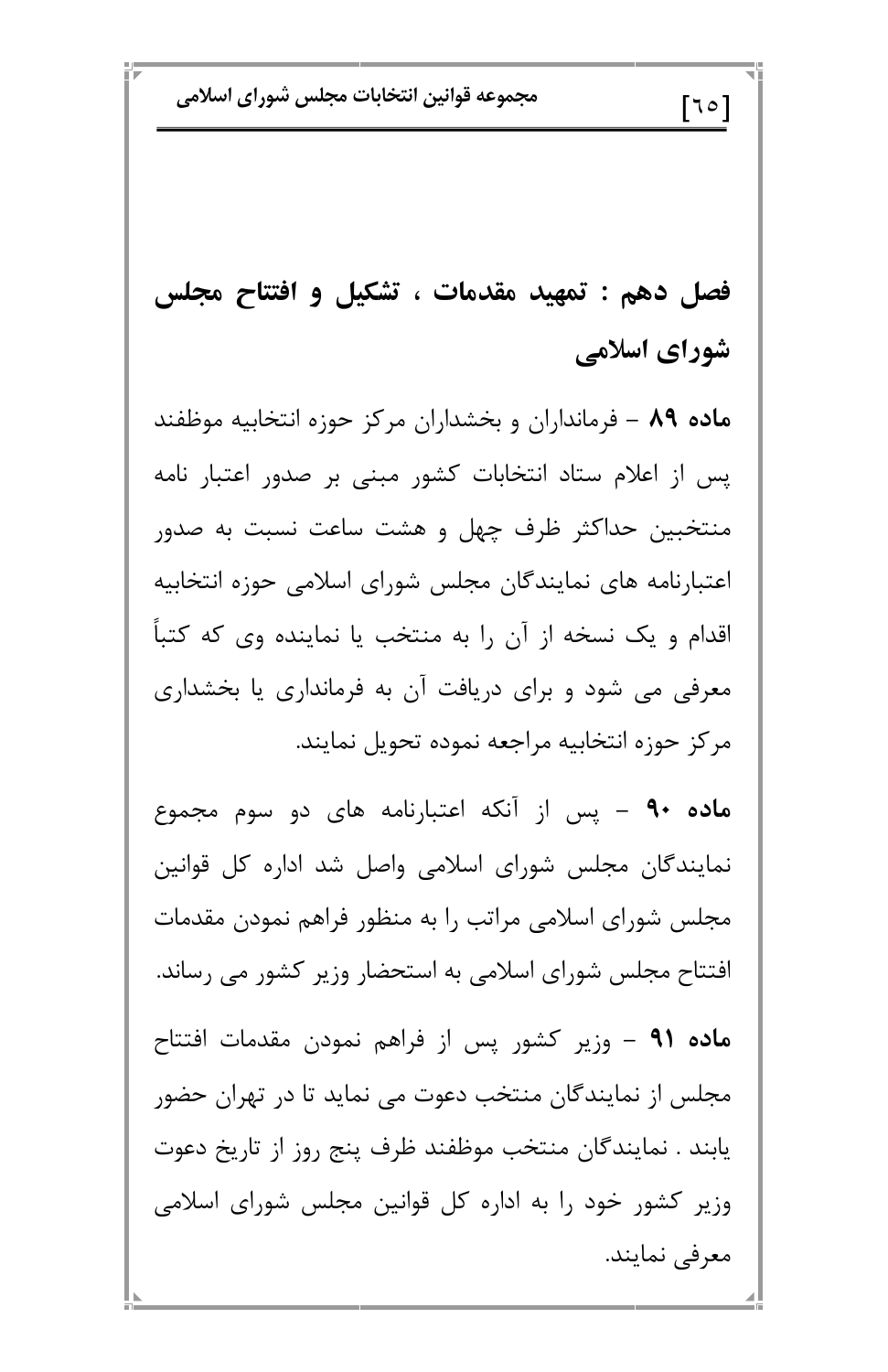مجموعه قوانين انتخابات مجلس شوراي اسلامي

 $\lceil$ ٦٥ $\rceil$ 

فصل دهم : تمهید مقدمات ، تشکیل و افتتاح مجلس شورای اسلامی

ماده ۸۹ – فرمانداران و بخشداران مرکز حوزه انتخابیه موظفند یس از اعلام ستاد انتخابات کشور مبنی بر صدور اعتبار نامه منتخبین حداکثر ظرف چهل و هشت ساعت نسبت به صدور اعتبارنامه های نمایندگان مجلس شورای اسلامی حوزه انتخابیه اقدام و یک نسخه از آن را به منتخب یا نماینده وی که کتباً معرفی می شود و برای دریافت آن به فرمانداری یا بخشداری مركز حوزه انتخابيه مراجعه نموده تحويل نمايند.

ماده ۹۰ – پس از آنکه اعتبارنامه های دو سوم مجموع نمایندگان مجلس شورای اسلامی واصل شد اداره کل قوانین مجلس شورای اسلامی مراتب را به منظور فراهم نمودن مقدمات افتتاح مجلس شورای اسلامی به استحضار وزیر کشور می رساند.

ماده ۹۱ – وزیر کشور پس از فراهم نمودن مقدمات افتتاح مجلس از نمایندگان منتخب دعوت می نماید تا در تهران حضور يابند . نمايندگان منتخب موظفند ظرف پنج روز از تاريخ دعوت وزیر کشور خود را به اداره کل قوانین مجلس شورای اسلامی معرفي نمايند.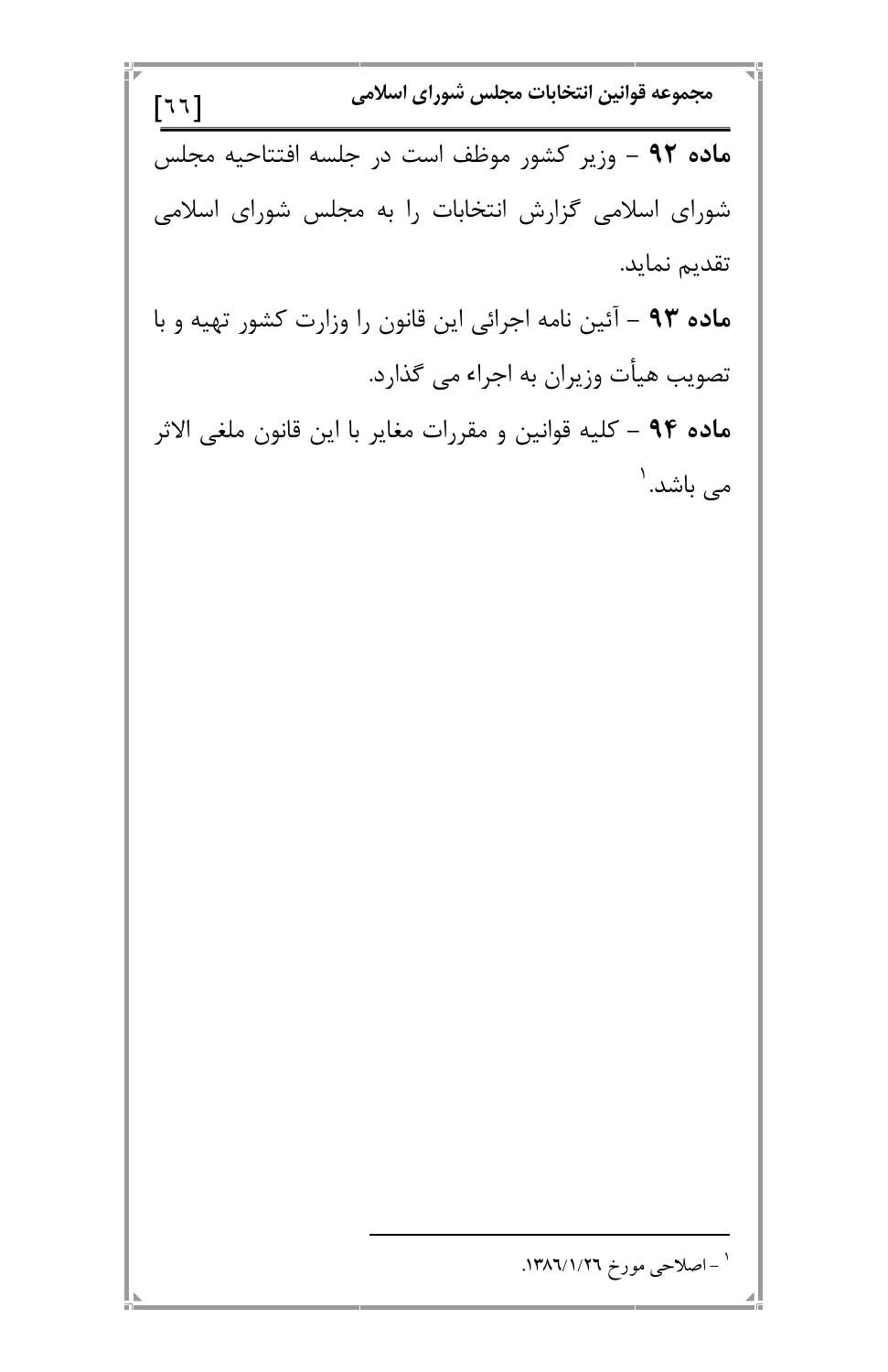مجموعه قوانين انتخابات مجلس شوراي اسلامي  $[77]$ ماده ۹۲ - وزیر کشور موظف است در جلسه افتتاحیه مجلس شورای اسلامی گزارش انتخابات را به مجلس شورای اسلامی تقديم نمايد. ماده ۹۳ – آئین نامه اجرائی این قانون را وزارت کشور تهیه و با تصویب هیأت وزیران به اجراء می گذارد. ماده ۹۴ – كليه قوانين و مقررات مغاير با اين قانون ملغي الاثر می باشد. ۱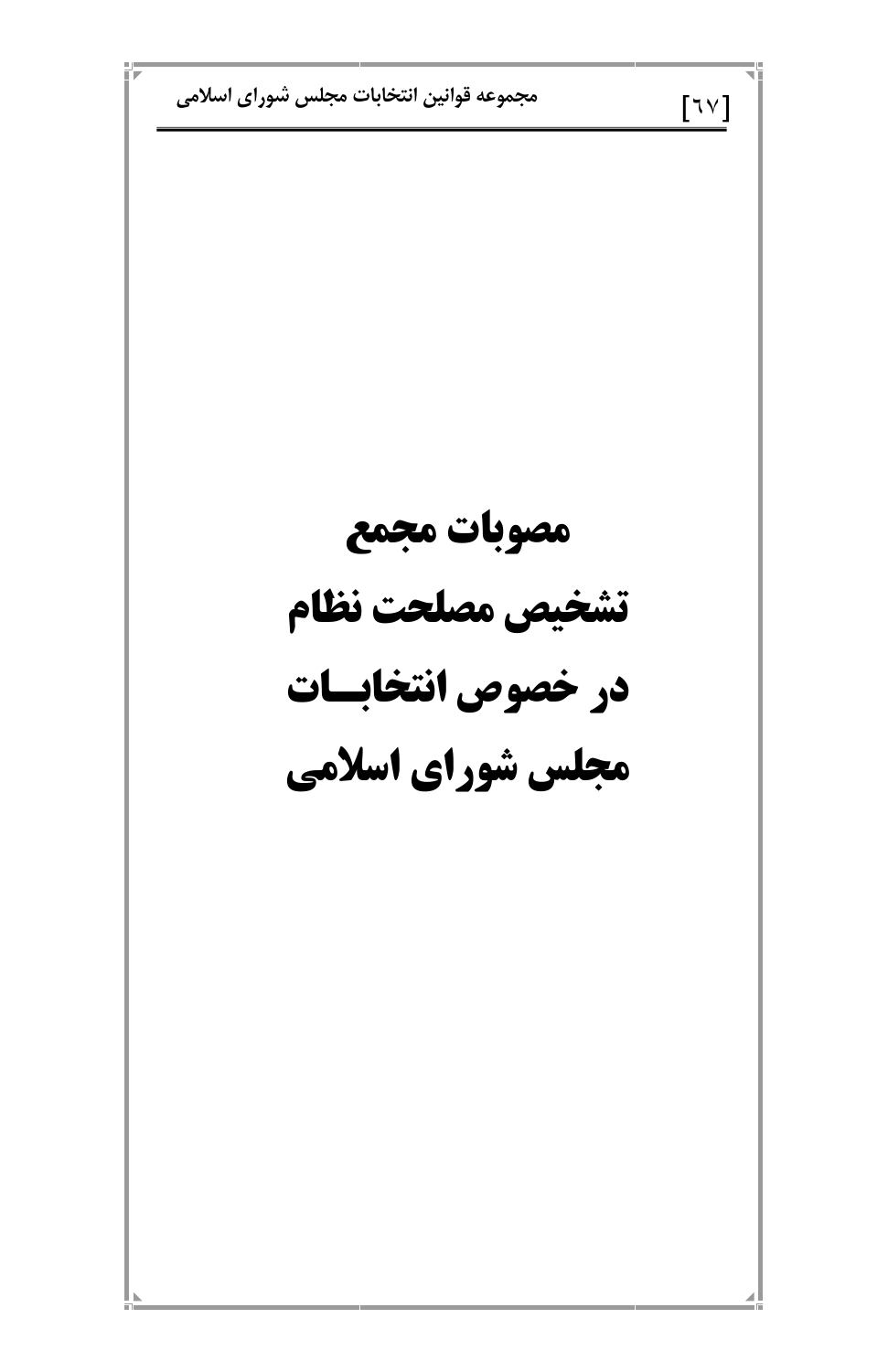مجموعه قوانين انتخابات مجلس شوراي اسلامي  $[\nabla \vee]$ مصوبات مجمع تشخيص مصلحت نظام در خصوص انتخابسات مجلس شورای اسلامی

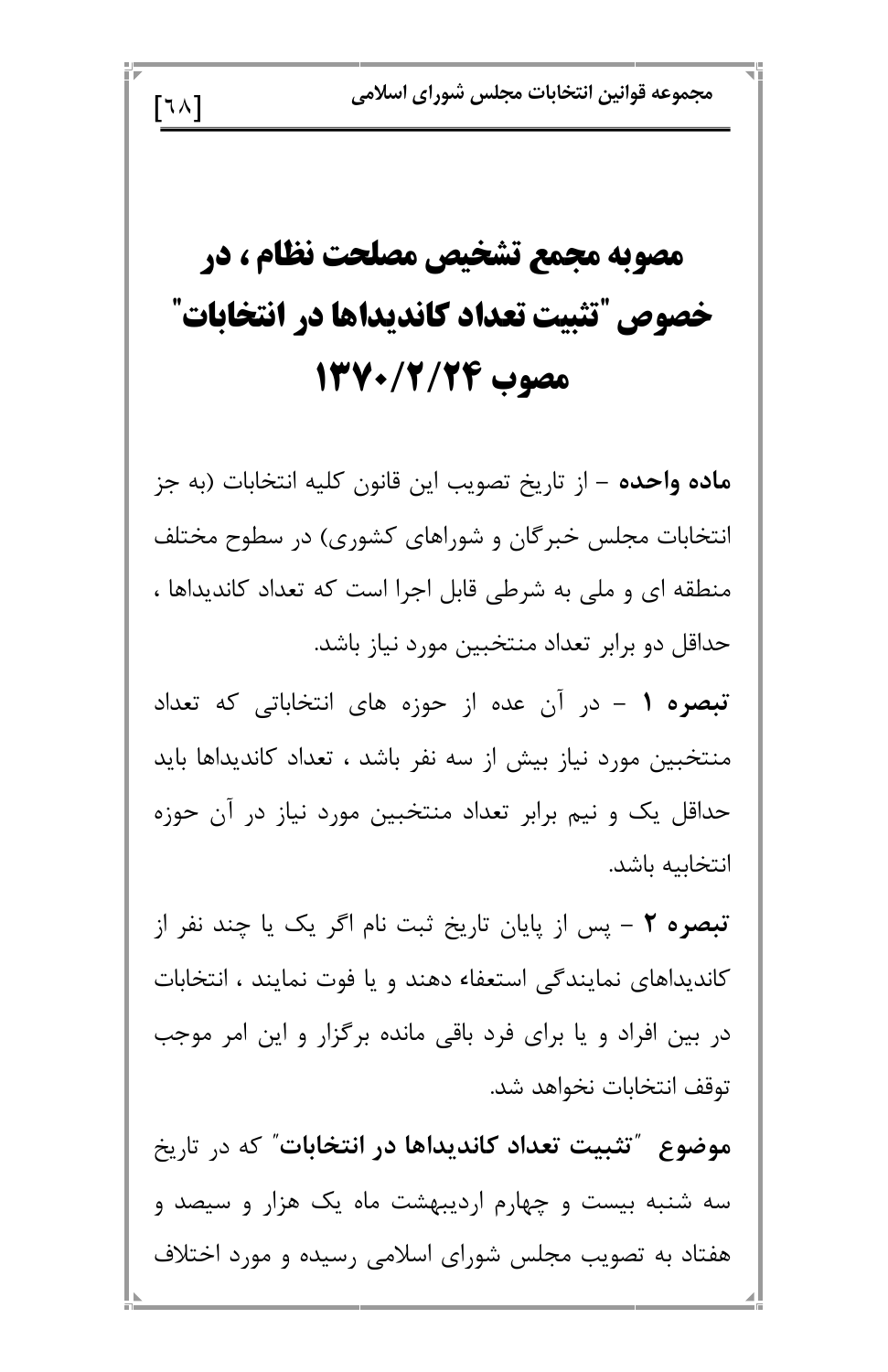مجموعه قوانين انتخابات مجلس شوراي اسلامي

## مصوبه مجمع تشخیص مصلحت نظام ، در خصوص "تثبيت تعداد كانديداها در انتخابات" مصوب 13/2/200

 $\lceil 1 \wedge \rceil$ 

ماده واحده – از تاريخ تصويب اين قانون كليه انتخابات (به جز انتخابات مجلس خبرگان و شوراهای کشوری) در سطوح مختلف منطقه ای و ملی به شرطی قابل اجرا است که تعداد کاندیداها ، حداقل دو برابر تعداد منتخبین مورد نیاز باشد.

تبصره ۱ – در آن عده از حوزه های انتخاباتی که تعداد منتخبین مورد نیاز بیش از سه نفر باشد ، تعداد کاندیداها باید حداقل یک و نیم برابر تعداد منتخبین مورد نیاز در آن حوزه انتخابيه باشد.

تبصره ٢ - پس از پایان تاریخ ثبت نام اگر یک یا چند نفر از کاندیداهای نمایندگی استعفاء دهند و یا فوت نمایند ، انتخابات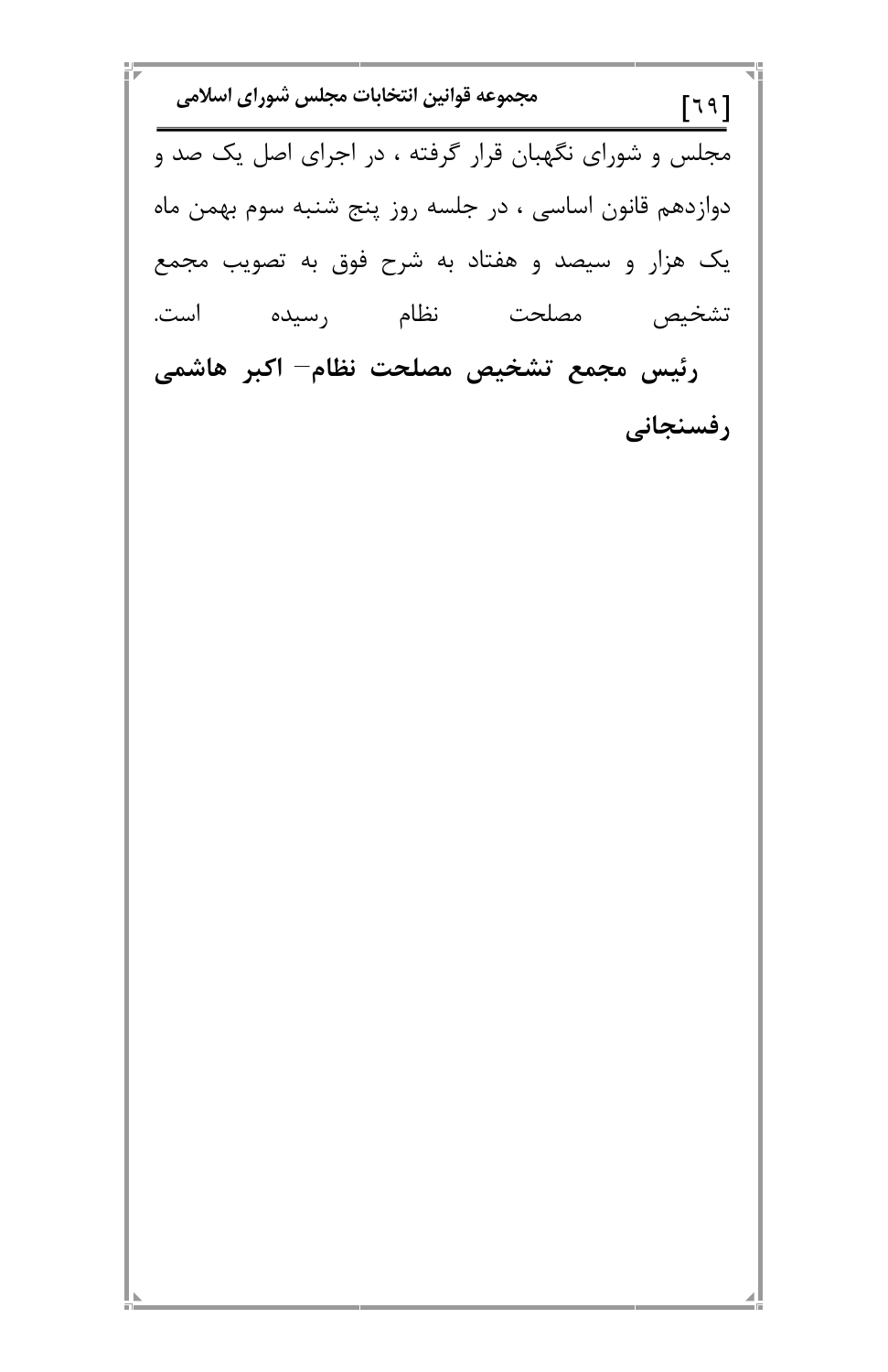m p  $\overline{\phantom{0}}$ 

 $\blacksquare$ 

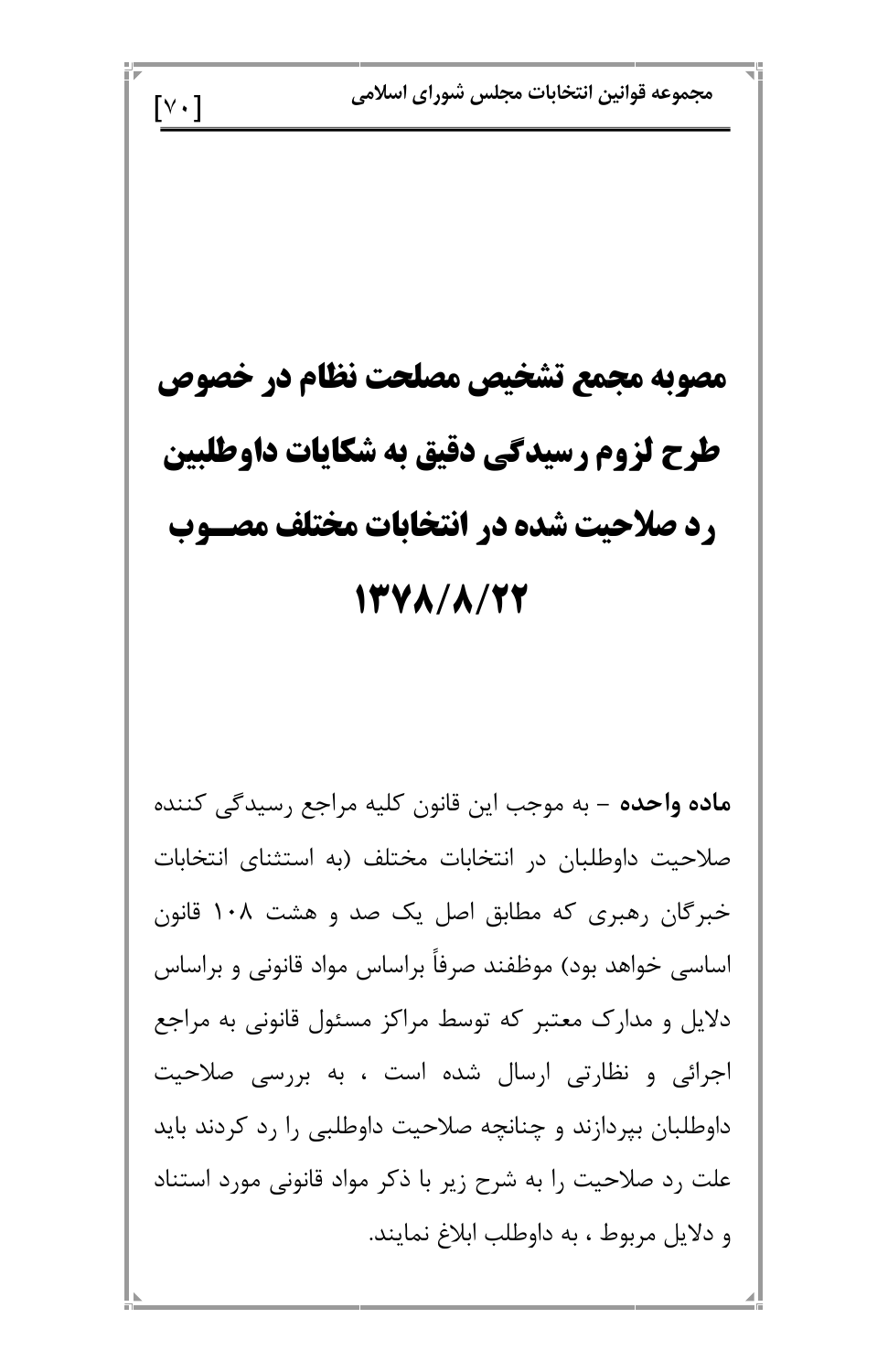مجموعه قوانين انتخابات مجلس شوراي اسلامي  $\lceil v \cdot \rceil$ مصوبه مجمع تشخيص مصلحت نظام در خصوص طرح لزوم رسيدكي دقيق به شكايات داوطلبين رد صلاحیت شده در انتخابات مختلف مصـوب 13Y A / A / 27 ماده واحده – به موجب این قانون کلیه مراجع رسیدگی کننده صلاحیت داوطلبان در انتخابات مختلف (به استثنای انتخابات خبرگان رهبری که مطابق اصل یک صد و هشت ۱۰۸ قانون اساسی خواهد بود) موظفند صرفاً براساس مواد قانونی و براساس

n)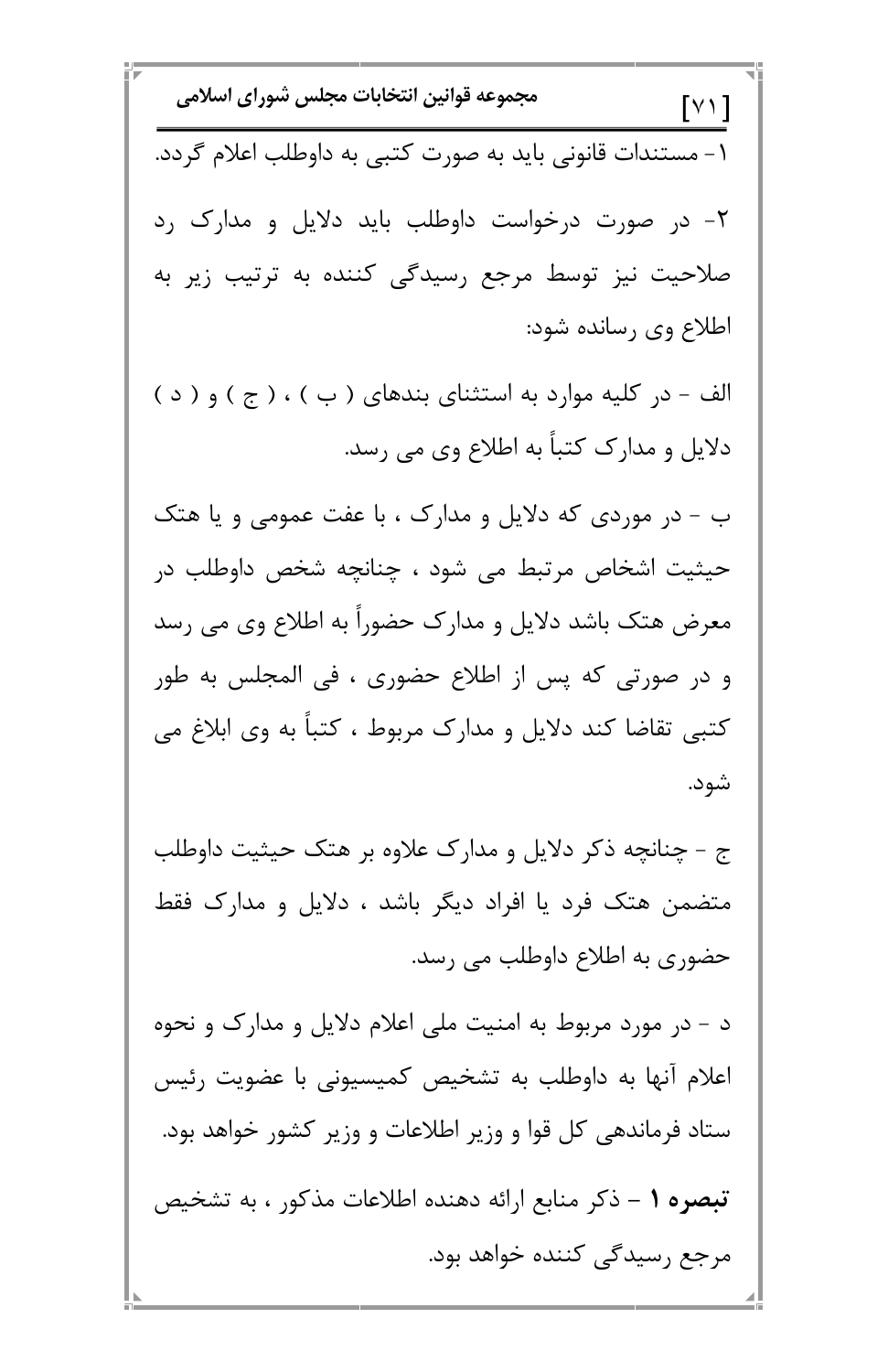\n**1** 
$$
[V]
$$
\n

\n\n**1**  $V = \frac{1}{2}$ \n

\n\n**1**  $V = \frac{1}{2}$ \n

\n\n**1**  $V = \frac{1}{2}$ \n

\n\n**1**  $V = \frac{1}{2}$ \n

\n\n**1**  $V = \frac{1}{2}$ \n

\n\n**1**  $V = \frac{1}{2}$ \n

\n\n**1**  $V = \frac{1}{2}$ \n

\n\n**1**  $V = \frac{1}{2}$ \n

\n\n**1**  $V = \frac{1}{2}$ \n

\n\n**1**  $V = \frac{1}{2}$ \n

\n\n**1**  $V = \frac{1}{2}$ \n

\n\n**1**  $V = \frac{1}{2}$ \n

\n\n**1**  $V = \frac{1}{2}$ \n

\n\n**1**  $V = \frac{1}{2}$ \n

\n\n**1**  $V = \frac{1}{2}$ \n

\n\n**1**  $V = \frac{1}{2}$ \n

\n\n**1**  $V = \frac{1}{2}$ \n

\n\n**1**  $V = \frac{1}{2}$ \n

\n\n**1**  $V = \frac{1}{2}$ \n

\n\n**1**  $V = \frac{1}{2}$ \n

\n\n**1**  $V = \frac{1}{2}$ \n

\n\n**1**  $V = \frac{1}{2}$ \n

\n\n**1**  $V = \frac{1}{2}$ \n

\n\n**1**  $V = \frac{1}{2}$ \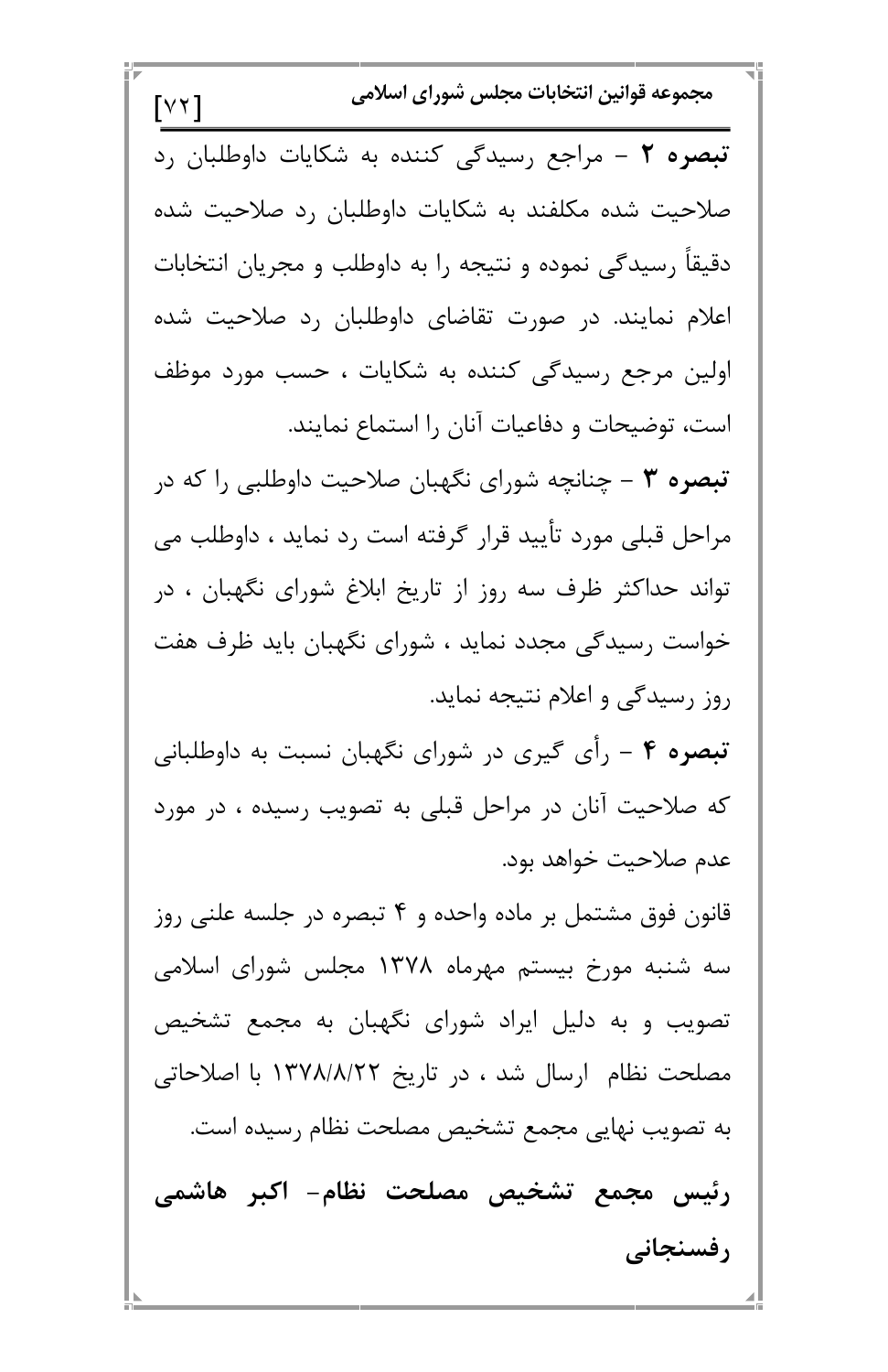مجموعه قوانين انتخابات مجلس شوراي اسلامي  $\lceil Y \mid \rceil$ تبصره ٢ - مراجع رسيدگی كننده به شكايات داوطلبان رد صلاحیت شده مکلفند به شکایات داوطلبان رد صلاحیت شده دقیقاً رسیدگی نموده و نتیجه را به داوطلب و مجریان انتخابات اعلام نمایند. در صورت تقاضای داوطلبان رد صلاحیت شده اولین مرجع رسیدگی کننده به شکایات ، حسب مورد موظف است، توضیحات و دفاعیات آنان را استماع نمایند. تبصره ۳ – چنانچه شورای نگهبان صلاحیت داوطلبی را که در مراحل قبلی مورد تأیید قرار گرفته است رد نماید ، داوطلب می تواند حداکثر ظرف سه روز از تاریخ ابلاغ شورای نگهبان ، در خواست رسیدگی مجدد نماید ، شورای نگهبان باید ظرف هفت روز رسیدگی و اعلام نتیجه نماید. **تبصره ۴** – رأی گیری در شورای نگهبان نسبت به داوطلبانی که صلاحیت آنان در مراحل قبلی به تصویب رسیده ، در مورد عدم صلاحيت خواهد بود. قانون فوق مشتمل بر ماده واحده و ۴ تبصره در جلسه علنی روز سه شنبه مورخ بیستم مهرماه ۱۳۷۸ مجلس شورای اسلامی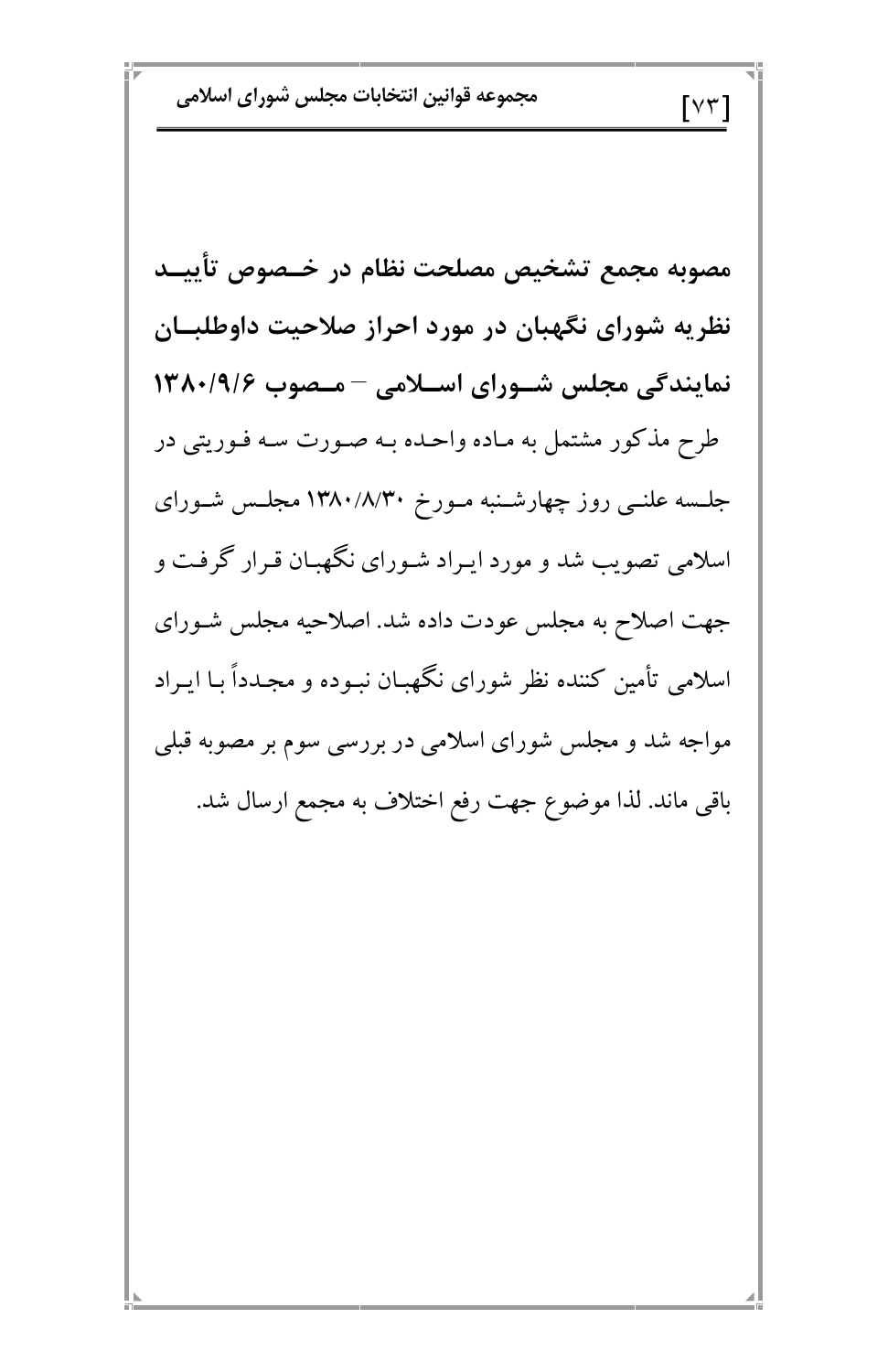مجموعه قوانين انتخابات مجلس شوراي اسلامي

مصوبه مجمع تشخيص مصلحت نظام در خــصوص تأييــد نظریه شورای نگهبان در مورد احراز صلاحیت داوطلبان نمایندگی مجلس شـورای اسـلامی - مـصوب ۱۳۸۰/۹/۶ طرح مذکور مشتمل به مـاده واحـده بـه صـورت سـه فـوريتي در جلسه علنــی روز چهارشــنبه مــورخ ۱۳۸۰/۸/۳۰ مجلـس شــورای اسلامی تصویب شد و مورد ایـراد شـورای نگهبـان قـرار گرفـت و جهت اصلاح به مجلس عودت داده شد. اصلاحیه مجلس شـورای اسلامی تأمین کننده نظر شورای نگهبـان نبـوده و مجـدداً بـا ایـراد مواجه شد و مجلس شورای اسلامی در بررسی سوم بر مصوبه قبلی باقی ماند. لذا موضوع جهت رفع اختلاف به مجمع ارسال شد.

 $\lceil \vee \curlyvee \rceil$ 

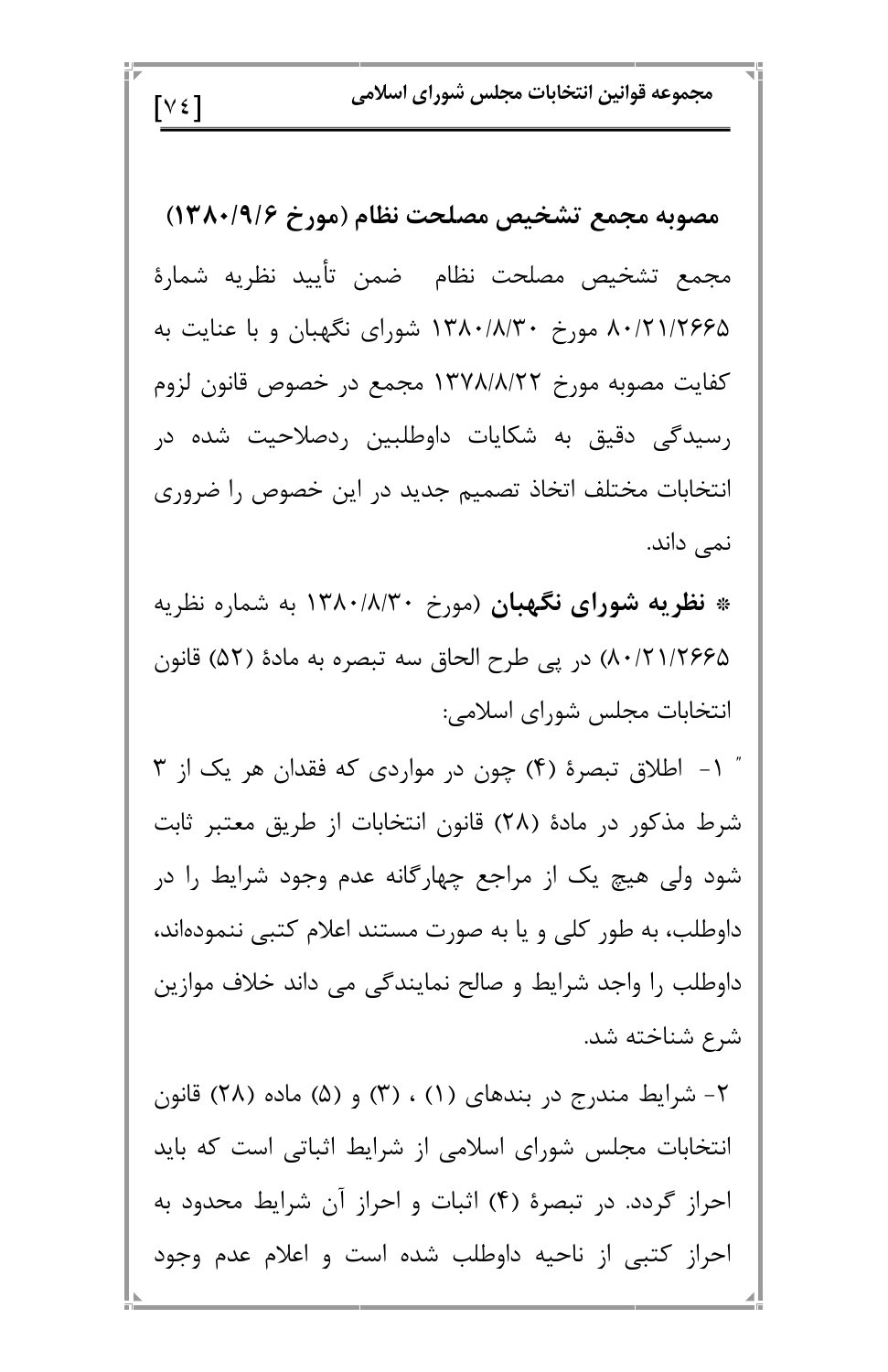مجموعه قوانين انتخابات مجلس شوراي اسلامي

مصوبه مجمع تشخيص مصلحت نظام (مورخ ١٣٨٠/٩/۶) مجمع تشخيص مصلحت نظام ضمن تأييد نظريه شمارة ۸۰/۲۱/۲۶۶۵ مورخ ۱۳۸۰/۸/۳۰ شورای نگهبان و با عنایت به كفايت مصوبه مورخ ١٣٧٨/٨/٢٢ مجمع در خصوص قانون لزوم رسیدگی دقیق به شکایات داوطلبین ردصلاحیت شده در انتخابات مختلف اتخاذ تصميم جديد در اين خصوص را ضروري نمی داند.

 $[V \in ]$ 

\* نظریه شورای نگهبان (مورخ ۱۳۸۰/۸/۳۰ به شماره نظریه ۸۰/۲۱/۲۶۶۵) در پی طرح الحاق سه تبصره به مادهٔ (۵۲) قانون انتخابات مجلس شورای اسلامی:

۱- اطلاق تبصرهٔ (۴) چون در مواردی که فقدان هر یک از ۳ شرط مذکور در مادهٔ (۲۸) قانون انتخابات از طریق معتبر ثابت شود ولی هیچ یک از مراجع چهارگانه عدم وجود شرایط را در داوطلب، به طور کلی و یا به صورت مستند اعلام کتبی ننمودهاند، داوطلب را واجد شرایط و صالح نمایندگی می داند خلاف موازین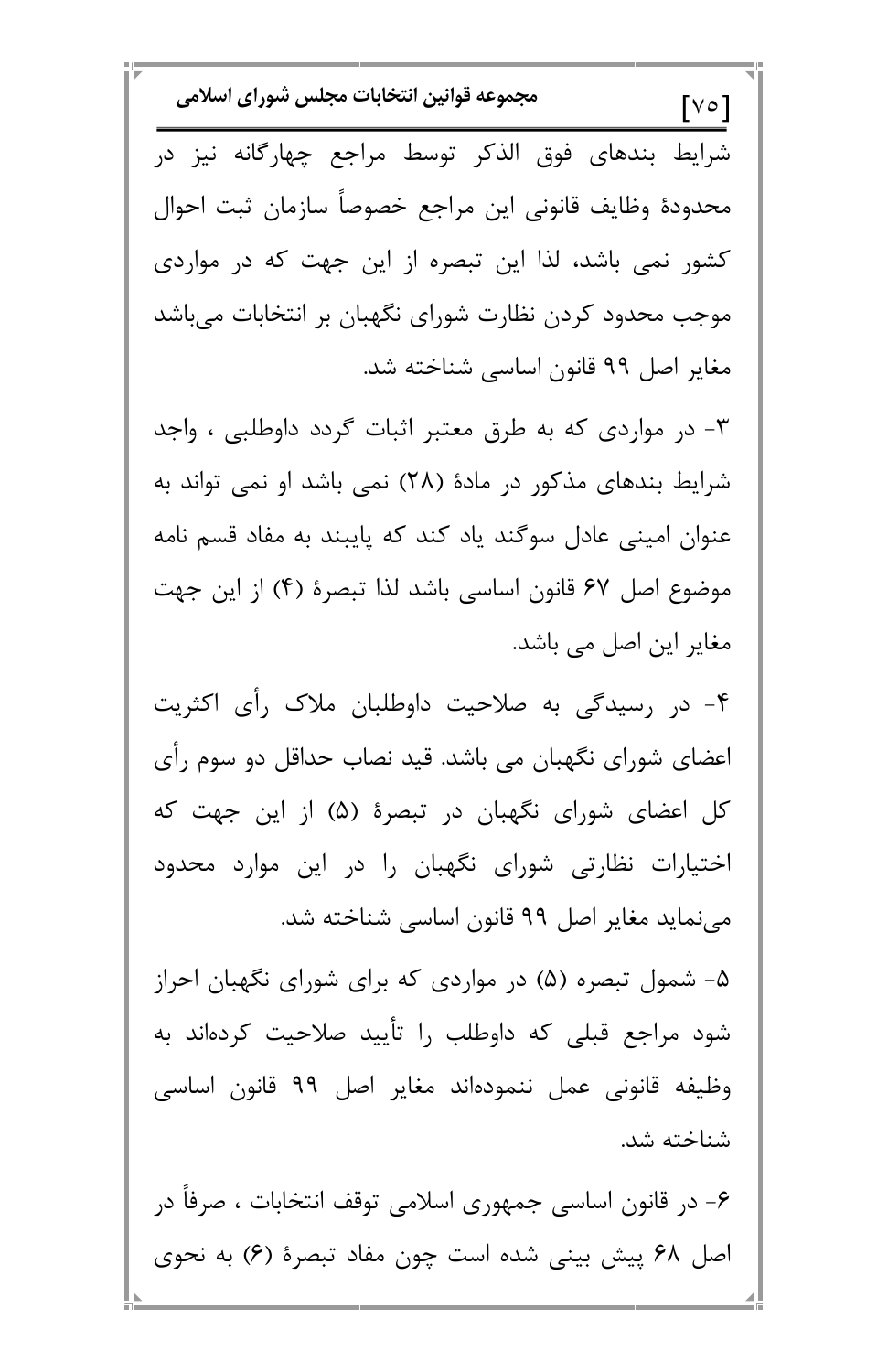مجموعه قوانين انتخابات مجلس شوراي اسلامي  $[$ V $\circ$ ] شرایط بندهای فوق الذکر توسط مراجع چهارگانه نیز در محدودة وظايف قانوني اين مراجع خصوصأ سازمان ثبت احوال کشور نمی باشد، لذا این تبصره از این جهت که در مواردی موجب محدود کردن نظارت شورای نگهبان بر انتخابات می باشد مغایر اصل ۹۹ قانون اساسی شناخته شد. ۳- در مواردی که به طرق معتبر اثبات گردد داوطلبی ، واجد شرایط بندهای مذکور در مادهٔ (۲۸) نمی باشد او نمی تواند به عنوان امینی عادل سوگند یاد کند که پایبند به مفاد قسم نامه موضوع اصل ۶۷ قانون اساسی باشد لذا تبصرهٔ (۴) از این جهت مغایر این اصل می باشد. ۴- در رسیدگی به صلاحیت داوطلبان ملاک رأی اکثریت اعضای شورای نگهبان می باشد. قید نصاب حداقل دو سوم رأی کل اعضای شورای نگهبان در تبصرهٔ (۵) از این جهت که اختیارات نظارتی شورای نگهبان را در این موارد محدود می نماید مغایر اصل ۹۹ قانون اساسی شناخته شد. ۵- شمول تبصره (۵) در مواردی که برای شورای نگهبان احراز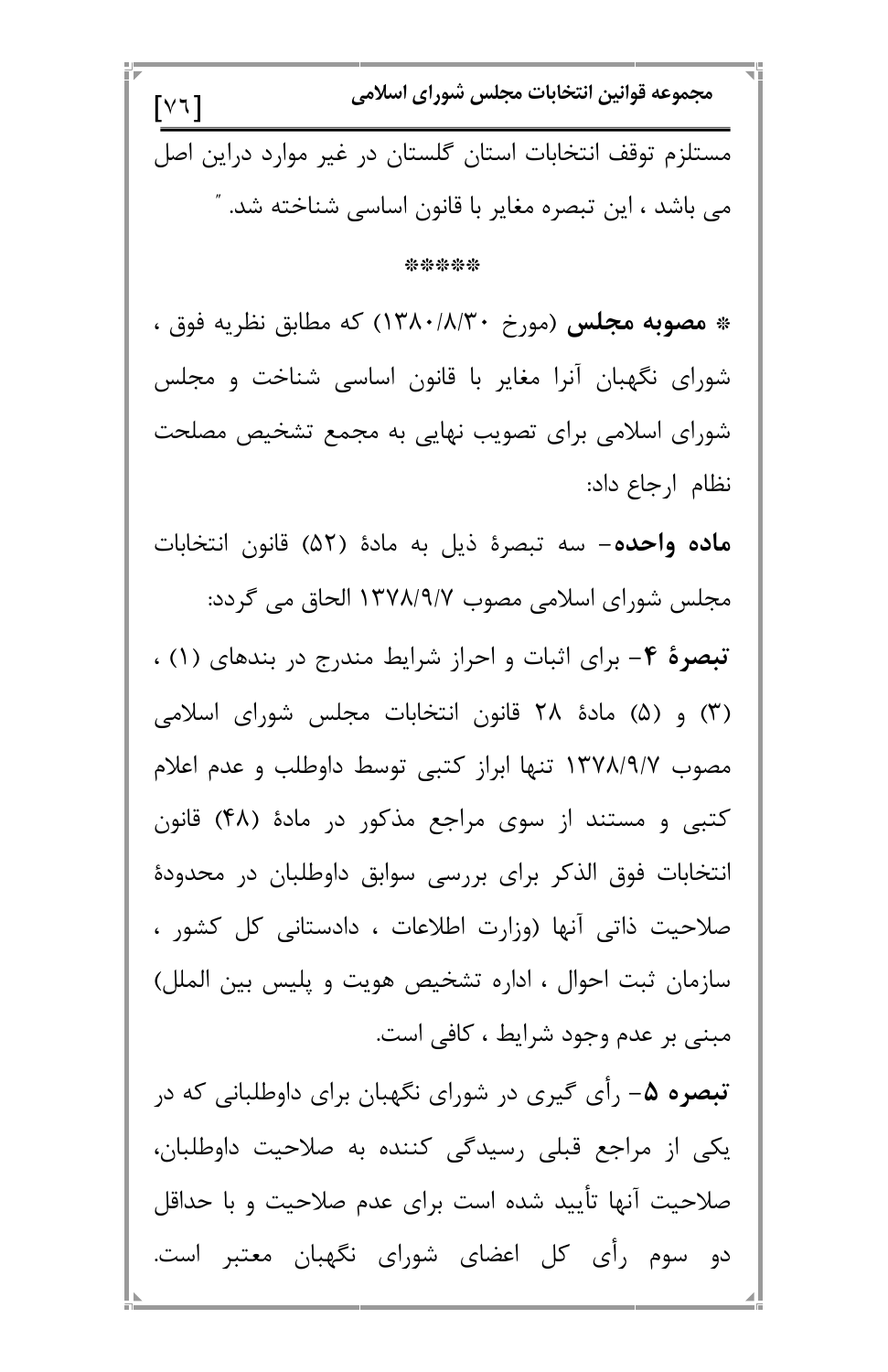مجموعه قوانين انتخابات مجلس شوراي اسلامي  $\lceil \vee \vee \rceil$ مستلزم توقف انتخابات استان گلستان در غیر موارد دراین اصل می باشد ، این تبصره مغایر با قانون اساسی شناخته شد. ″ \*\*\*\*\* \* مصوبه مجلس (مورخ ۱۳۸۰/۸/۳۰) که مطابق نظریه فوق ، شورای نگهبان آنرا مغایر با قانون اساسی شناخت و مجلس شورای اسلامی برای تصویب نهایی به مجمع تشخیص مصلحت نظام ارجاع داد: **ماده واحده**– سه تبصرهٔ ذیل به مادهٔ (۵۲) قانون انتخابات مجلس شورای اسلامی مصوب ۱۳۷۸/۹/۷ الحاق می گردد: تبصرهٔ ۴- برای اثبات و احراز شرایط مندرج در بندهای (۱) ، (۳) و (۵) مادهٔ ۲۸ قانون انتخابات مجلس شورای اسلامی مصوب ۱۳۷۸/۹/۷ تنها ابراز کتبی توسط داوطلب و عدم اعلام کتبی و مستند از سوی مراجع مذکور در مادهٔ (۴۸) قانون انتخابات فوق الذكر براي بررسي سوابق داوطلبان در محدودة صلاحیت ذاتی آنها (وزارت اطلاعات ، دادستانی کل کشور ، سازمان ثبت احوال ، اداره تشخیص هویت و پلیس بین الملل)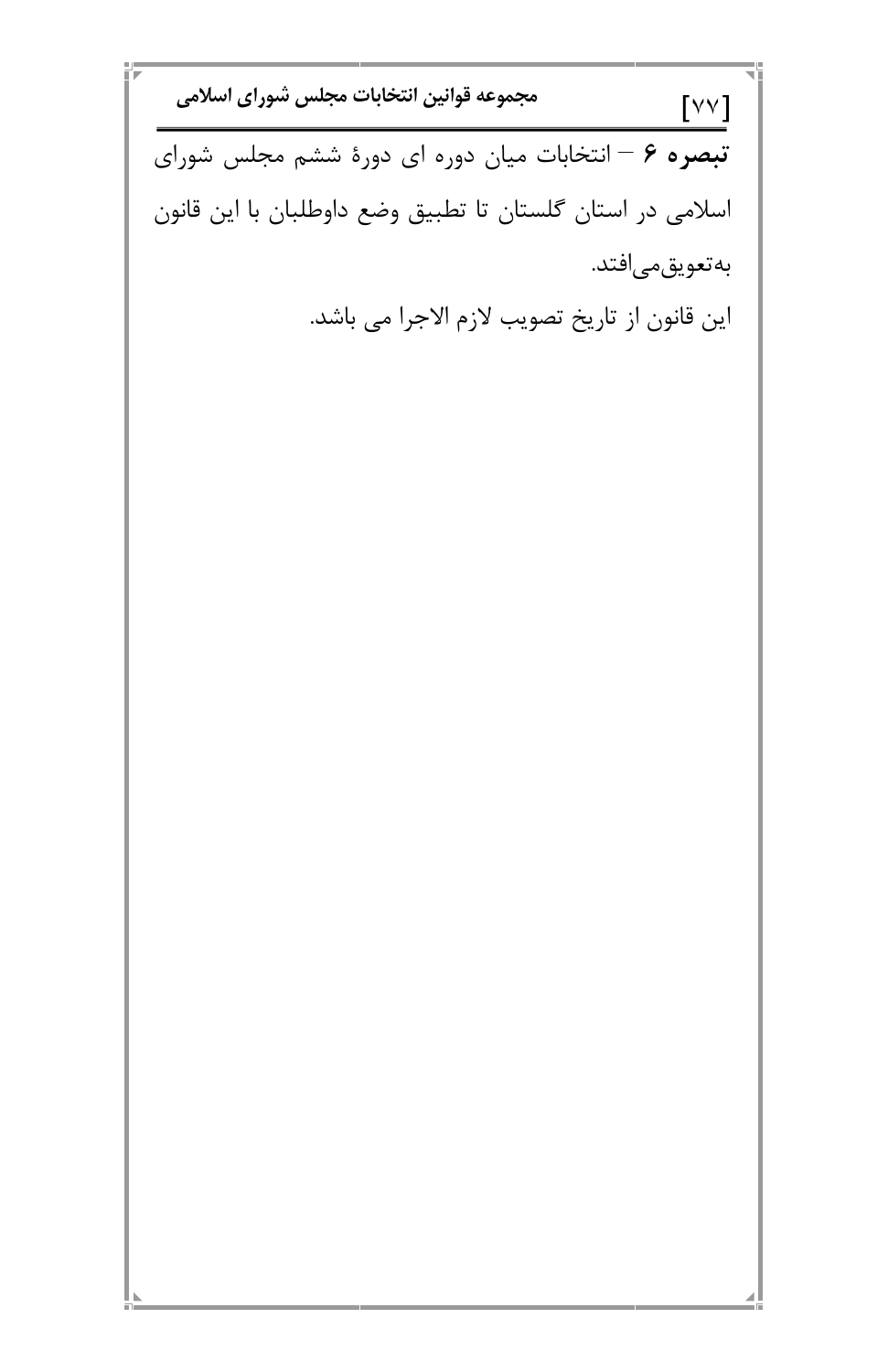مجموعه قوانين انتخابات مجلس شوراي اسلامي  $[V^{\vee}]$ تبصره ۶ – انتخابات میان دوره ای دورهٔ ششم مجلس شورای اسلامی در استان گلستان تا تطبیق وضع داوطلبان با این قانون بەتعويق مى|فتد. اين قانون از تاريخ تصويب لازم الاجرا مي باشد.

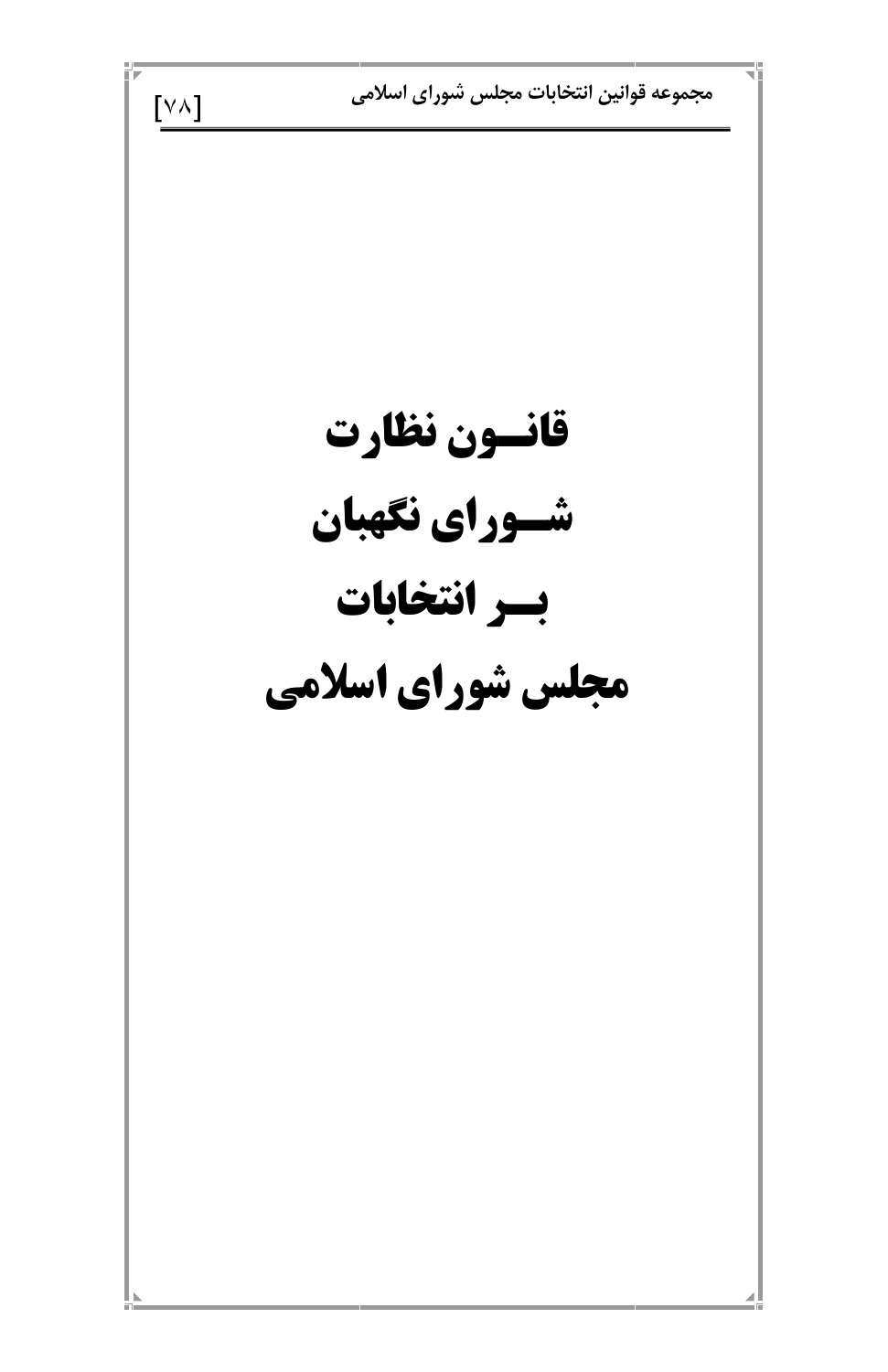مجموعه قوانين انتخابات مجلس شوراى اسلامى  $[\forall \wedge]$ قانسون نظارت شسوراي نكهبان بسر انتخابات مجلس شوراي اسلامي

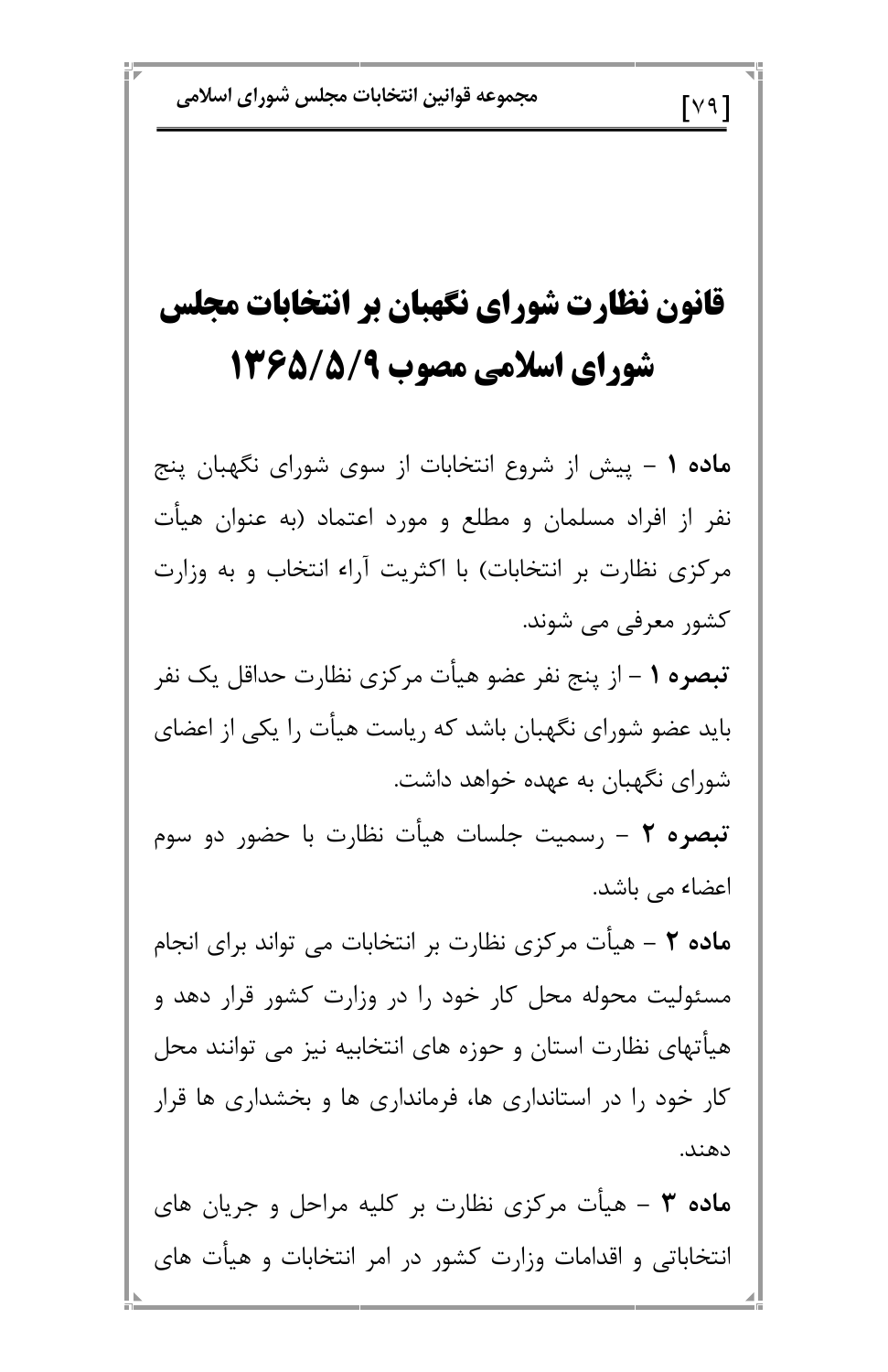## $\lceil$ Y 9  $\rceil$

## قانون نظارت شوراي نگهبان بر انتخابات مجلس شورای اسلامی مصوب ۱۳۶۵/۵/۹

ماده ۱ – پیش از شروع انتخابات از سوی شورای نگهبان پنج نفر از افراد مسلمان و مطلع و مورد اعتماد (به عنوان هیأت مرکزی نظارت بر انتخابات) با اکثریت آراء انتخاب و به وزارت کشور معرفی می شوند.

تبصره ١ – از پنج نفر عضو هيأت مركزي نظارت حداقل يک نفر باید عضو شورای نگهبان باشد که ریاست هیأت را یکی از اعضای شورای نگهبان به عهده خواهد داشت.

تبصره ٢ – رسميت جلسات هيأت نظارت با حضور دو سوم اعضاء <sub>می</sub> باشد.

ماده ۲ – هیأت مرکزی نظارت بر انتخابات می تواند برای انجام مسئولیت محوله محل کار خود را در وزارت کشور قرار دهد و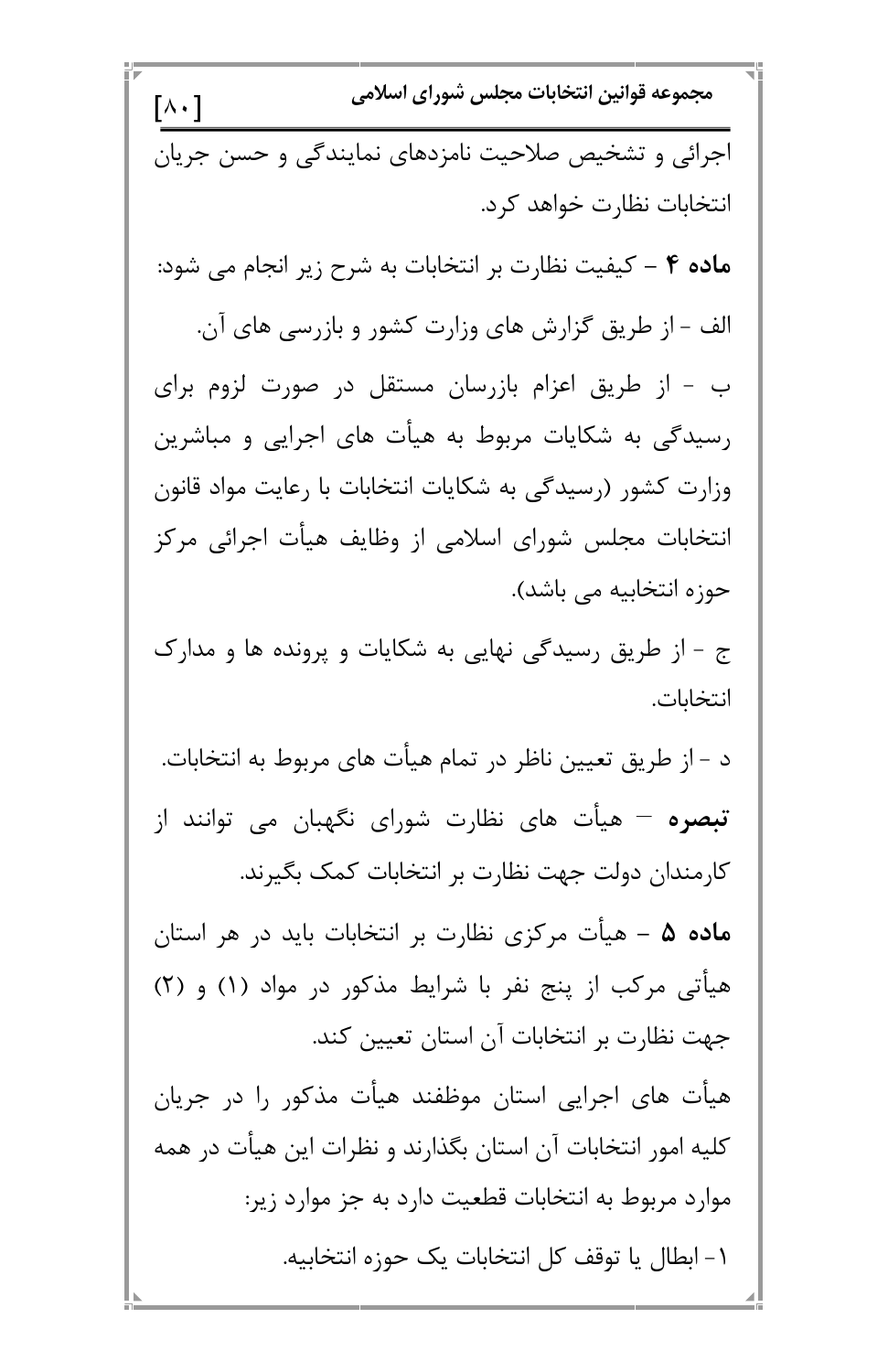مجموعه قوانين انتخابات مجلس شوراي اسلامي  $\lceil \wedge \cdot \rceil$ اجرائی و تشخیص صلاحیت نامزدهای نمایندگی و حسن جریان انتخابات نظارت خواهد كرد. ماده ۴ – کیفیت نظارت بر انتخابات به شرح زیر انجام می شود: الف - از طریق گزارش های وزارت کشور و بازرسی های آن. ب - از طریق اعزام بازرسان مستقل در صورت لزوم برای رسیدگی به شکایات مربوط به هیأت های اجرایی و مباشرین وزارت کشور (رسیدگی به شکایات انتخابات با رعایت مواد قانون انتخابات مجلس شورای اسلامی از وظایف هیأت اجرائی مرکز حوزه انتخابیه می باشد). ج - از طریق رسیدگی نهایی به شکایات و پرونده ها و مدارک انتخابات. د - از طريق تعيين ناظر در تمام هيأت هاي مربوط به انتخابات. **تبصره** – هیأت های نظارت شورای نگهبان می توانند از کارمندان دولت جهت نظارت بر انتخابات کمک بگیرند. ماده ۵ – هیأت مرکزی نظارت بر انتخابات باید در هر استان هیأتی مرکب از پنج نفر با شرایط مذکور در مواد (۱) و (۲)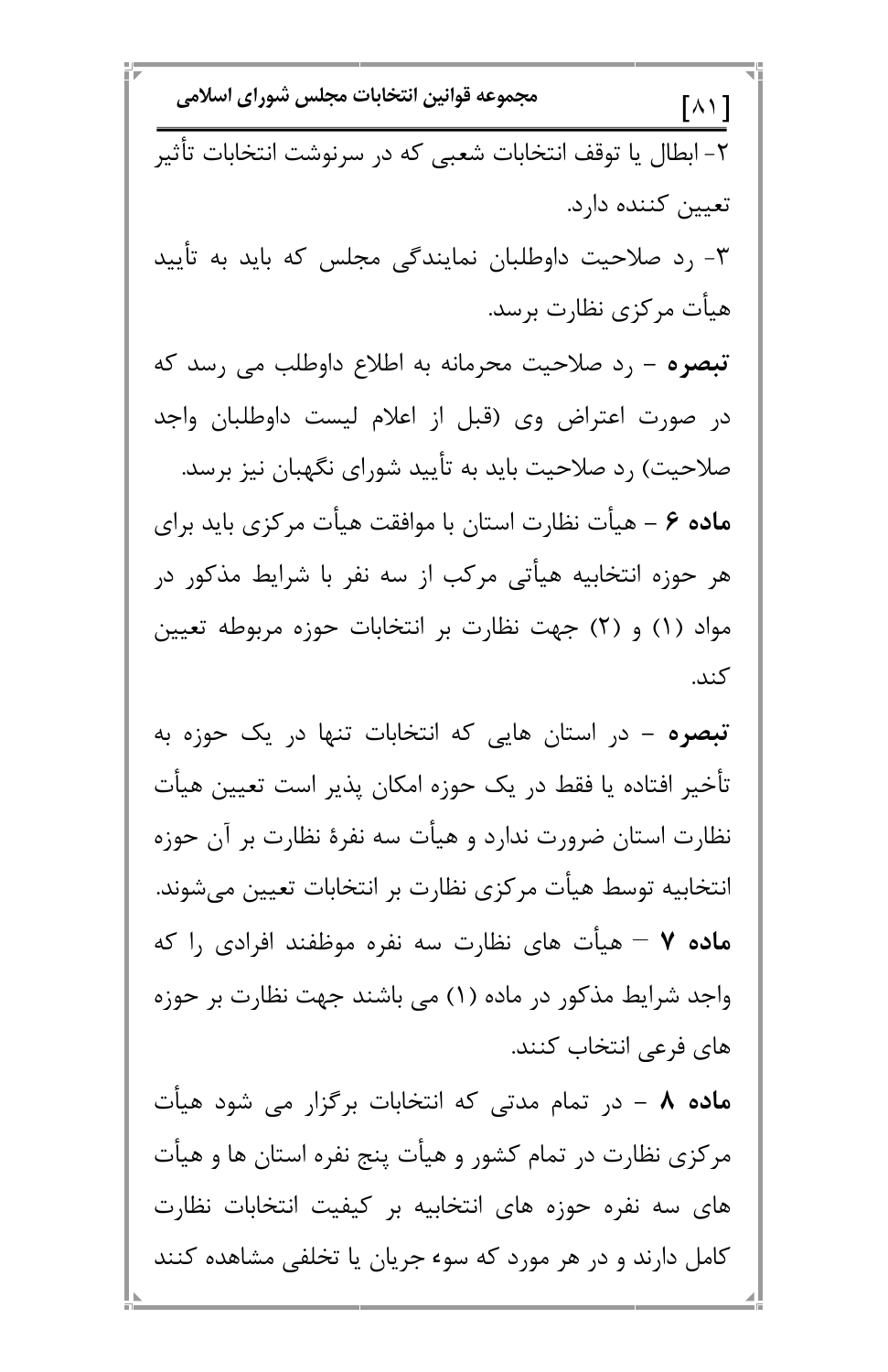مجموعه قوانين انتخابات مجلس شوراي اسلامي  $\lceil \wedge \wedge \rceil$ ٢- ابطال يا توقف انتخابات شعبي كه در سرنوشت انتخابات تأثير تعيين كننده دارد. ۳- رد صلاحیت داوطلبان نمایندگی مجلس که باید به تأیید هیأت مرکزی نظارت برسد. **تبصره** – رد صلاحیت محرمانه به اطلاع داوطلب می رسد که در صورت اعتراض وی (قبل از اعلام لیست داوطلبان واجد صلاحیت) رد صلاحیت باید به تأیید شورای نگهبان نیز برسد. م**اده ۶** – هیأت نظارت استان با موافقت هیأت مرکزی باید برای هر حوزه انتخابیه هیأتی مرکب از سه نفر با شرایط مذکور در مواد (۱) و (۲) جهت نظارت بر انتخابات حوزه مربوطه تعیین كند. تبصره – در استان هایی که انتخابات تنها در یک حوزه به تأخير افتاده يا فقط در يک حوزه امکان پذير است تعيين هيأت نظارت استان ضرورت ندارد و هیأت سه نفرهٔ نظارت بر آن حوزه انتخابیه توسط هیأت مرکزی نظارت بر انتخابات تعیین میشوند. **ماده ۷ –** هیأت های نظارت سه نفره موظفند افرادی را که واجد شرایط مذکور در ماده (۱) می باشند جهت نظارت بر حوزه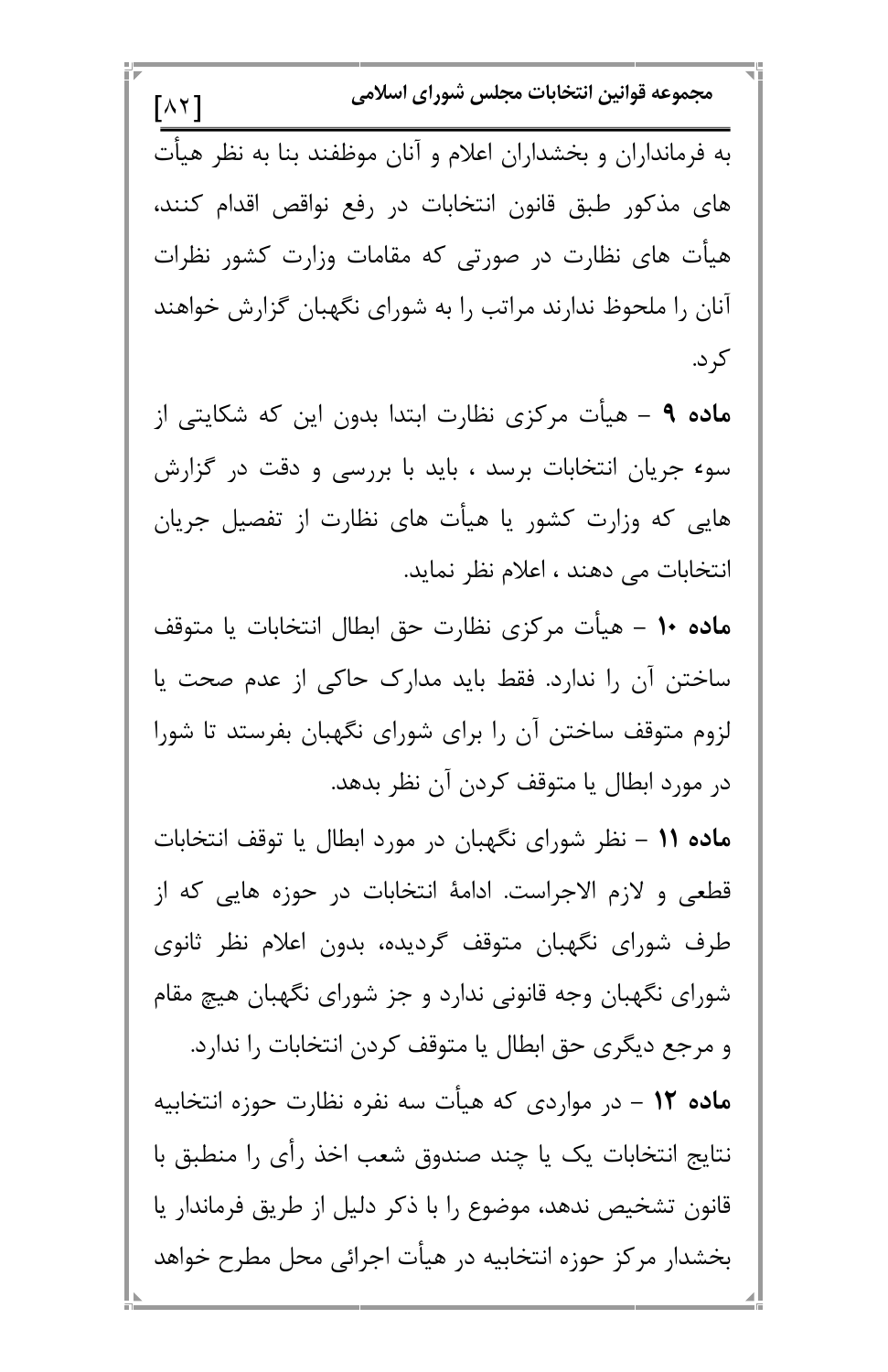مجموعه قوانين انتخابات مجلس شوراي اسلامي  $\lceil \wedge \curlyvee \rceil$ به فرمانداران و بخشداران اعلام و آنان موظفند بنا به نظر هیأت های مذکور طبق قانون انتخابات در رفع نواقص اقدام کنند، هیات های نظارت در صورتی که مقامات وزارت کشور نظرات انان را ملحوظ ندارند مراتب را به شورای نگهبان گزارش خواهند کر د. م**اده ۹** – هیأت مرکزی نظارت ابتدا بدون این که شکایتی از سوء جریان انتخابات برسد ، باید با بررسی و دقت در گزارش هایی که وزارت کشور یا هیأت های نظارت از تفصیل جریان انتخابات می دهند ، اعلام نظر نماید. **ماده ۱۰** – هیأت مرکزی نظارت حق ابطال انتخابات یا متوقف ساختن آن را ندارد. فقط باید مدارک حاکی از عدم صحت یا لزوم متوقف ساختن آن را برای شورای نگهبان بفرستد تا شورا در مورد ابطال یا متوقف کردن آن نظر بدهد. م**اده ۱۱** – نظر شورای نگهبان در مورد ابطال یا توقف انتخابات قطعی و لازم الاجراست. ادامهٔ انتخابات در حوزه هایی که از طرف شورای نگهبان متوقف گردیده، بدون اعلام نظر ثانوی شورای نگهبان وجه قانونی ندارد و جز شورای نگهبان هیچ مقام

و مرجع دیگری حق ابطال یا متوقف کردن انتخابات را ندارد. م**اده ۱۲** – در مواردی که هیأت سه نفره نظارت حوزه انتخابیه نتايج انتخابات يک يا چند صندوق شعب اخذ رأى را منطبق با قانون تشخیص ندهد، موضوع را با ذکر دلیل از طریق فرماندار یا بخشدار مرکز حوزه انتخابیه در هیأت اجرائی محل مطرح خواهد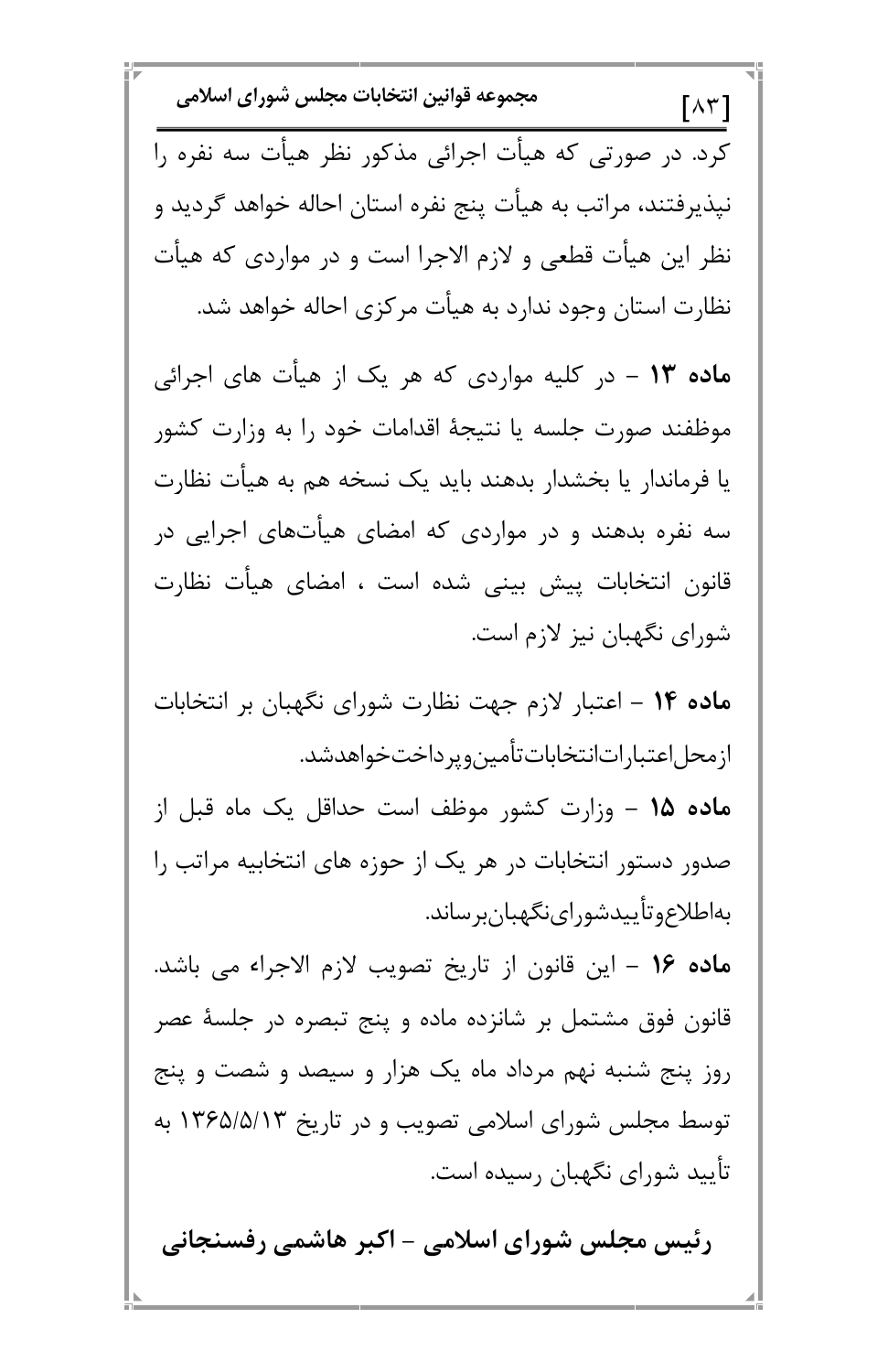مجموعه قوانين انتخابات مجلس شوراي اسلامي  $\lceil \wedge \tau \rceil$ کرد. در صورتی که هیأت اجرائی مذکور نظر هیأت سه نفره را نیذیرفتند، مراتب به هیأت پنج نفره استان احاله خواهد گردید و نظر این هیأت قطعی و لازم الاجرا است و در مواردی که هیأت نظارت استان وجود ندارد به هیأت مرکزی احاله خواهد شد. م**اده ۱۳** – در کلیه مواردی که هر یک از هیأت های اجرائی موظفند صورت جلسه يا نتيجهٔ اقدامات خود را به وزارت كشور یا فرماندار یا بخشدار بدهند باید یک نسخه هم به هیأت نظارت سه نفره بدهند و در مواردی که امضای هیأتهای اجرایی در قانون انتخابات پیش بینی شده است ، امضای هیأت نظارت شورای نگهبان نیز لازم است. ماده ۱۴ – اعتبار لازم جهت نظارت شورای نگهبان بر انتخابات ازمحل|عتبارات|نتخاباتتأمين ويرداختخواهدشد. م**اده ۱۵ –** وزارت کشور موظف است حداقل یک ماه قبل از صدور دستور انتخابات در هر یک از حوزه های انتخابیه مراتب را بەاطلاع وتأييدشوراي نگهبانبر ساند. ماده ١۶ – اين قانون از تاريخ تصويب لازم الاجراء مي باشد.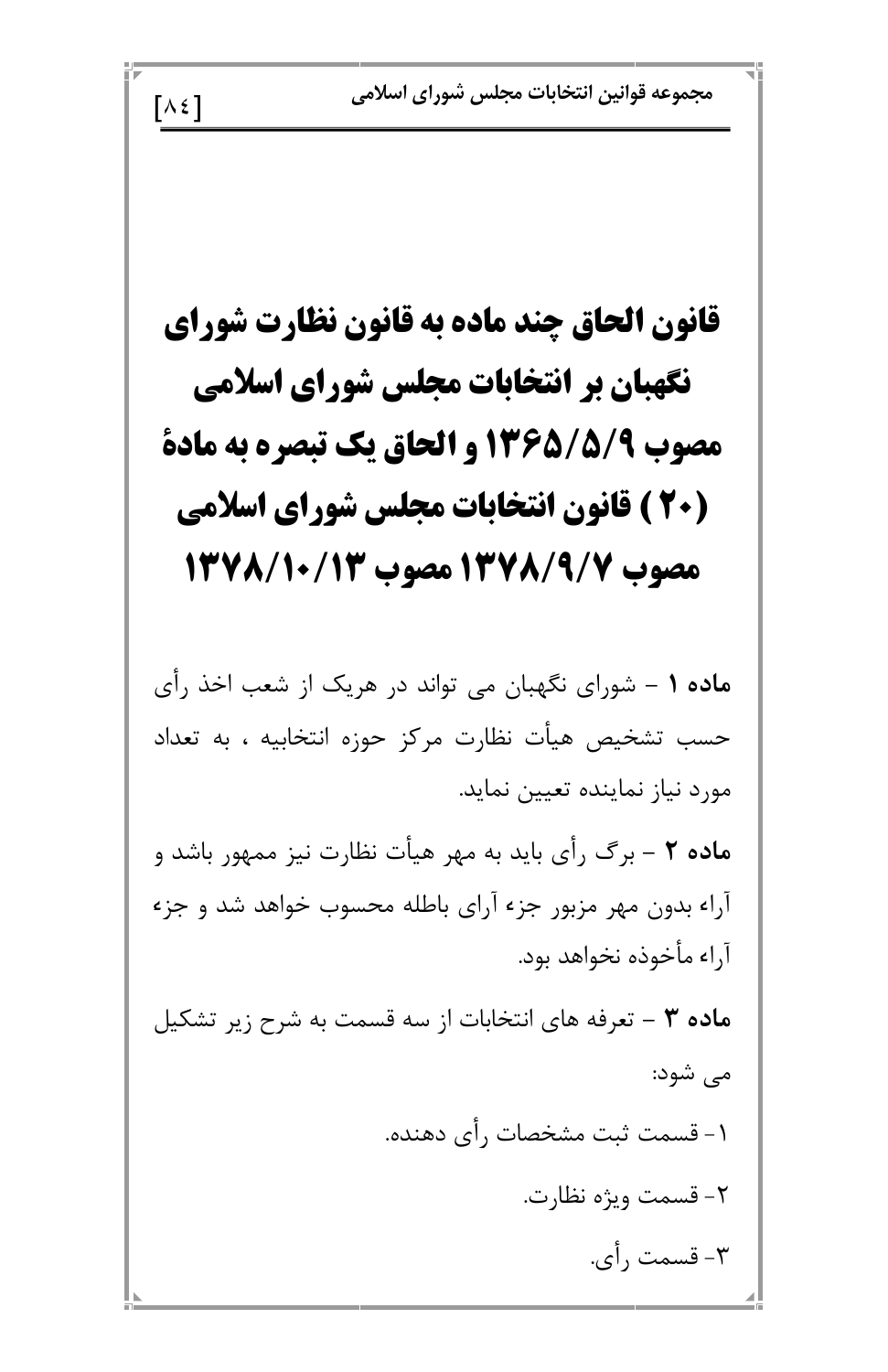مجموعه قوانين انتخابات مجلس شوراي اسلامي

قانون الحاق چند ماده به قانون نظارت شورای نگهبان بر انتخابات مجلس شورای اسلامی مصوب 5/5/56/13 و الحاق یک تبصره به مادة (20 ) قانون انتخابات مجلس شوراي اسلامي مصوب 13778/137 مصوب 12/8/10/14

 $\lceil \lambda \xi \rceil$ 

ماده ۱ – شورای نگهبان می تواند در هریک از شعب اخذ رأی حسب تشخیص هیأت نظارت مرکز حوزه انتخابیه ، به تعداد مورد نیاز نماینده تعیین نماید.

ه**اده ۲** – برگ رأی باید به مهر هیأت نظارت نیز ممهور باشد و آراء بدون مهر مزبور جزء آراي باطله محسوب خواهد شد و جزء آراء مأخوذه نخواهد بود.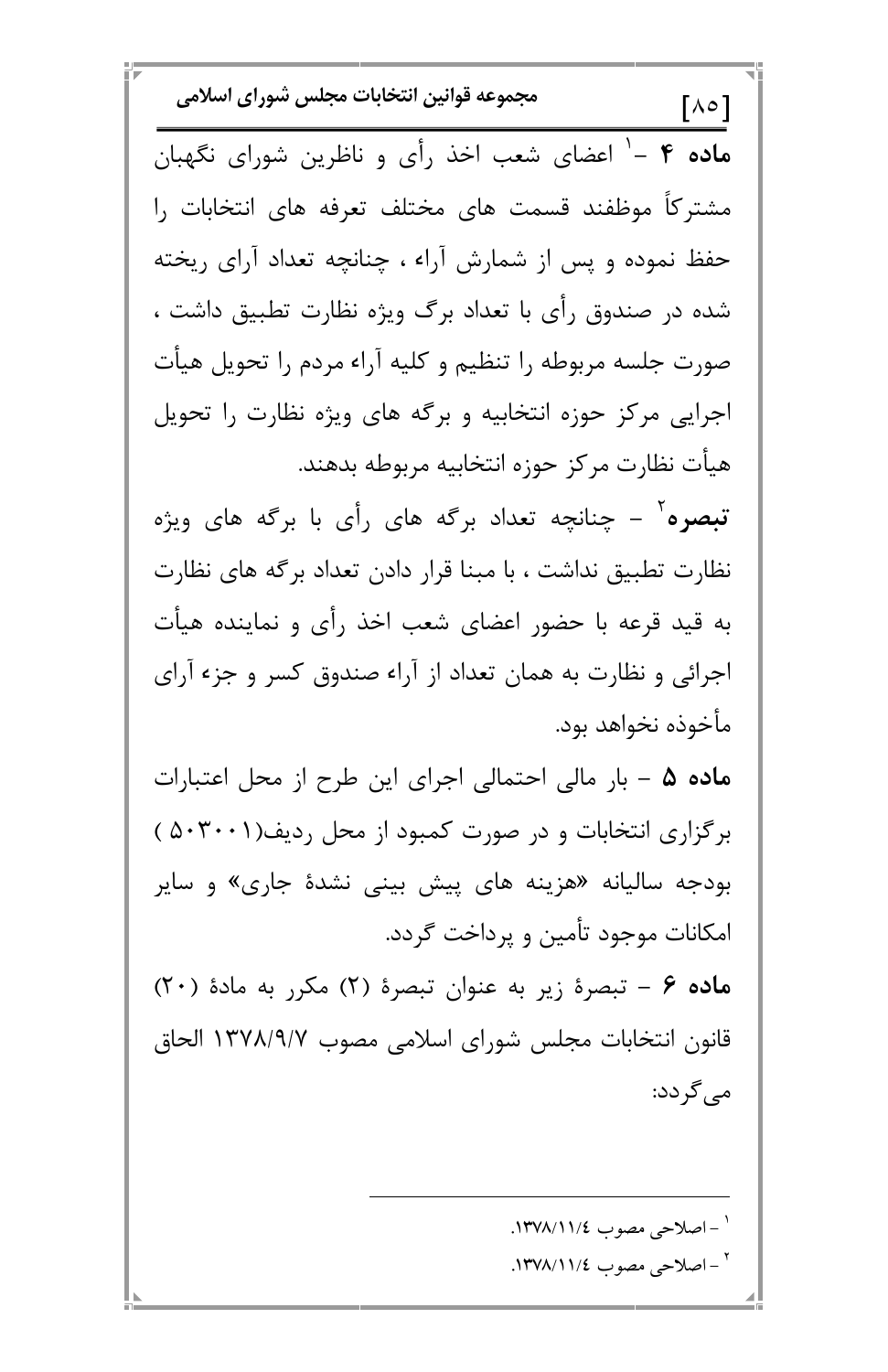مجموعه قوانين انتخابات مجلس شوراي اسلامي  $[A \circ ]$ ماده ۴ –' اعضای شعب اخذ رأی و ناظرین شورای نگهبان مشترکاً موظفند قسمت های مختلف تعرفه های انتخابات را حفظ نموده و پس از شمارش آراء ، چنانچه تعداد آرای ریخته شده در صندوق رأى با تعداد برگ ويژه نظارت تطبيق داشت ، صورت جلسه مربوطه را تنظیم و کلیه آراء مردم را تحویل هیأت اجرایی مرکز حوزه انتخابیه و برگه های ویژه نظارت را تحویل هيأت نظارت مركز حوزه انتخابيه مربوطه بدهند. **تبصره** ٔ – چنانچه تعداد برگه های رأی با برگه های ویژه نظارت تطبیق نداشت ، با مبنا قرار دادن تعداد برگه های نظارت به قید قرعه با حضور اعضای شعب اخذ رأی و نماینده هیأت اجرائی و نظارت به همان تعداد از آراء صندوق کسر و جزء آرای مأخوذه نخواهد بود. ماده ۵ – بار مالی احتمالی اجرای این طرح از محل اعتبارات برگزاری انتخابات و در صورت کمبود از محل ردیف(۵۰۳۰۰۱ ) بودجه سالیانه «هزینه های پیش بینی نشدهٔ جاری» و سایر امکانات موجود تأمین و پرداخت گردد. ماده ۶ - تبصرهٔ زیر به عنوان تبصرهٔ (۲) مکرر به مادهٔ (۲۰)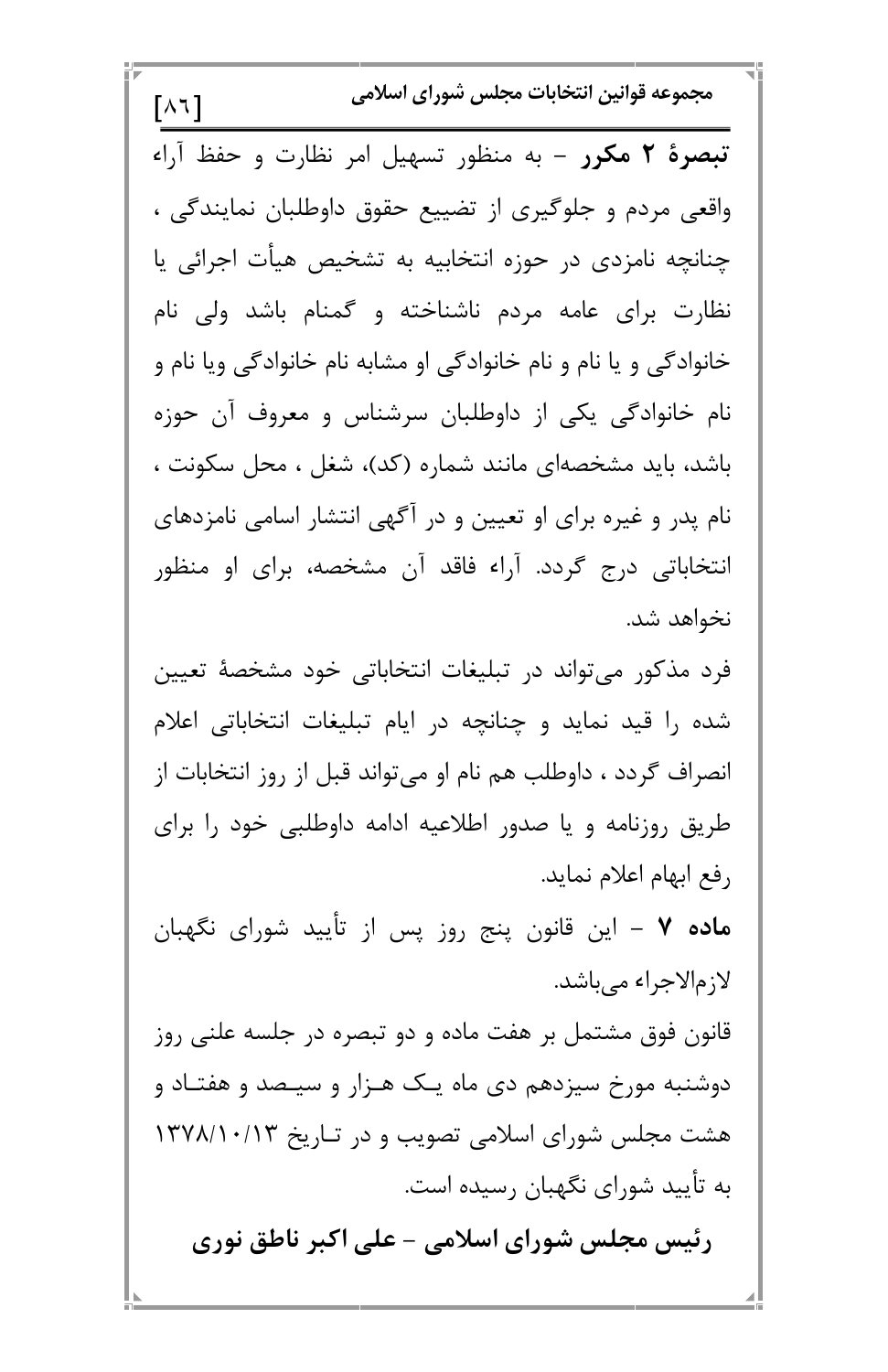مجموعه قوانين انتخابات مجلس شوراي اسلامي  $\lceil \lambda \tau \rceil$ تبصرهٔ ۲ مکرر - به منظور تسهیل امر نظارت و حفظ آراء واقعی مردم و جلوگیری از تضییع حقوق داوطلبان نمایندگی ، چنانچه نامزدی در حوزه انتخابیه به تشخیص هیأت اجرائی یا نظارت برای عامه مردم ناشناخته و گمنام باشد ولی نام خانوادگی و یا نام و نام خانوادگی او مشابه نام خانوادگی ویا نام و نام خانوادگی یکی از داوطلبان سرشناس و معروف آن حوزه باشد، باید مشخصهای مانند شماره (کد)، شغل ، محل سکونت ، نام پدر و غیره برای او تعیین و در آگهی انتشار اسامی نامزدهای انتخاباتی درج گردد. آراء فاقد آن مشخصه، برای او منظور نخواهد شد. فرد مذکور می تواند در تبلیغات انتخاباتی خود مشخصهٔ تعیین شده را قید نماید و چنانچه در ایام تبلیغات انتخاباتی اعلام انصراف گردد ، داوطلب هم نام او میتواند قبل از روز انتخابات از طریق روزنامه و یا صدور اطلاعیه ادامه داوطلبی خود را برای رفع ابهام اعلام نمايد. **ماده ۷** – این قانون پنج روز پس از تأیید شورای نگهبان لازمالاجراء مي باشد.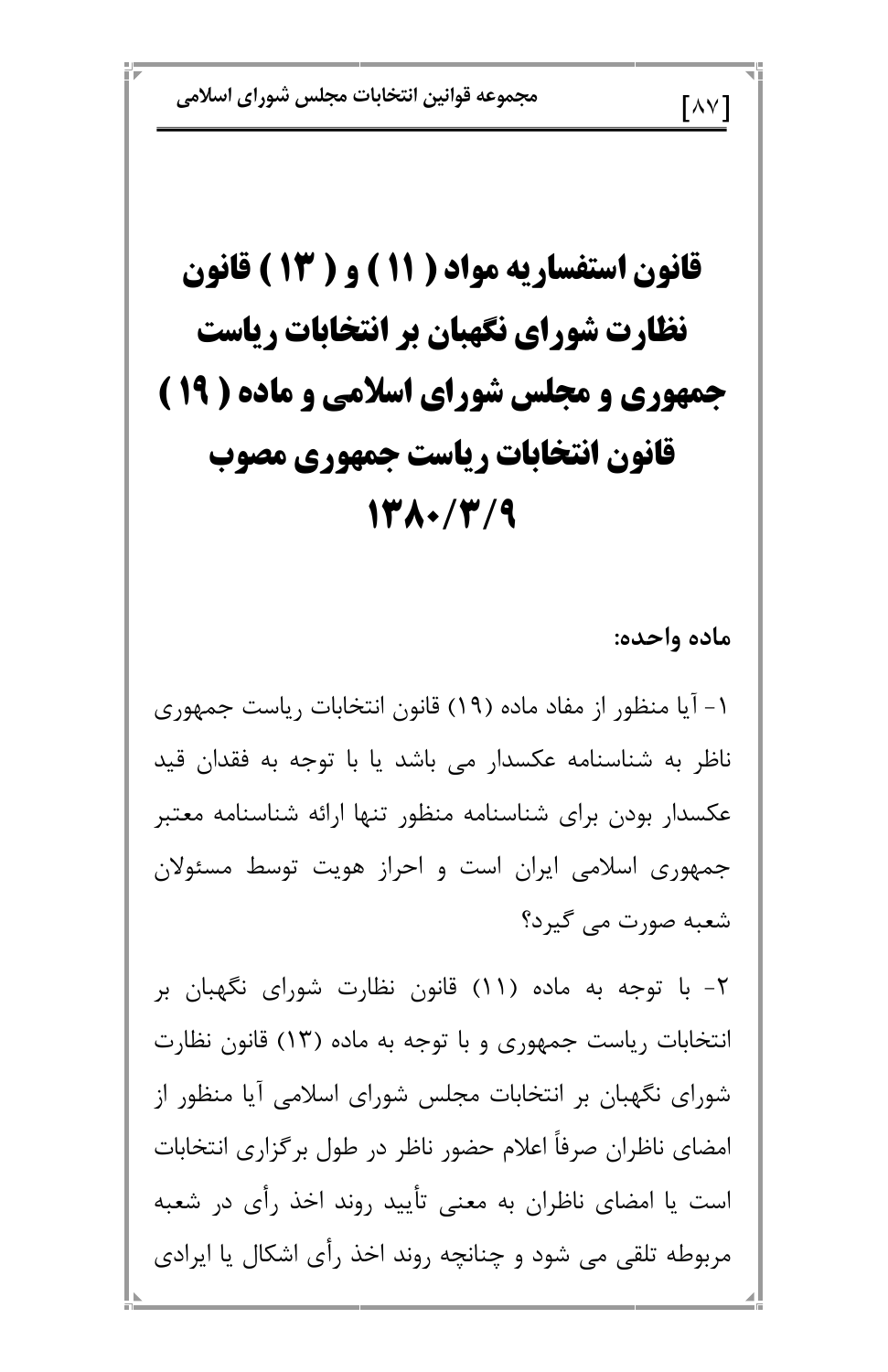مجموعه قوانين انتخابات مجلس شوراي اسلامي

## قانون استفساریه مواد ( ۱۱ ) و ( ۱۳ ) قانون نظارت شورای نگهبان بر انتخابات ریاست جمهوری و مجلس شورای اسلامی و ماده ( ۱۹ ) قانون انتخابات رياست جمهوري مصوب 1380/7/9

ماده واحده:

 $\lceil \wedge \vee \rceil$ 

۱ – آیا منظور از مفاد ماده (۱۹) قانون انتخابات ریاست جمهوری ناظر به شناسنامه عکسدار می باشد یا با توجه به فقدان قید عكسدار بودن براى شناسنامه منظور تنها ارائه شناسنامه معتبر جمهوری اسلامی ایران است و احراز هویت توسط مسئولان شعبه صورت می گیرد؟

۲- با توجه به ماده (۱۱) قانون نظارت شورای نگهبان بر